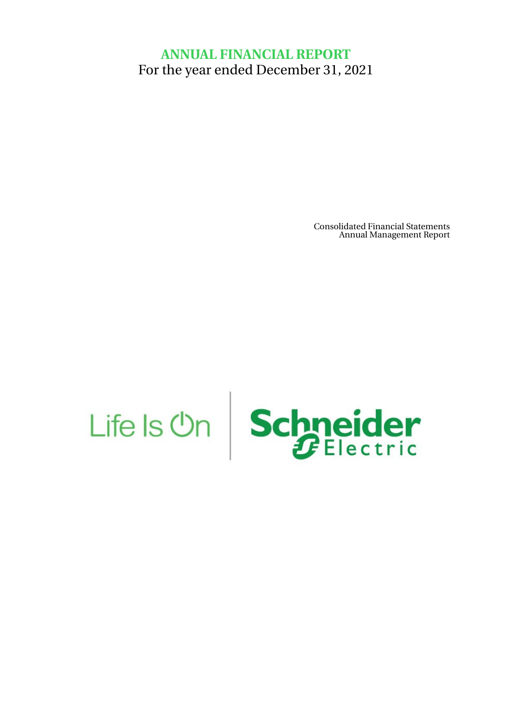# **ANNUAL FINANCIAL REPORT** For the year ended December 31, 2021

Consolidated Financial Statements Annual Management Report

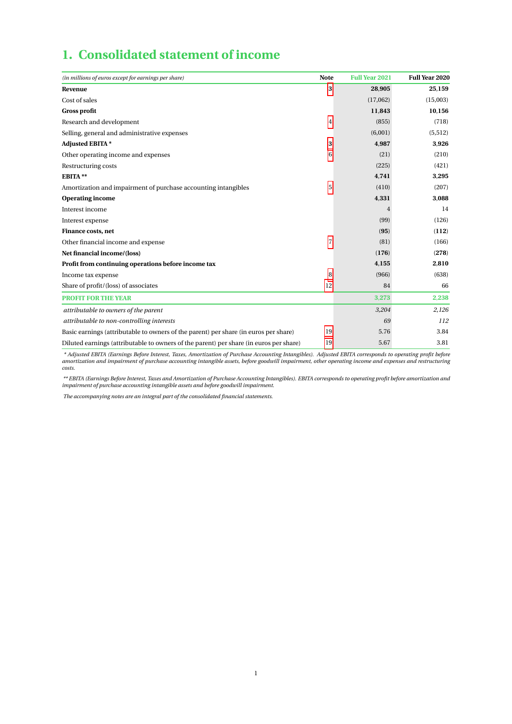# **1. Consolidated statement of income**

| (in millions of euros except for earnings per share)                                   | <b>Note</b> | <b>Full Year 2021</b> | Full Year 2020 |
|----------------------------------------------------------------------------------------|-------------|-----------------------|----------------|
| Revenue                                                                                | 3           | 28,905                | 25,159         |
| Cost of sales                                                                          |             | (17,062)              | (15,003)       |
| <b>Gross profit</b>                                                                    |             | 11,843                | 10,156         |
| Research and development                                                               | 4           | (855)                 | (718)          |
| Selling, general and administrative expenses                                           |             | (6,001)               | (5,512)        |
| <b>Adjusted EBITA*</b>                                                                 | 3           | 4,987                 | 3,926          |
| Other operating income and expenses                                                    | 6           | (21)                  | (210)          |
| Restructuring costs                                                                    |             | (225)                 | (421)          |
| EBITA**                                                                                |             | 4,741                 | 3,295          |
| Amortization and impairment of purchase accounting intangibles                         | 5           | (410)                 | (207)          |
| <b>Operating income</b>                                                                |             | 4,331                 | 3,088          |
| Interest income                                                                        |             | 4                     | 14             |
| Interest expense                                                                       |             | (99)                  | (126)          |
| Finance costs, net                                                                     |             | (95)                  | (112)          |
| Other financial income and expense                                                     | 7           | (81)                  | (166)          |
| Net financial income/(loss)                                                            |             | (176)                 | (278)          |
| Profit from continuing operations before income tax                                    |             | 4,155                 | 2,810          |
| Income tax expense                                                                     | 8           | (966)                 | (638)          |
| Share of profit/(loss) of associates                                                   | 12          | 84                    | 66             |
| <b>PROFIT FOR THE YEAR</b>                                                             |             | 3,273                 | 2,238          |
| attributable to owners of the parent                                                   |             | 3,204                 | 2,126          |
| attributable to non-controlling interests                                              |             | 69                    | 112            |
| Basic earnings (attributable to owners of the parent) per share (in euros per share)   | 19          | 5.76                  | 3.84           |
| Diluted earnings (attributable to owners of the parent) per share (in euros per share) | 19          | 5.67                  | 3.81           |

Adjusted EBITA (Earnings Before Interest, Taxes, Amortization of Purchase Accounting Intangibles). Adjusted EBITA corresponds to operating profit before \*<br>amortization and impairment of purchase accounting intangible asset *costs.*

*\*\* EBITA (Earnings Before Interest, Taxes and Amortization of Purchase Accounting Intangibles). EBITA corresponds to operating profit before amortization and impairment of purchase accounting intangible assets and before goodwill impairment.*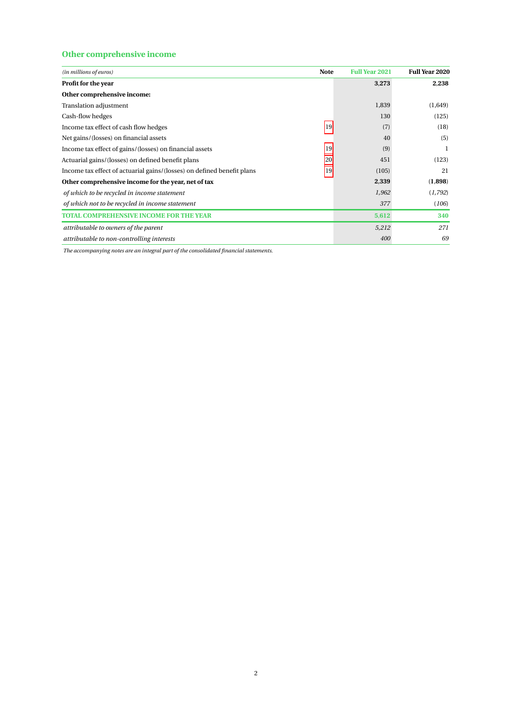## **Other comprehensive income**

| (in millions of euros)                                                 | <b>Note</b> | <b>Full Year 2021</b> | Full Year 2020 |
|------------------------------------------------------------------------|-------------|-----------------------|----------------|
| Profit for the year                                                    |             | 3,273                 | 2,238          |
| Other comprehensive income:                                            |             |                       |                |
| Translation adjustment                                                 |             | 1,839                 | (1,649)        |
| Cash-flow hedges                                                       |             | 130                   | (125)          |
| Income tax effect of cash flow hedges                                  | 19          | (7)                   | (18)           |
| Net gains/(losses) on financial assets                                 |             | 40                    | (5)            |
| Income tax effect of gains/(losses) on financial assets                | 19          | (9)                   | 1              |
| Actuarial gains/(losses) on defined benefit plans                      | 20          | 451                   | (123)          |
| Income tax effect of actuarial gains/(losses) on defined benefit plans | 19          | (105)                 | 21             |
| Other comprehensive income for the year, net of tax                    |             | 2,339                 | (1,898)        |
| of which to be recycled in income statement                            |             | 1,962                 | (1, 792)       |
| of which not to be recycled in income statement                        |             | 377                   | (106)          |
| TOTAL COMPREHENSIVE INCOME FOR THE YEAR                                |             | 5,612                 | 340            |
| attributable to owners of the parent                                   |             | 5,212                 | 271            |
| attributable to non-controlling interests                              |             | 400                   | 69             |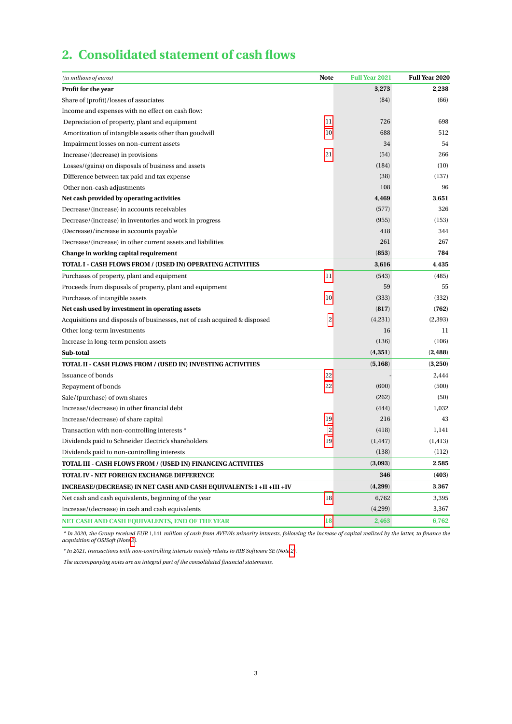# **2. Consolidated statement of cash flows**

| (in millions of euros)                                                    | <b>Note</b>    | <b>Full Year 2021</b> | <b>Full Year 2020</b> |
|---------------------------------------------------------------------------|----------------|-----------------------|-----------------------|
| <b>Profit for the year</b>                                                |                | 3,273                 | 2,238                 |
| Share of (profit)/losses of associates                                    |                | (84)                  | (66)                  |
| Income and expenses with no effect on cash flow:                          |                |                       |                       |
| Depreciation of property, plant and equipment                             | 11             | 726                   | 698                   |
| Amortization of intangible assets other than goodwill                     | 10             | 688                   | 512                   |
| Impairment losses on non-current assets                                   |                | 34                    | 54                    |
| Increase/(decrease) in provisions                                         | 21             | (54)                  | 266                   |
| Losses/(gains) on disposals of business and assets                        |                | (184)                 | (10)                  |
| Difference between tax paid and tax expense                               |                | (38)                  | (137)                 |
| Other non-cash adjustments                                                |                | 108                   | 96                    |
| Net cash provided by operating activities                                 |                | 4,469                 | 3,651                 |
| Decrease/(increase) in accounts receivables                               |                | (577)                 | 326                   |
| Decrease/(increase) in inventories and work in progress                   |                | (955)                 | (153)                 |
| (Decrease)/increase in accounts payable                                   |                | 418                   | 344                   |
| Decrease/(increase) in other current assets and liabilities               |                | 261                   | 267                   |
| Change in working capital requirement                                     |                | (853)                 | 784                   |
| TOTAL I - CASH FLOWS FROM / (USED IN) OPERATING ACTIVITIES                |                | 3,616                 | 4,435                 |
| Purchases of property, plant and equipment                                | 11             | (543)                 | (485)                 |
| Proceeds from disposals of property, plant and equipment                  |                | 59                    | 55                    |
| Purchases of intangible assets                                            | 10             | (333)                 | (332)                 |
| Net cash used by investment in operating assets                           |                | (817)                 | (762)                 |
| Acquisitions and disposals of businesses, net of cash acquired & disposed | 2              | (4,231)               | (2,393)               |
| Other long-term investments                                               |                | 16                    | 11                    |
| Increase in long-term pension assets                                      |                | (136)                 | (106)                 |
| Sub-total                                                                 |                | (4,351)               | (2, 488)              |
| TOTAL II - CASH FLOWS FROM / (USED IN) INVESTING ACTIVITIES               |                | (5,168)               | (3,250)               |
| <b>Issuance of bonds</b>                                                  | 22             |                       | 2,444                 |
| Repayment of bonds                                                        | 22             | (600)                 | (500)                 |
| Sale/(purchase) of own shares                                             |                | (262)                 | (50)                  |
| Increase/(decrease) in other financial debt                               |                | (444)                 | 1.032                 |
| Increase/(decrease) of share capital                                      | 19             | 216                   | 43                    |
| Transaction with non-controlling interests *                              | $\overline{c}$ | (418)                 | 1,141                 |
| Dividends paid to Schneider Electric's shareholders                       | 19             | (1, 447)              | (1, 413)              |
| Dividends paid to non-controlling interests                               |                | (138)                 | (112)                 |
| TOTAL III - CASH FLOWS FROM / (USED IN) FINANCING ACTIVITIES              |                | (3,093)               | 2,585                 |
| TOTAL IV - NET FOREIGN EXCHANGE DIFFERENCE                                |                | 346                   | (403)                 |
| INCREASE/(DECREASE) IN NET CASH AND CASH EQUIVALENTS: I +II +III +IV      |                | (4,299)               | 3,367                 |
| Net cash and cash equivalents, beginning of the year                      | 18             | 6,762                 | 3,395                 |
| Increase/(decrease) in cash and cash equivalents                          |                | (4,299)               | 3,367                 |
| NET CASH AND CASH EQUIVALENTS, END OF THE YEAR                            | 18             | 2,463                 | 6,762                 |

\* In 2020, the Group received EUR 1,141 million of cash from AVEVA's minority interests, following the increase of capital realized by the latter, to finance the<br>acquisition of OSISoft (Not[e 2\)](#page-19-0).

*\* In 2021, transactions with non-controlling interests mainly relates to RIB Software SE (Note [2\)](#page-19-0).*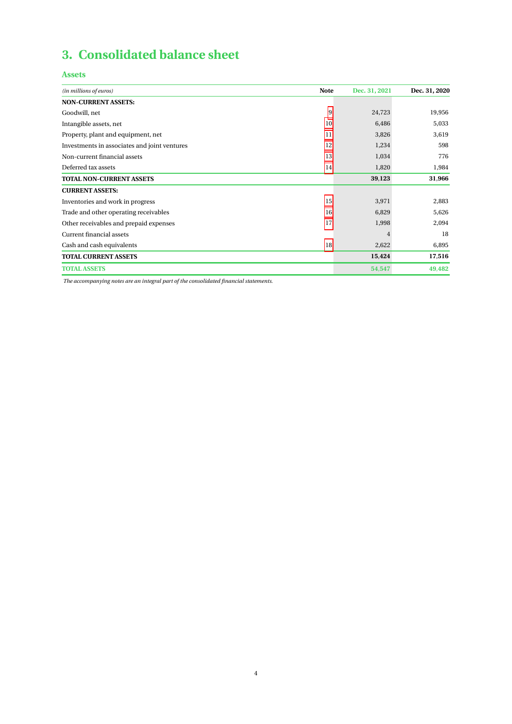# **3. Consolidated balance sheet**

## **Assets**

| (in millions of euros)                       | <b>Note</b> | Dec. 31, 2021 | Dec. 31, 2020 |
|----------------------------------------------|-------------|---------------|---------------|
| <b>NON-CURRENT ASSETS:</b>                   |             |               |               |
| Goodwill, net                                | 9           | 24,723        | 19,956        |
| Intangible assets, net                       | 10          | 6,486         | 5,033         |
| Property, plant and equipment, net           | 11          | 3,826         | 3,619         |
| Investments in associates and joint ventures | 12          | 1,234         | 598           |
| Non-current financial assets                 | 13          | 1,034         | 776           |
| Deferred tax assets                          | 14          | 1,820         | 1,984         |
| <b>TOTAL NON-CURRENT ASSETS</b>              |             | 39,123        | 31,966        |
| <b>CURRENT ASSETS:</b>                       |             |               |               |
| Inventories and work in progress             | 15          | 3,971         | 2,883         |
| Trade and other operating receivables        | 16          | 6,829         | 5,626         |
| Other receivables and prepaid expenses       | 17          | 1,998         | 2,094         |
| Current financial assets                     |             | 4             | 18            |
| Cash and cash equivalents                    | 18          | 2,622         | 6,895         |
| <b>TOTAL CURRENT ASSETS</b>                  |             | 15,424        | 17,516        |
| <b>TOTAL ASSETS</b>                          |             | 54,547        | 49,482        |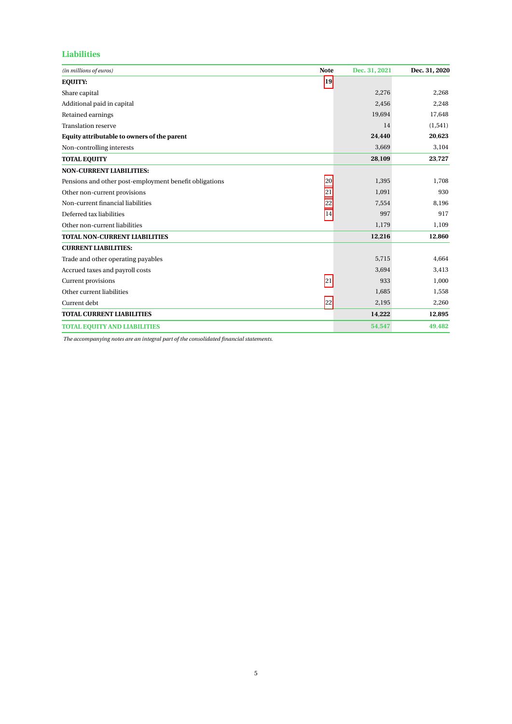## **Liabilities**

| (in millions of euros)                                 | <b>Note</b> | Dec. 31, 2021 | Dec. 31, 2020 |
|--------------------------------------------------------|-------------|---------------|---------------|
| <b>EQUITY:</b>                                         | 19          |               |               |
| Share capital                                          |             | 2,276         | 2,268         |
| Additional paid in capital                             |             | 2,456         | 2,248         |
| Retained earnings                                      |             | 19,694        | 17,648        |
| <b>Translation reserve</b>                             |             | 14            | (1, 541)      |
| Equity attributable to owners of the parent            |             | 24,440        | 20,623        |
| Non-controlling interests                              |             | 3,669         | 3,104         |
| <b>TOTAL EQUITY</b>                                    |             | 28,109        | 23,727        |
| <b>NON-CURRENT LIABILITIES:</b>                        |             |               |               |
| Pensions and other post-employment benefit obligations | 20          | 1,395         | 1,708         |
| Other non-current provisions                           | 21          | 1,091         | 930           |
| Non-current financial liabilities                      | 22          | 7,554         | 8,196         |
| Deferred tax liabilities                               | 14          | 997           | 917           |
| Other non-current liabilities                          |             | 1,179         | 1,109         |
| <b>TOTAL NON-CURRENT LIABILITIES</b>                   |             | 12,216        | 12,860        |
| <b>CURRENT LIABILITIES:</b>                            |             |               |               |
| Trade and other operating payables                     |             | 5,715         | 4,664         |
| Accrued taxes and payroll costs                        |             | 3,694         | 3,413         |
| Current provisions                                     | 21          | 933           | 1,000         |
| Other current liabilities                              |             | 1,685         | 1,558         |
| Current debt                                           | 22          | 2,195         | 2,260         |
| <b>TOTAL CURRENT LIABILITIES</b>                       |             | 14,222        | 12,895        |
| <b>TOTAL EQUITY AND LIABILITIES</b>                    |             | 54,547        | 49,482        |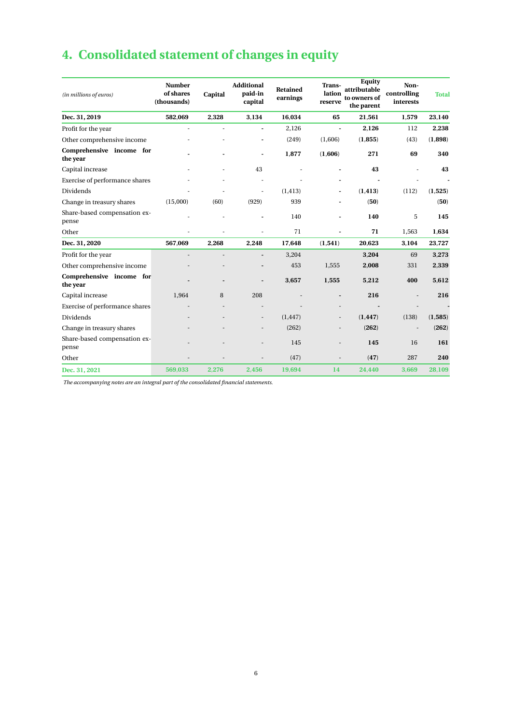# **4. Consolidated statement of changes in equity**

| (in millions of euros)                | <b>Number</b><br>of shares<br>(thousands) | Capital | <b>Additional</b><br>paid-in<br>capital | Retained<br>earnings | Trans-<br>lation<br>reserve | Equity<br>attributable<br>to owners of<br>the parent | Non-<br>controlling<br>interests | <b>Total</b> |
|---------------------------------------|-------------------------------------------|---------|-----------------------------------------|----------------------|-----------------------------|------------------------------------------------------|----------------------------------|--------------|
| Dec. 31, 2019                         | 582,069                                   | 2,328   | 3,134                                   | 16,034               | 65                          | 21,561                                               | 1,579                            | 23,140       |
| Profit for the year                   | ÷,                                        | ÷.      | $\blacksquare$                          | 2,126                | $\blacksquare$              | 2,126                                                | 112                              | 2,238        |
| Other comprehensive income            |                                           |         |                                         | (249)                | (1,606)                     | (1, 855)                                             | (43)                             | (1,898)      |
| Comprehensive income for<br>the year  |                                           |         | $\blacksquare$                          | 1,877                | (1,606)                     | 271                                                  | 69                               | 340          |
| Capital increase                      |                                           |         | 43                                      |                      |                             | 43                                                   |                                  | 43           |
| Exercise of performance shares        |                                           |         |                                         |                      |                             |                                                      |                                  |              |
| Dividends                             |                                           |         | $\overline{\phantom{a}}$                | (1, 413)             | $\blacksquare$              | (1, 413)                                             | (112)                            | (1,525)      |
| Change in treasury shares             | (15,000)                                  | (60)    | (929)                                   | 939                  |                             | (50)                                                 |                                  | (50)         |
| Share-based compensation ex-<br>pense |                                           |         |                                         | 140                  |                             | 140                                                  | 5                                | 145          |
| Other                                 |                                           |         |                                         | 71                   |                             | 71                                                   | 1,563                            | 1,634        |
| Dec. 31, 2020                         | 567,069                                   | 2,268   | 2,248                                   | 17,648               | (1, 541)                    | 20,623                                               | 3,104                            | 23,727       |
| Profit for the year                   |                                           |         | $\overline{\phantom{a}}$                | 3,204                |                             | 3,204                                                | 69                               | 3,273        |
| Other comprehensive income            |                                           |         |                                         | 453                  | 1,555                       | 2,008                                                | 331                              | 2,339        |
| Comprehensive income for<br>the year  |                                           |         |                                         | 3,657                | 1,555                       | 5,212                                                | 400                              | 5,612        |
| Capital increase                      | 1,964                                     | 8       | 208                                     |                      | $\overline{\phantom{a}}$    | 216                                                  | $\overline{a}$                   | 216          |
| Exercise of performance shares        |                                           |         |                                         |                      |                             |                                                      |                                  |              |
| Dividends                             |                                           |         |                                         | (1, 447)             |                             | (1, 447)                                             | (138)                            | (1,585)      |
| Change in treasury shares             |                                           |         |                                         | (262)                |                             | (262)                                                | $\overline{\phantom{a}}$         | (262)        |
| Share-based compensation ex-<br>pense |                                           |         |                                         | 145                  |                             | 145                                                  | 16                               | 161          |
| Other                                 |                                           |         |                                         | (47)                 |                             | (47)                                                 | 287                              | 240          |
| Dec. 31, 2021                         | 569,033                                   | 2,276   | 2,456                                   | 19,694               | 14                          | 24,440                                               | 3,669                            | 28,109       |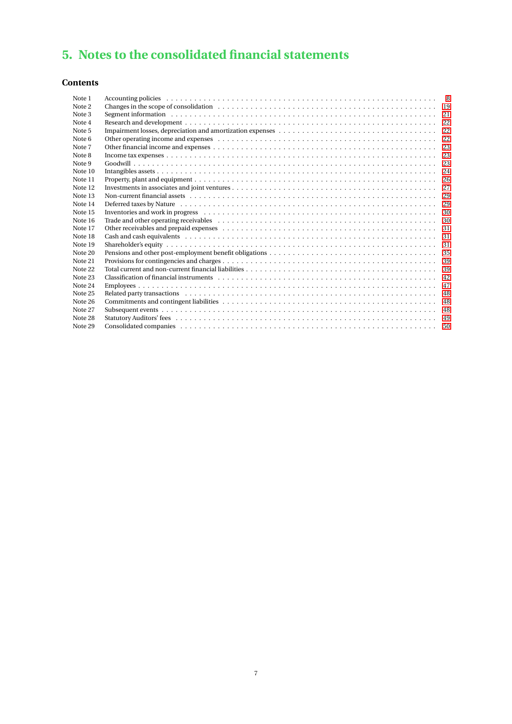# **5. Notes to the consolidated financial statements**

## **Contents**

| Note 1  |                                                                                                                                                                                                                                |    |
|---------|--------------------------------------------------------------------------------------------------------------------------------------------------------------------------------------------------------------------------------|----|
| Note 2  |                                                                                                                                                                                                                                |    |
| Note 3  | Segment information (a) respectively. The contract of the contract of the contract of the contract of the contract of the contract of the contract of the contract of the contract of the contract of the contract of the cont |    |
| Note 4  |                                                                                                                                                                                                                                |    |
| Note 5  |                                                                                                                                                                                                                                | 22 |
| Note 6  |                                                                                                                                                                                                                                |    |
| Note 7  |                                                                                                                                                                                                                                | 23 |
| Note 8  |                                                                                                                                                                                                                                |    |
| Note 9  |                                                                                                                                                                                                                                |    |
| Note 10 |                                                                                                                                                                                                                                | 24 |
| Note 11 |                                                                                                                                                                                                                                |    |
| Note 12 |                                                                                                                                                                                                                                | 27 |
| Note 13 |                                                                                                                                                                                                                                |    |
| Note 14 |                                                                                                                                                                                                                                |    |
| Note 15 | Inventories and work in progress respectively and the contract of the contract of the contract of the contract of the contract of the contract of the contract of the contract of the contract of the contract of the contract | 30 |
| Note 16 |                                                                                                                                                                                                                                |    |
| Note 17 |                                                                                                                                                                                                                                |    |
| Note 18 |                                                                                                                                                                                                                                |    |
| Note 19 |                                                                                                                                                                                                                                |    |
| Note 20 |                                                                                                                                                                                                                                | 35 |
| Note 21 |                                                                                                                                                                                                                                | 39 |
| Note 22 |                                                                                                                                                                                                                                |    |
| Note 23 |                                                                                                                                                                                                                                | 42 |
| Note 24 |                                                                                                                                                                                                                                | 47 |
| Note 25 |                                                                                                                                                                                                                                | 48 |
| Note 26 |                                                                                                                                                                                                                                |    |
| Note 27 |                                                                                                                                                                                                                                | 48 |
| Note 28 |                                                                                                                                                                                                                                | 49 |
| Note 29 |                                                                                                                                                                                                                                | 50 |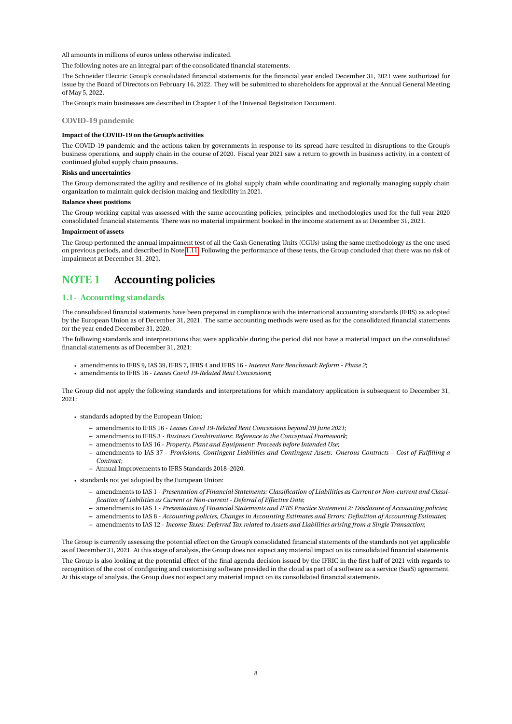All amounts in millions of euros unless otherwise indicated.

The following notes are an integral part of the consolidated financial statements.

The Schneider Electric Group's consolidated financial statements for the financial year ended December 31, 2021 were authorized for issue by the Board of Directors on February 16, 2022. They will be submitted to shareholders for approval at the Annual General Meeting of May 5, 2022.

The Group's main businesses are described in Chapter 1 of the Universal Registration Document.

#### **COVID-19 pandemic**

#### **Impact of the COVID-19 on the Group's activities**

The COVID-19 pandemic and the actions taken by governments in response to its spread have resulted in disruptions to the Group's business operations, and supply chain in the course of 2020. Fiscal year 2021 saw a return to growth in business activity, in a context of continued global supply chain pressures.

#### **Risks and uncertainties**

The Group demonstrated the agility and resilience of its global supply chain while coordinating and regionally managing supply chain organization to maintain quick decision making and flexibility in 2021.

#### **Balance sheet positions**

The Group working capital was assessed with the same accounting policies, principles and methodologies used for the full year 2020 consolidated financial statements. There was no material impairment booked in the income statement as at December 31, 2021.

#### **Impairment of assets**

The Group performed the annual impairment test of all the Cash Generating Units (CGUs) using the same methodology as the one used on previous periods, and described in Note [1.11.](#page-13-0) Following the performance of these tests, the Group concluded that there was no risk of impairment at December 31, 2021.

## <span id="page-8-0"></span>**NOTE 1 Accounting policies**

### **1.1- Accounting standards**

The consolidated financial statements have been prepared in compliance with the international accounting standards (IFRS) as adopted by the European Union as of December 31, 2021. The same accounting methods were used as for the consolidated financial statements for the year ended December 31, 2020.

The following standards and interpretations that were applicable during the period did not have a material impact on the consolidated financial statements as of December 31, 2021:

- amendments to IFRS 9, IAS 39, IFRS 7, IFRS 4 and IFRS 16 *Interest Rate Benchmark Reform Phase 2*;
- amendments to IFRS 16 *Leases Covid 19-Related Rent Concessions*;

The Group did not apply the following standards and interpretations for which mandatory application is subsequent to December 31, 2021:

- standards adopted by the European Union:
	- **–** amendments to IFRS 16 *Leases Covid 19-Related Rent Concessions beyond 30 June 2021*;
	- **–** amendments to IFRS 3 *Business Combinations: Reference to the Conceptual Framework*;
	- **–** amendments to IAS 16 *Property, Plant and Equipment: Proceeds before Intended Use*;
	- **–** amendments to IAS 37 *Provisions, Contingent Liabilities and Contingent Assets: Onerous Contracts Cost of Fulfilling a Contract*;
	- **–** Annual Improvements to IFRS Standards 2018–2020.
- standards not yet adopted by the European Union:
	- **–** amendments to IAS 1 *Presentation of Financial Statements: Classification of Liabilities as Current or Non-current and Classification of Liabilities as Current or Non-current - Deferral of Effective Date*;
	- **–** amendments to IAS 1 *Presentation of Financial Statements and IFRS Practice Statement 2: Disclosure of Accounting policies*;
	- **–** amendments to IAS 8 *Accounting policies, Changes in Accounting Estimates and Errors: Definition of Accounting Estimates*;
	- **–** amendments to IAS 12 *Income Taxes: Deferred Tax related to Assets and Liabilities arising from a Single Transaction*;

The Group is currently assessing the potential effect on the Group's consolidated financial statements of the standards not yet applicable as of December 31, 2021. At this stage of analysis, the Group does not expect any material impact on its consolidated financial statements. The Group is also looking at the potential effect of the final agenda decision issued by the IFRIC in the first half of 2021 with regards to recognition of the cost of configuring and customising software provided in the cloud as part of a software as a service (SaaS) agreement. At this stage of analysis, the Group does not expect any material impact on its consolidated financial statements.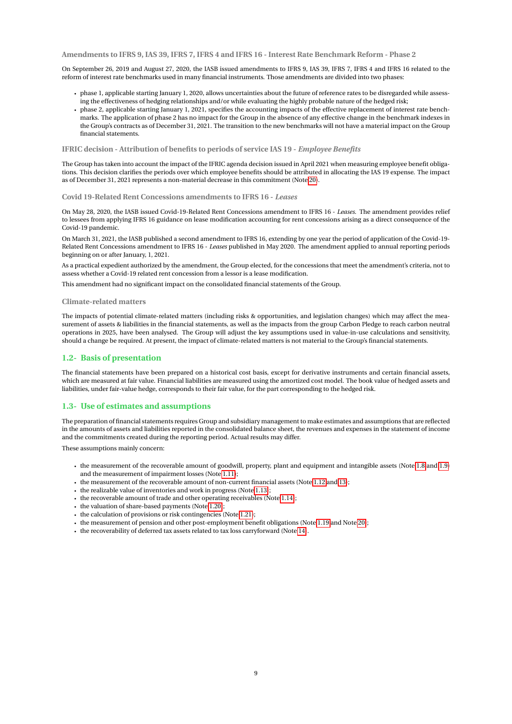**Amendments to IFRS 9, IAS 39, IFRS 7, IFRS 4 and IFRS 16 - Interest Rate Benchmark Reform - Phase 2**

On September 26, 2019 and August 27, 2020, the IASB issued amendments to IFRS 9, IAS 39, IFRS 7, IFRS 4 and IFRS 16 related to the reform of interest rate benchmarks used in many financial instruments. Those amendments are divided into two phases:

- phase 1, applicable starting January 1, 2020, allows uncertainties about the future of reference rates to be disregarded while assessing the effectiveness of hedging relationships and/or while evaluating the highly probable nature of the hedged risk;
- phase 2, applicable starting January 1, 2021, specifies the accounting impacts of the effective replacement of interest rate benchmarks. The application of phase 2 has no impact for the Group in the absence of any effective change in the benchmark indexes in the Group's contracts as of December 31, 2021. The transition to the new benchmarks will not have a material impact on the Group financial statements.

**IFRIC decision - Attribution of benefits to periods of service IAS 19 -** *Employee Benefits*

The Group has taken into account the impact of the IFRIC agenda decision issued in April 2021 when measuring employee benefit obligations. This decision clarifies the periods over which employee benefits should be attributed in allocating the IAS 19 expense. The impact as of December 31, 2021 represents a non-material decrease in this commitment (Note [20\)](#page-35-0).

#### **Covid 19-Related Rent Concessions amendments to IFRS 16 -** *Leases*

On May 28, 2020, the IASB issued Covid-19-Related Rent Concessions amendment to IFRS 16 - *Leases*. The amendment provides relief to lessees from applying IFRS 16 guidance on lease modification accounting for rent concessions arising as a direct consequence of the Covid-19 pandemic.

On March 31, 2021, the IASB published a second amendment to IFRS 16, extending by one year the period of application of the Covid-19- Related Rent Concessions amendment to IFRS 16 - *Leases* published in May 2020. The amendment applied to annual reporting periods beginning on or after January, 1, 2021.

As a practical expedient authorized by the amendment, the Group elected, for the concessions that meet the amendment's criteria, not to assess whether a Covid-19 related rent concession from a lessor is a lease modification.

This amendment had no significant impact on the consolidated financial statements of the Group.

#### **Climate-related matters**

The impacts of potential climate-related matters (including risks & opportunities, and legislation changes) which may affect the measurement of assets & liabilities in the financial statements, as well as the impacts from the group Carbon Pledge to reach carbon neutral operations in 2025, have been analysed. The Group will adjust the key assumptions used in value-in-use calculations and sensitivity, should a change be required. At present, the impact of climate-related matters is not material to the Group's financial statements.

#### **1.2- Basis of presentation**

The financial statements have been prepared on a historical cost basis, except for derivative instruments and certain financial assets, which are measured at fair value. Financial liabilities are measured using the amortized cost model. The book value of hedged assets and liabilities, under fair-value hedge, corresponds to their fair value, for the part corresponding to the hedged risk.

#### **1.3- Use of estimates and assumptions**

The preparation of financial statements requires Group and subsidiary management to make estimates and assumptions that are reflected in the amounts of assets and liabilities reported in the consolidated balance sheet, the revenues and expenses in the statement of income and the commitments created during the reporting period. Actual results may differ.

These assumptions mainly concern:

- the measurement of the recoverable amount of goodwill, property, plant and equipment and intangible assets (Note [1.8](#page-10-0) and [1.9\)](#page-11-0) and the measurement of impairment losses (Note [1.11\)](#page-13-0);
- the measurement of the recoverable amount of non-current financial assets (Note [1.12](#page-13-1) and [13\)](#page-29-0);
- the realizable value of inventories and work in progress (Note [1.13\)](#page-14-0);
- the recoverable amount of trade and other operating receivables (Note [1.14\)](#page-14-1);
- the valuation of share-based payments (Note [1.20\)](#page-15-0);
- $\cdot$  the calculation of provisions or risk contingencies (Note [1.21\)](#page-15-1);
- the measurement of pension and other post-employment benefit obligations (Note [1.19](#page-15-2) and Note [20\)](#page-35-0);
- the recoverability of deferred tax assets related to tax loss carryforward (Note [14\)](#page-29-1).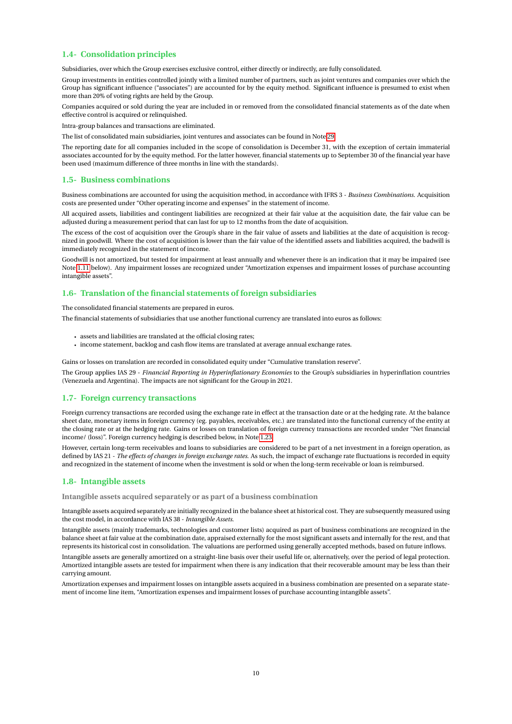### **1.4- Consolidation principles**

Subsidiaries, over which the Group exercises exclusive control, either directly or indirectly, are fully consolidated.

Group investments in entities controlled jointly with a limited number of partners, such as joint ventures and companies over which the Group has significant influence ("associates") are accounted for by the equity method. Significant influence is presumed to exist when more than 20% of voting rights are held by the Group.

Companies acquired or sold during the year are included in or removed from the consolidated financial statements as of the date when effective control is acquired or relinquished.

Intra-group balances and transactions are eliminated.

The list of consolidated main subsidiaries, joint ventures and associates can be found in Note [29.](#page-50-0)

The reporting date for all companies included in the scope of consolidation is December 31, with the exception of certain immaterial associates accounted for by the equity method. For the latter however, financial statements up to September 30 of the financial year have been used (maximum difference of three months in line with the standards).

#### **1.5- Business combinations**

Business combinations are accounted for using the acquisition method, in accordance with IFRS 3 - *Business Combinations*. Acquisition costs are presented under "Other operating income and expenses" in the statement of income.

All acquired assets, liabilities and contingent liabilities are recognized at their fair value at the acquisition date, the fair value can be adjusted during a measurement period that can last for up to 12 months from the date of acquisition.

The excess of the cost of acquisition over the Group's share in the fair value of assets and liabilities at the date of acquisition is recognized in goodwill. Where the cost of acquisition is lower than the fair value of the identified assets and liabilities acquired, the badwill is immediately recognized in the statement of income.

Goodwill is not amortized, but tested for impairment at least annually and whenever there is an indication that it may be impaired (see Note [1.11](#page-13-0) below). Any impairment losses are recognized under "Amortization expenses and impairment losses of purchase accounting intangible assets".

### **1.6- Translation of the financial statements of foreign subsidiaries**

The consolidated financial statements are prepared in euros.

The financial statements of subsidiaries that use another functional currency are translated into euros as follows:

- assets and liabilities are translated at the official closing rates;
- income statement, backlog and cash flow items are translated at average annual exchange rates.

Gains or losses on translation are recorded in consolidated equity under "Cumulative translation reserve".

The Group applies IAS 29 - *Financial Reporting in Hyperinflationary Economies* to the Group's subsidiaries in hyperinflation countries (Venezuela and Argentina). The impacts are not significant for the Group in 2021.

#### **1.7- Foreign currency transactions**

Foreign currency transactions are recorded using the exchange rate in effect at the transaction date or at the hedging rate. At the balance sheet date, monetary items in foreign currency (eg. payables, receivables, etc.) are translated into the functional currency of the entity at the closing rate or at the hedging rate. Gains or losses on translation of foreign currency transactions are recorded under "Net financial income/ (loss)". Foreign currency hedging is described below, in Note [1.23.](#page-16-0)

However, certain long-term receivables and loans to subsidiaries are considered to be part of a net investment in a foreign operation, as defined by IAS 21 - *The effects of changes in foreign exchange rates*. As such, the impact of exchange rate fluctuations is recorded in equity and recognized in the statement of income when the investment is sold or when the long-term receivable or loan is reimbursed.

## <span id="page-10-0"></span>**1.8- Intangible assets**

**Intangible assets acquired separately or as part of a business combination**

Intangible assets acquired separately are initially recognized in the balance sheet at historical cost. They are subsequently measured using the cost model, in accordance with IAS 38 - *Intangible Assets*.

Intangible assets (mainly trademarks, technologies and customer lists) acquired as part of business combinations are recognized in the balance sheet at fair value at the combination date, appraised externally for the most significant assets and internally for the rest, and that represents its historical cost in consolidation. The valuations are performed using generally accepted methods, based on future inflows.

Intangible assets are generally amortized on a straight-line basis over their useful life or, alternatively, over the period of legal protection. Amortized intangible assets are tested for impairment when there is any indication that their recoverable amount may be less than their carrying amount.

Amortization expenses and impairment losses on intangible assets acquired in a business combination are presented on a separate statement of income line item, "Amortization expenses and impairment losses of purchase accounting intangible assets".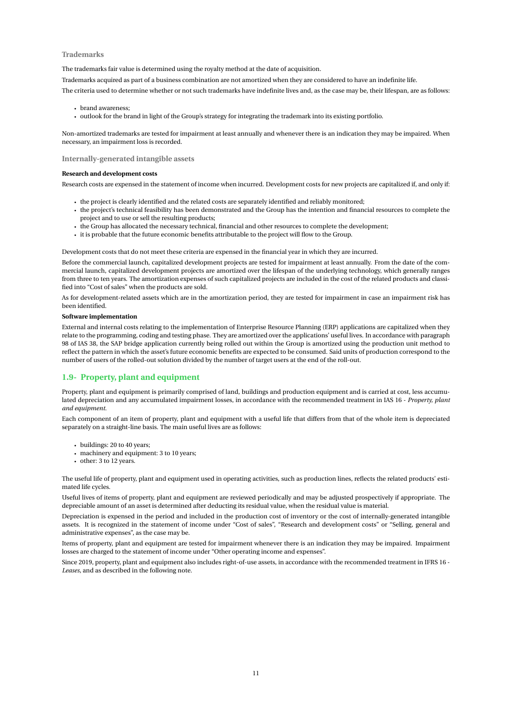### **Trademarks**

The trademarks fair value is determined using the royalty method at the date of acquisition.

Trademarks acquired as part of a business combination are not amortized when they are considered to have an indefinite life.

The criteria used to determine whether or not such trademarks have indefinite lives and, as the case may be, their lifespan, are as follows:

- brand awareness;
- outlook for the brand in light of the Group's strategy for integrating the trademark into its existing portfolio.

Non-amortized trademarks are tested for impairment at least annually and whenever there is an indication they may be impaired. When necessary, an impairment loss is recorded.

#### **Internally-generated intangible assets**

#### **Research and development costs**

Research costs are expensed in the statement of income when incurred. Development costs for new projects are capitalized if, and only if:

- the project is clearly identified and the related costs are separately identified and reliably monitored;
- the project's technical feasibility has been demonstrated and the Group has the intention and financial resources to complete the project and to use or sell the resulting products;
- the Group has allocated the necessary technical, financial and other resources to complete the development;
- it is probable that the future economic benefits attributable to the project will flow to the Group.

Development costs that do not meet these criteria are expensed in the financial year in which they are incurred.

Before the commercial launch, capitalized development projects are tested for impairment at least annually. From the date of the commercial launch, capitalized development projects are amortized over the lifespan of the underlying technology, which generally ranges from three to ten years. The amortization expenses of such capitalized projects are included in the cost of the related products and classified into "Cost of sales" when the products are sold.

As for development-related assets which are in the amortization period, they are tested for impairment in case an impairment risk has been identified.

#### **Software implementation**

External and internal costs relating to the implementation of Enterprise Resource Planning (ERP) applications are capitalized when they relate to the programming, coding and testing phase. They are amortized over the applications' useful lives. In accordance with paragraph 98 of IAS 38, the SAP bridge application currently being rolled out within the Group is amortized using the production unit method to reflect the pattern in which the asset's future economic benefits are expected to be consumed. Said units of production correspond to the number of users of the rolled-out solution divided by the number of target users at the end of the roll-out.

#### <span id="page-11-0"></span>**1.9- Property, plant and equipment**

Property, plant and equipment is primarily comprised of land, buildings and production equipment and is carried at cost, less accumulated depreciation and any accumulated impairment losses, in accordance with the recommended treatment in IAS 16 - *Property, plant and equipment*.

Each component of an item of property, plant and equipment with a useful life that differs from that of the whole item is depreciated separately on a straight-line basis. The main useful lives are as follows:

- buildings: 20 to 40 years;
- machinery and equipment: 3 to 10 years;
- other: 3 to 12 years.

The useful life of property, plant and equipment used in operating activities, such as production lines, reflects the related products' estimated life cycles.

Useful lives of items of property, plant and equipment are reviewed periodically and may be adjusted prospectively if appropriate. The depreciable amount of an asset is determined after deducting its residual value, when the residual value is material.

Depreciation is expensed in the period and included in the production cost of inventory or the cost of internally-generated intangible assets. It is recognized in the statement of income under "Cost of sales", "Research and development costs" or "Selling, general and administrative expenses", as the case may be.

Items of property, plant and equipment are tested for impairment whenever there is an indication they may be impaired. Impairment losses are charged to the statement of income under "Other operating income and expenses".

Since 2019, property, plant and equipment also includes right-of-use assets, in accordance with the recommended treatment in IFRS 16 - *Leases*, and as described in the following note.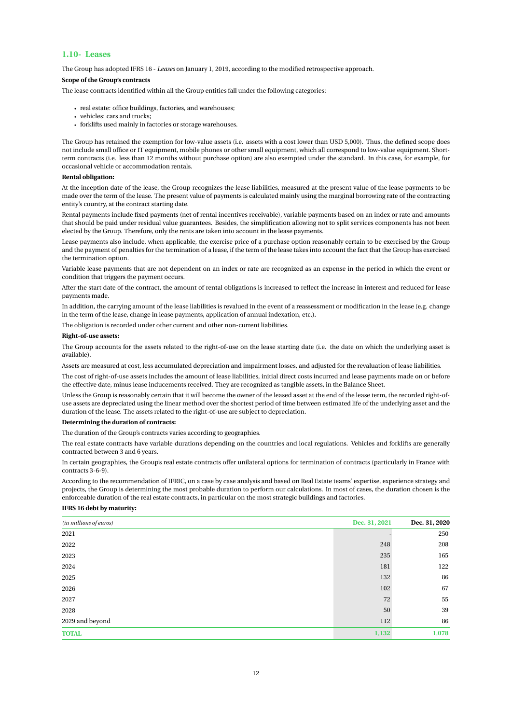#### **1.10- Leases**

The Group has adopted IFRS 16 - *Leases* on January 1, 2019, according to the modified retrospective approach.

#### **Scope of the Group's contracts**

The lease contracts identified within all the Group entities fall under the following categories:

- real estate: office buildings, factories, and warehouses;
- vehicles: cars and trucks;
- forklifts used mainly in factories or storage warehouses.

The Group has retained the exemption for low-value assets (i.e. assets with a cost lower than USD 5,000). Thus, the defined scope does not include small office or IT equipment, mobile phones or other small equipment, which all correspond to low-value equipment. Shortterm contracts (i.e. less than 12 months without purchase option) are also exempted under the standard. In this case, for example, for occasional vehicle or accommodation rentals.

#### **Rental obligation:**

At the inception date of the lease, the Group recognizes the lease liabilities, measured at the present value of the lease payments to be made over the term of the lease. The present value of payments is calculated mainly using the marginal borrowing rate of the contracting entity's country, at the contract starting date.

Rental payments include fixed payments (net of rental incentives receivable), variable payments based on an index or rate and amounts that should be paid under residual value guarantees. Besides, the simplification allowing not to split services components has not been elected by the Group. Therefore, only the rents are taken into account in the lease payments.

Lease payments also include, when applicable, the exercise price of a purchase option reasonably certain to be exercised by the Group and the payment of penalties for the termination of a lease, if the term of the lease takes into account the fact that the Group has exercised the termination option.

Variable lease payments that are not dependent on an index or rate are recognized as an expense in the period in which the event or condition that triggers the payment occurs.

After the start date of the contract, the amount of rental obligations is increased to reflect the increase in interest and reduced for lease payments made.

In addition, the carrying amount of the lease liabilities is revalued in the event of a reassessment or modification in the lease (e.g. change in the term of the lease, change in lease payments, application of annual indexation, etc.).

The obligation is recorded under other current and other non-current liabilities.

#### **Right-of-use assets:**

The Group accounts for the assets related to the right-of-use on the lease starting date (i.e. the date on which the underlying asset is available).

Assets are measured at cost, less accumulated depreciation and impairment losses, and adjusted for the revaluation of lease liabilities.

The cost of right-of-use assets includes the amount of lease liabilities, initial direct costs incurred and lease payments made on or before the effective date, minus lease inducements received. They are recognized as tangible assets, in the Balance Sheet.

Unless the Group is reasonably certain that it will become the owner of the leased asset at the end of the lease term, the recorded right-ofuse assets are depreciated using the linear method over the shortest period of time between estimated life of the underlying asset and the duration of the lease. The assets related to the right-of-use are subject to depreciation.

#### **Determining the duration of contracts:**

The duration of the Group's contracts varies according to geographies.

The real estate contracts have variable durations depending on the countries and local regulations. Vehicles and forklifts are generally contracted between 3 and 6 years.

In certain geographies, the Group's real estate contracts offer unilateral options for termination of contracts (particularly in France with contracts 3-6-9).

According to the recommendation of IFRIC, on a case by case analysis and based on Real Estate teams' expertise, experience strategy and projects, the Group is determining the most probable duration to perform our calculations. In most of cases, the duration chosen is the enforceable duration of the real estate contracts, in particular on the most strategic buildings and factories.

#### **IFRS 16 debt by maturity:**

| (in millions of euros) | Dec. 31, 2021 | Dec. 31, 2020 |
|------------------------|---------------|---------------|
| 2021                   |               | 250           |
| 2022                   | 248           | 208           |
| 2023                   | 235           | 165           |
| 2024                   | 181           | 122           |
| 2025                   | 132           | 86            |
| 2026                   | 102           | 67            |
| 2027                   | 72            | 55            |
| 2028                   | 50            | 39            |
| 2029 and beyond        | 112           | 86            |
| <b>TOTAL</b>           | 1,132         | 1,078         |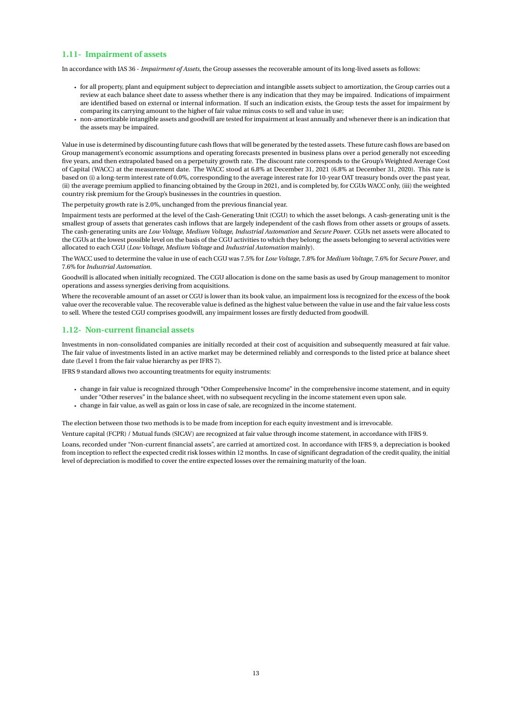### <span id="page-13-0"></span>**1.11- Impairment of assets**

In accordance with IAS 36 - *Impairment of Assets*, the Group assesses the recoverable amount of its long-lived assets as follows:

- for all property, plant and equipment subject to depreciation and intangible assets subject to amortization, the Group carries out a review at each balance sheet date to assess whether there is any indication that they may be impaired. Indications of impairment are identified based on external or internal information. If such an indication exists, the Group tests the asset for impairment by comparing its carrying amount to the higher of fair value minus costs to sell and value in use;
- non-amortizable intangible assets and goodwill are tested for impairment at least annually and whenever there is an indication that the assets may be impaired.

Value in use is determined by discounting future cash flows that will be generated by the tested assets. These future cash flows are based on Group management's economic assumptions and operating forecasts presented in business plans over a period generally not exceeding five years, and then extrapolated based on a perpetuity growth rate. The discount rate corresponds to the Group's Weighted Average Cost of Capital (WACC) at the measurement date. The WACC stood at 6.8% at December 31, 2021 (6.8% at December 31, 2020). This rate is based on (i) a long-term interest rate of 0.0%, corresponding to the average interest rate for 10-year OAT treasury bonds over the past year, (ii) the average premium applied to financing obtained by the Group in 2021, and is completed by, for CGUs WACC only, (iii) the weighted country risk premium for the Group's businesses in the countries in question.

The perpetuity growth rate is 2.0%, unchanged from the previous financial year.

Impairment tests are performed at the level of the Cash-Generating Unit (CGU) to which the asset belongs. A cash-generating unit is the smallest group of assets that generates cash inflows that are largely independent of the cash flows from other assets or groups of assets. The cash-generating units are *Low Voltage*, *Medium Voltage*, *Industrial Automation* and *Secure Power*. CGUs net assets were allocated to the CGUs at the lowest possible level on the basis of the CGU activities to which they belong; the assets belonging to several activities were allocated to each CGU (*Low Voltage*, *Medium Voltage* and *Industrial Automation* mainly).

The WACC used to determine the value in use of each CGU was 7.5% for *Low Voltage*, 7.8% for *Medium Voltage*, 7.6% for *Secure Power*, and 7.6% for *Industrial Automation*.

Goodwill is allocated when initially recognized. The CGU allocation is done on the same basis as used by Group management to monitor operations and assess synergies deriving from acquisitions.

Where the recoverable amount of an asset or CGU is lower than its book value, an impairment loss is recognized for the excess of the book value over the recoverable value. The recoverable value is defined as the highest value between the value in use and the fair value less costs to sell. Where the tested CGU comprises goodwill, any impairment losses are firstly deducted from goodwill.

#### <span id="page-13-1"></span>**1.12- Non-current financial assets**

Investments in non-consolidated companies are initially recorded at their cost of acquisition and subsequently measured at fair value. The fair value of investments listed in an active market may be determined reliably and corresponds to the listed price at balance sheet date (Level 1 from the fair value hierarchy as per IFRS 7).

IFRS 9 standard allows two accounting treatments for equity instruments:

• change in fair value is recognized through "Other Comprehensive Income" in the comprehensive income statement, and in equity under "Other reserves" in the balance sheet, with no subsequent recycling in the income statement even upon sale. • change in fair value, as well as gain or loss in case of sale, are recognized in the income statement.

The election between those two methods is to be made from inception for each equity investment and is irrevocable.

Venture capital (FCPR) / Mutual funds (SICAV) are recognized at fair value through income statement, in accordance with IFRS 9.

Loans, recorded under "Non-current financial assets", are carried at amortized cost. In accordance with IFRS 9, a depreciation is booked from inception to reflect the expected credit risk losses within 12 months. In case of significant degradation of the credit quality, the initial level of depreciation is modified to cover the entire expected losses over the remaining maturity of the loan.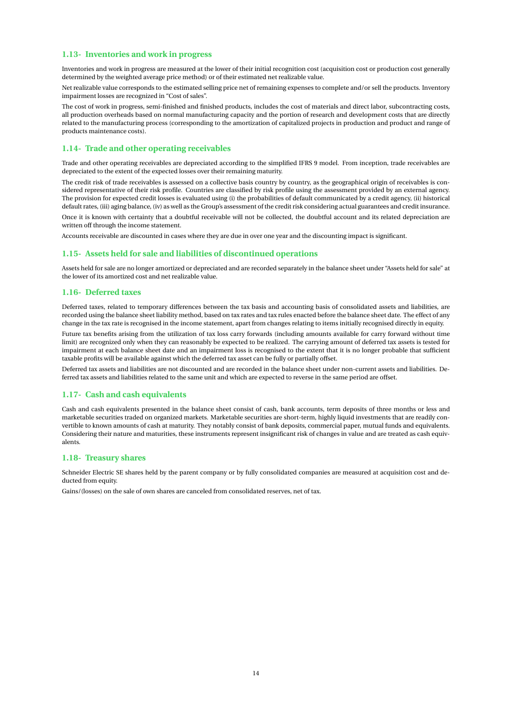### <span id="page-14-0"></span>**1.13- Inventories and work in progress**

Inventories and work in progress are measured at the lower of their initial recognition cost (acquisition cost or production cost generally determined by the weighted average price method) or of their estimated net realizable value.

Net realizable value corresponds to the estimated selling price net of remaining expenses to complete and/or sell the products. Inventory impairment losses are recognized in "Cost of sales".

The cost of work in progress, semi-finished and finished products, includes the cost of materials and direct labor, subcontracting costs, all production overheads based on normal manufacturing capacity and the portion of research and development costs that are directly related to the manufacturing process (corresponding to the amortization of capitalized projects in production and product and range of products maintenance costs).

### <span id="page-14-1"></span>**1.14- Trade and other operating receivables**

Trade and other operating receivables are depreciated according to the simplified IFRS 9 model. From inception, trade receivables are depreciated to the extent of the expected losses over their remaining maturity.

The credit risk of trade receivables is assessed on a collective basis country by country, as the geographical origin of receivables is considered representative of their risk profile. Countries are classified by risk profile using the assessment provided by an external agency. The provision for expected credit losses is evaluated using (i) the probabilities of default communicated by a credit agency, (ii) historical default rates, (iii) aging balance, (iv) as well as the Group's assessment of the credit risk considering actual guarantees and credit insurance. Once it is known with certainty that a doubtful receivable will not be collected, the doubtful account and its related depreciation are written off through the income statement.

Accounts receivable are discounted in cases where they are due in over one year and the discounting impact is significant.

#### **1.15- Assets held for sale and liabilities of discontinued operations**

Assets held for sale are no longer amortized or depreciated and are recorded separately in the balance sheet under "Assets held for sale" at the lower of its amortized cost and net realizable value.

#### **1.16- Deferred taxes**

Deferred taxes, related to temporary differences between the tax basis and accounting basis of consolidated assets and liabilities, are recorded using the balance sheet liability method, based on tax rates and tax rules enacted before the balance sheet date. The effect of any change in the tax rate is recognised in the income statement, apart from changes relating to items initially recognised directly in equity.

Future tax benefits arising from the utilization of tax loss carry forwards (including amounts available for carry forward without time limit) are recognized only when they can reasonably be expected to be realized. The carrying amount of deferred tax assets is tested for impairment at each balance sheet date and an impairment loss is recognised to the extent that it is no longer probable that sufficient taxable profits will be available against which the deferred tax asset can be fully or partially offset.

Deferred tax assets and liabilities are not discounted and are recorded in the balance sheet under non-current assets and liabilities. Deferred tax assets and liabilities related to the same unit and which are expected to reverse in the same period are offset.

#### **1.17- Cash and cash equivalents**

Cash and cash equivalents presented in the balance sheet consist of cash, bank accounts, term deposits of three months or less and marketable securities traded on organized markets. Marketable securities are short-term, highly liquid investments that are readily convertible to known amounts of cash at maturity. They notably consist of bank deposits, commercial paper, mutual funds and equivalents. Considering their nature and maturities, these instruments represent insignificant risk of changes in value and are treated as cash equivalents.

#### **1.18- Treasury shares**

Schneider Electric SE shares held by the parent company or by fully consolidated companies are measured at acquisition cost and deducted from equity.

Gains/(losses) on the sale of own shares are canceled from consolidated reserves, net of tax.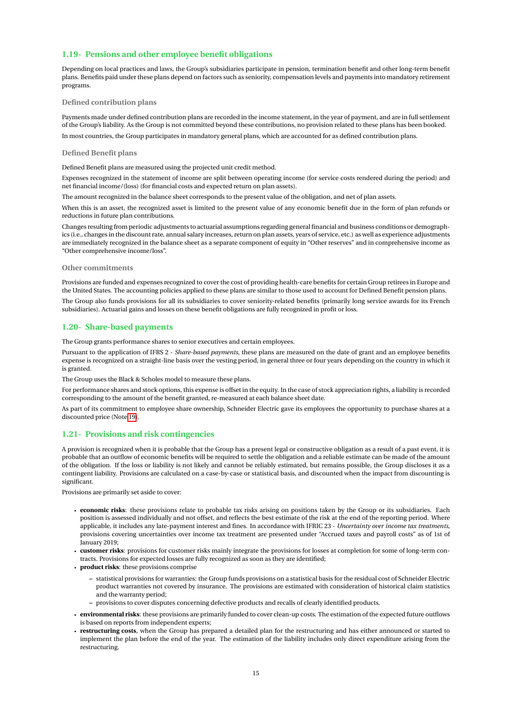### <span id="page-15-2"></span>**1.19- Pensions and other employee benefit obligations**

Depending on local practices and laws, the Group's subsidiaries participate in pension, termination benefit and other long-term benefit plans. Benefits paid under these plans depend on factors such as seniority, compensation levels and payments into mandatory retirement programs.

#### **Defined contribution plans**

Payments made under defined contribution plans are recorded in the income statement, in the year of payment, and are in full settlement of the Group's liability. As the Group is not committed beyond these contributions, no provision related to these plans has been booked. In most countries, the Group participates in mandatory general plans, which are accounted for as defined contribution plans.

#### **Defined Benefit plans**

Defined Benefit plans are measured using the projected unit credit method.

Expenses recognized in the statement of income are split between operating income (for service costs rendered during the period) and net financial income/(loss) (for financial costs and expected return on plan assets).

The amount recognized in the balance sheet corresponds to the present value of the obligation, and net of plan assets.

When this is an asset, the recognized asset is limited to the present value of any economic benefit due in the form of plan refunds or reductions in future plan contributions.

Changes resulting from periodic adjustments to actuarial assumptions regarding general financial and business conditions or demographics (i.e., changes in the discount rate, annual salary increases, return on plan assets, years of service, etc.) as well as experience adjustments are immediately recognized in the balance sheet as a separate component of equity in "Other reserves" and in comprehensive income as "Other comprehensive income/loss".

#### **Other commitments**

Provisions are funded and expenses recognized to cover the cost of providing health-care benefits for certain Group retirees in Europe and the United States. The accounting policies applied to these plans are similar to those used to account for Defined Benefit pension plans.

The Group also funds provisions for all its subsidiaries to cover seniority-related benefits (primarily long service awards for its French subsidiaries). Actuarial gains and losses on these benefit obligations are fully recognized in profit or loss.

#### <span id="page-15-0"></span>**1.20- Share-based payments**

The Group grants performance shares to senior executives and certain employees.

Pursuant to the application of IFRS 2 - *Share-based payments*, these plans are measured on the date of grant and an employee benefits expense is recognized on a straight-line basis over the vesting period, in general three or four years depending on the country in which it is granted.

The Group uses the Black & Scholes model to measure these plans.

For performance shares and stock options, this expense is offset in the equity. In the case of stock appreciation rights, a liability is recorded corresponding to the amount of the benefit granted, re-measured at each balance sheet date.

As part of its commitment to employee share ownership, Schneider Electric gave its employees the opportunity to purchase shares at a discounted price (Note [19\)](#page-31-0).

#### <span id="page-15-1"></span>**1.21- Provisions and risk contingencies**

A provision is recognized when it is probable that the Group has a present legal or constructive obligation as a result of a past event, it is probable that an outflow of economic benefits will be required to settle the obligation and a reliable estimate can be made of the amount of the obligation. If the loss or liability is not likely and cannot be reliably estimated, but remains possible, the Group discloses it as a contingent liability. Provisions are calculated on a case-by-case or statistical basis, and discounted when the impact from discounting is significant.

Provisions are primarily set aside to cover:

- **economic risks**: these provisions relate to probable tax risks arising on positions taken by the Group or its subsidiaries. Each position is assessed individually and not offset, and reflects the best estimate of the risk at the end of the reporting period. Where applicable, it includes any late-payment interest and fines. In accordance with IFRIC 23 - *Uncertainty over income tax treatments*, provisions covering uncertainties over income tax treatment are presented under "Accrued taxes and payroll costs" as of 1st of January 2019;
- **customer risks**: provisions for customer risks mainly integrate the provisions for losses at completion for some of long-term contracts. Provisions for expected losses are fully recognized as soon as they are identified;
- **product risks**: these provisions comprise
	- **–** statistical provisions for warranties: the Group funds provisions on a statistical basis for the residual cost of Schneider Electric product warranties not covered by insurance. The provisions are estimated with consideration of historical claim statistics and the warranty period;
	- **–** provisions to cover disputes concerning defective products and recalls of clearly identified products.
- **environmental risks**: these provisions are primarily funded to cover clean-up costs. The estimation of the expected future outflows is based on reports from independent experts;
- **restructuring costs**, when the Group has prepared a detailed plan for the restructuring and has either announced or started to implement the plan before the end of the year. The estimation of the liability includes only direct expenditure arising from the restructuring.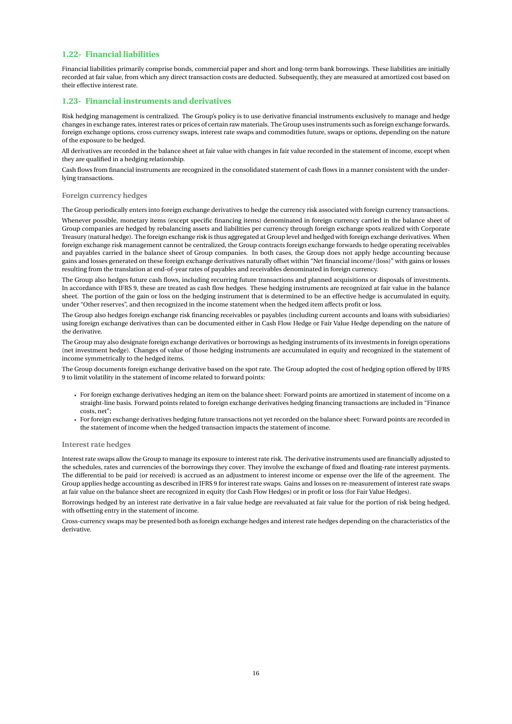### **1.22- Financial liabilities**

Financial liabilities primarily comprise bonds, commercial paper and short and long-term bank borrowings. These liabilities are initially recorded at fair value, from which any direct transaction costs are deducted. Subsequently, they are measured at amortized cost based on their effective interest rate.

### <span id="page-16-0"></span>**1.23- Financial instruments and derivatives**

Risk hedging management is centralized. The Group's policy is to use derivative financial instruments exclusively to manage and hedge changes in exchange rates, interest rates or prices of certain raw materials. The Group uses instruments such as foreign exchange forwards, foreign exchange options, cross currency swaps, interest rate swaps and commodities future, swaps or options, depending on the nature of the exposure to be hedged.

All derivatives are recorded in the balance sheet at fair value with changes in fair value recorded in the statement of income, except when they are qualified in a hedging relationship.

Cash flows from financial instruments are recognized in the consolidated statement of cash flows in a manner consistent with the underlying transactions.

#### **Foreign currency hedges**

The Group periodically enters into foreign exchange derivatives to hedge the currency risk associated with foreign currency transactions.

Whenever possible, monetary items (except specific financing items) denominated in foreign currency carried in the balance sheet of Group companies are hedged by rebalancing assets and liabilities per currency through foreign exchange spots realized with Corporate Treasury (natural hedge). The foreign exchange risk is thus aggregated at Group level and hedged with foreign exchange derivatives. When foreign exchange risk management cannot be centralized, the Group contracts foreign exchange forwards to hedge operating receivables and payables carried in the balance sheet of Group companies. In both cases, the Group does not apply hedge accounting because gains and losses generated on these foreign exchange derivatives naturally offset within "Net financial income/(loss)" with gains or losses resulting from the translation at end-of-year rates of payables and receivables denominated in foreign currency.

The Group also hedges future cash flows, including recurring future transactions and planned acquisitions or disposals of investments. In accordance with IFRS 9, these are treated as cash flow hedges. These hedging instruments are recognized at fair value in the balance sheet. The portion of the gain or loss on the hedging instrument that is determined to be an effective hedge is accumulated in equity, under "Other reserves", and then recognized in the income statement when the hedged item affects profit or loss.

The Group also hedges foreign exchange risk financing receivables or payables (including current accounts and loans with subsidiaries) using foreign exchange derivatives than can be documented either in Cash Flow Hedge or Fair Value Hedge depending on the nature of the derivative.

The Group may also designate foreign exchange derivatives or borrowings as hedging instruments of its investments in foreign operations (net investment hedge). Changes of value of those hedging instruments are accumulated in equity and recognized in the statement of income symmetrically to the hedged items.

The Group documents foreign exchange derivative based on the spot rate. The Group adopted the cost of hedging option offered by IFRS 9 to limit volatility in the statement of income related to forward points:

- For foreign exchange derivatives hedging an item on the balance sheet: Forward points are amortized in statement of income on a straight-line basis. Forward points related to foreign exchange derivatives hedging financing transactions are included in "Finance costs, net";
- For foreign exchange derivatives hedging future transactions not yet recorded on the balance sheet: Forward points are recorded in the statement of income when the hedged transaction impacts the statement of income.

#### **Interest rate hedges**

Interest rate swaps allow the Group to manage its exposure to interest rate risk. The derivative instruments used are financially adjusted to the schedules, rates and currencies of the borrowings they cover. They involve the exchange of fixed and floating-rate interest payments. The differential to be paid (or received) is accrued as an adjustment to interest income or expense over the life of the agreement. The Group applies hedge accounting as described in IFRS 9 for interest rate swaps. Gains and losses on re-measurement of interest rate swaps at fair value on the balance sheet are recognized in equity (for Cash Flow Hedges) or in profit or loss (for Fair Value Hedges).

Borrowings hedged by an interest rate derivative in a fair value hedge are reevaluated at fair value for the portion of risk being hedged, with offsetting entry in the statement of income.

Cross-currency swaps may be presented both as foreign exchange hedges and interest rate hedges depending on the characteristics of the derivative.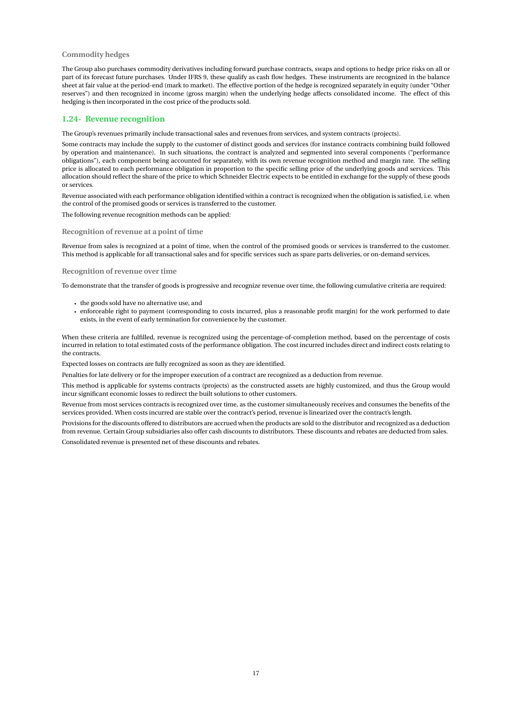#### **Commodity hedges**

The Group also purchases commodity derivatives including forward purchase contracts, swaps and options to hedge price risks on all or part of its forecast future purchases. Under IFRS 9, these qualify as cash flow hedges. These instruments are recognized in the balance sheet at fair value at the period-end (mark to market). The effective portion of the hedge is recognized separately in equity (under "Other reserves") and then recognized in income (gross margin) when the underlying hedge affects consolidated income. The effect of this hedging is then incorporated in the cost price of the products sold.

#### **1.24- Revenue recognition**

The Group's revenues primarily include transactional sales and revenues from services, and system contracts (projects).

Some contracts may include the supply to the customer of distinct goods and services (for instance contracts combining build followed by operation and maintenance). In such situations, the contract is analyzed and segmented into several components ("performance obligations"), each component being accounted for separately, with its own revenue recognition method and margin rate. The selling price is allocated to each performance obligation in proportion to the specific selling price of the underlying goods and services. This allocation should reflect the share of the price to which Schneider Electric expects to be entitled in exchange for the supply of these goods or services.

Revenue associated with each performance obligation identified within a contract is recognized when the obligation is satisfied, i.e. when the control of the promised goods or services is transferred to the customer.

The following revenue recognition methods can be applied:

#### **Recognition of revenue at a point of time**

Revenue from sales is recognized at a point of time, when the control of the promised goods or services is transferred to the customer. This method is applicable for all transactional sales and for specific services such as spare parts deliveries, or on-demand services.

#### **Recognition of revenue over time**

To demonstrate that the transfer of goods is progressive and recognize revenue over time, the following cumulative criteria are required:

- the goods sold have no alternative use, and
- enforceable right to payment (corresponding to costs incurred, plus a reasonable profit margin) for the work performed to date exists, in the event of early termination for convenience by the customer.

When these criteria are fulfilled, revenue is recognized using the percentage-of-completion method, based on the percentage of costs incurred in relation to total estimated costs of the performance obligation. The cost incurred includes direct and indirect costs relating to the contracts.

Expected losses on contracts are fully recognized as soon as they are identified.

Penalties for late delivery or for the improper execution of a contract are recognized as a deduction from revenue.

This method is applicable for systems contracts (projects) as the constructed assets are highly customized, and thus the Group would incur significant economic losses to redirect the built solutions to other customers.

Revenue from most services contracts is recognized over time, as the customer simultaneously receives and consumes the benefits of the services provided. When costs incurred are stable over the contract's period, revenue is linearized over the contract's length.

Provisions for the discounts offered to distributors are accrued when the products are sold to the distributor and recognized as a deduction from revenue. Certain Group subsidiaries also offer cash discounts to distributors. These discounts and rebates are deducted from sales. Consolidated revenue is presented net of these discounts and rebates.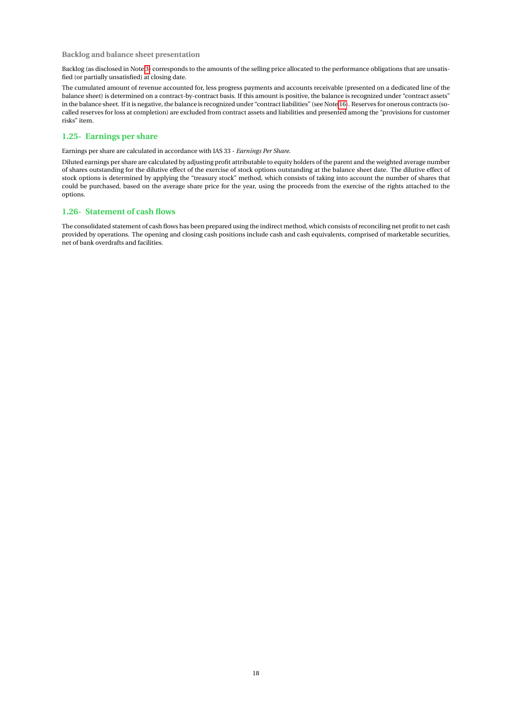#### **Backlog and balance sheet presentation**

Backlog (as disclosed in Note [3\)](#page-21-0) corresponds to the amounts of the selling price allocated to the performance obligations that are unsatisfied (or partially unsatisfied) at closing date.

The cumulated amount of revenue accounted for, less progress payments and accounts receivable (presented on a dedicated line of the balance sheet) is determined on a contract-by-contract basis. If this amount is positive, the balance is recognized under "contract assets" in the balance sheet. If it is negative, the balance is recognized under "contract liabilities" (see Not[e 16\)](#page-30-1). Reserves for onerous contracts (socalled reserves for loss at completion) are excluded from contract assets and liabilities and presented among the "provisions for customer risks" item.

## **1.25- Earnings per share**

Earnings per share are calculated in accordance with IAS 33 - *Earnings Per Share*.

Diluted earnings per share are calculated by adjusting profit attributable to equity holders of the parent and the weighted average number of shares outstanding for the dilutive effect of the exercise of stock options outstanding at the balance sheet date. The dilutive effect of stock options is determined by applying the "treasury stock" method, which consists of taking into account the number of shares that could be purchased, based on the average share price for the year, using the proceeds from the exercise of the rights attached to the options.

### **1.26- Statement of cash flows**

The consolidated statement of cash flows has been prepared using the indirect method, which consists of reconciling net profit to net cash provided by operations. The opening and closing cash positions include cash and cash equivalents, comprised of marketable securities, net of bank overdrafts and facilities.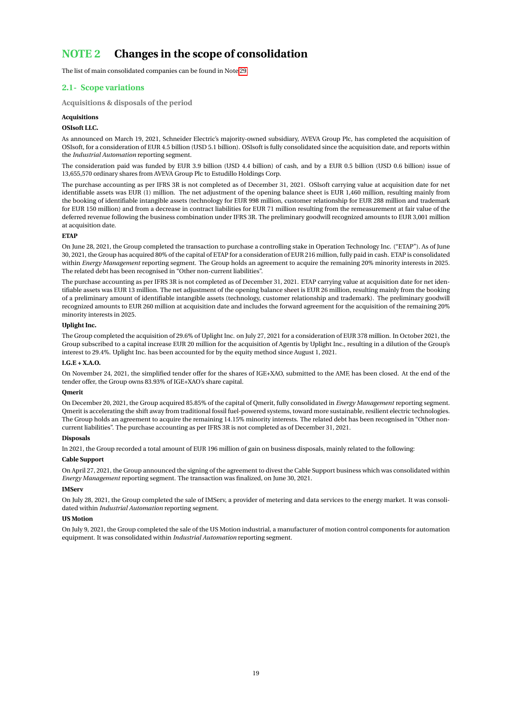## <span id="page-19-0"></span>**NOTE 2 Changes in the scope of consolidation**

The list of main consolidated companies can be found in Note [29.](#page-50-0)

## **2.1- Scope variations**

**Acquisitions & disposals of the period**

#### **Acquisitions**

#### **OSIsoft LLC.**

As announced on March 19, 2021, Schneider Electric's majority-owned subsidiary, AVEVA Group Plc, has completed the acquisition of OSIsoft, for a consideration of EUR 4.5 billion (USD 5.1 billion). OSIsoft is fully consolidated since the acquisition date, and reports within the *Industrial Automation* reporting segment.

The consideration paid was funded by EUR 3.9 billion (USD 4.4 billion) of cash, and by a EUR 0.5 billion (USD 0.6 billion) issue of 13,655,570 ordinary shares from AVEVA Group Plc to Estudillo Holdings Corp.

The purchase accounting as per IFRS 3R is not completed as of December 31, 2021. OSIsoft carrying value at acquisition date for net identifiable assets was EUR (1) million. The net adjustment of the opening balance sheet is EUR 1,460 million, resulting mainly from the booking of identifiable intangible assets (technology for EUR 998 million, customer relationship for EUR 288 million and trademark for EUR 150 million) and from a decrease in contract liabilities for EUR 71 million resulting from the remeasurement at fair value of the deferred revenue following the business combination under IFRS 3R. The preliminary goodwill recognized amounts to EUR 3,001 million at acquisition date.

#### **ETAP**

On June 28, 2021, the Group completed the transaction to purchase a controlling stake in Operation Technology Inc. ("ETAP"). As of June 30, 2021, the Group has acquired 80% of the capital of ETAP for a consideration of EUR 216 million, fully paid in cash. ETAP is consolidated within *Energy Management* reporting segment. The Group holds an agreement to acquire the remaining 20% minority interests in 2025. The related debt has been recognised in "Other non-current liabilities".

The purchase accounting as per IFRS 3R is not completed as of December 31, 2021. ETAP carrying value at acquisition date for net identifiable assets was EUR 13 million. The net adjustment of the opening balance sheet is EUR 26 million, resulting mainly from the booking of a preliminary amount of identifiable intangible assets (technology, customer relationship and trademark). The preliminary goodwill recognized amounts to EUR 260 million at acquisition date and includes the forward agreement for the acquisition of the remaining 20% minority interests in 2025.

#### **Uplight Inc.**

The Group completed the acquisition of 29.6% of Uplight Inc. on July 27, 2021 for a consideration of EUR 378 million. In October 2021, the Group subscribed to a capital increase EUR 20 million for the acquisition of Agentis by Uplight Inc., resulting in a dilution of the Group's interest to 29.4%. Uplight Inc. has been accounted for by the equity method since August 1, 2021.

#### **I.G.E + X.A.O.**

On November 24, 2021, the simplified tender offer for the shares of IGE+XAO, submitted to the AMF, has been closed. At the end of the tender offer, the Group owns 83.93% of IGE+XAO's share capital.

#### **Qmerit**

On December 20, 2021, the Group acquired 85.85% of the capital of Qmerit, fully consolidated in *Energy Management* reporting segment. Qmerit is accelerating the shift away from traditional fossil fuel-powered systems, toward more sustainable, resilient electric technologies. The Group holds an agreement to acquire the remaining 14.15% minority interests. The related debt has been recognised in "Other noncurrent liabilities". The purchase accounting as per IFRS 3R is not completed as of December 31, 2021.

#### **Disposals**

In 2021, the Group recorded a total amount of EUR 196 million of gain on business disposals, mainly related to the following:

#### **Cable Support**

On April 27, 2021, the Group announced the signing of the agreement to divest the Cable Support business which was consolidated within *Energy Management* reporting segment. The transaction was finalized, on June 30, 2021.

#### **IMServ**

On July 28, 2021, the Group completed the sale of IMServ, a provider of metering and data services to the energy market. It was consolidated within *Industrial Automation* reporting segment.

#### **US Motion**

On July 9, 2021, the Group completed the sale of the US Motion industrial, a manufacturer of motion control components for automation equipment. It was consolidated within *Industrial Automation* reporting segment.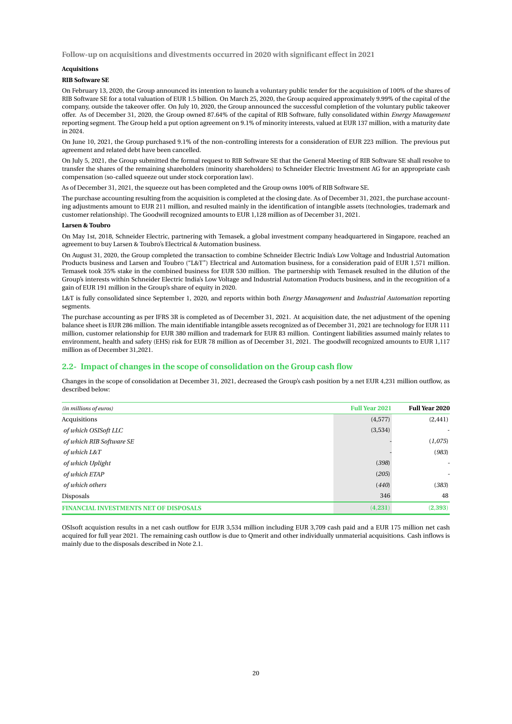**Follow-up on acquisitions and divestments occurred in 2020 with significant effect in 2021**

#### **Acquisitions**

#### **RIB Software SE**

On February 13, 2020, the Group announced its intention to launch a voluntary public tender for the acquisition of 100% of the shares of RIB Software SE for a total valuation of EUR 1.5 billion. On March 25, 2020, the Group acquired approximately 9.99% of the capital of the company, outside the takeover offer. On July 10, 2020, the Group announced the successful completion of the voluntary public takeover offer. As of December 31, 2020, the Group owned 87.64% of the capital of RIB Software, fully consolidated within *Energy Management* reporting segment. The Group held a put option agreement on 9.1% of minority interests, valued at EUR 137 million, with a maturity date in 2024.

On June 10, 2021, the Group purchased 9.1% of the non-controlling interests for a consideration of EUR 223 million. The previous put agreement and related debt have been cancelled.

On July 5, 2021, the Group submitted the formal request to RIB Software SE that the General Meeting of RIB Software SE shall resolve to transfer the shares of the remaining shareholders (minority shareholders) to Schneider Electric Investment AG for an appropriate cash compensation (so-called squeeze out under stock corporation law).

As of December 31, 2021, the squeeze out has been completed and the Group owns 100% of RIB Software SE.

The purchase accounting resulting from the acquisition is completed at the closing date. As of December 31, 2021, the purchase accounting adjustments amount to EUR 211 million, and resulted mainly in the identification of intangible assets (technologies, trademark and customer relationship). The Goodwill recognized amounts to EUR 1,128 million as of December 31, 2021.

#### **Larsen & Toubro**

On May 1st, 2018, Schneider Electric, partnering with Temasek, a global investment company headquartered in Singapore, reached an agreement to buy Larsen & Toubro's Electrical & Automation business.

On August 31, 2020, the Group completed the transaction to combine Schneider Electric India's Low Voltage and Industrial Automation Products business and Larsen and Toubro ("L&T") Electrical and Automation business, for a consideration paid of EUR 1,571 million. Temasek took 35% stake in the combined business for EUR 530 million. The partnership with Temasek resulted in the dilution of the Group's interests within Schneider Electric India's Low Voltage and Industrial Automation Products business, and in the recognition of a gain of EUR 191 million in the Group's share of equity in 2020.

L&T is fully consolidated since September 1, 2020, and reports within both *Energy Management* and *Industrial Automation* reporting segments.

The purchase accounting as per IFRS 3R is completed as of December 31, 2021. At acquisition date, the net adjustment of the opening balance sheet is EUR 286 million. The main identifiable intangible assets recognized as of December 31, 2021 are technology for EUR 111 million, customer relationship for EUR 380 million and trademark for EUR 83 million. Contingent liabilities assumed mainly relates to environment, health and safety (EHS) risk for EUR 78 million as of December 31, 2021. The goodwill recognized amounts to EUR 1,117 million as of December 31,2021.

#### **2.2- Impact of changes in the scope of consolidation on the Group cash flow**

Changes in the scope of consolidation at December 31, 2021, decreased the Group's cash position by a net EUR 4,231 million outflow, as described below:

| (in millions of euros)                        | <b>Full Year 2021</b> | <b>Full Year 2020</b> |
|-----------------------------------------------|-----------------------|-----------------------|
| Acquisitions                                  | (4,577)               | (2, 441)              |
| of which OSISoft LLC                          | (3,534)               |                       |
| of which RIB Software SE                      |                       | (1,075)               |
| of which L&T                                  |                       | (983)                 |
| of which Uplight                              | (398)                 | ٠                     |
| of which ETAP                                 | (205)                 | ٠                     |
| of which others                               | (440)                 | (383)                 |
| Disposals                                     | 346                   | 48                    |
| <b>FINANCIAL INVESTMENTS NET OF DISPOSALS</b> | (4,231)               | (2, 393)              |

OSIsoft acquistion results in a net cash outflow for EUR 3,534 million including EUR 3,709 cash paid and a EUR 175 million net cash acquired for full year 2021. The remaining cash outflow is due to Qmerit and other individually unmaterial acquisitions. Cash inflows is mainly due to the disposals described in Note 2.1.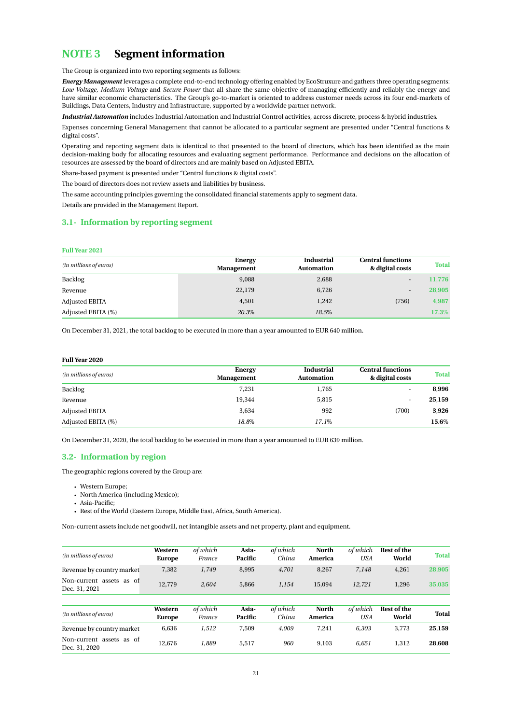## <span id="page-21-0"></span>**NOTE 3 Segment information**

The Group is organized into two reporting segments as follows:

*Energy Management* leverages a complete end-to-end technology offering enabled by EcoStruxure and gathers three operating segments: *Low Voltage*, *Medium Voltage* and *Secure Power* that all share the same objective of managing efficiently and reliably the energy and have similar economic characteristics. The Group's go-to-market is oriented to address customer needs across its four end-markets of Buildings, Data Centers, Industry and Infrastructure, supported by a worldwide partner network.

*Industrial Automation* includes Industrial Automation and Industrial Control activities, across discrete, process & hybrid industries.

Expenses concerning General Management that cannot be allocated to a particular segment are presented under "Central functions & digital costs".

Operating and reporting segment data is identical to that presented to the board of directors, which has been identified as the main decision-making body for allocating resources and evaluating segment performance. Performance and decisions on the allocation of resources are assessed by the board of directors and are mainly based on Adjusted EBITA.

Share-based payment is presented under "Central functions & digital costs".

The board of directors does not review assets and liabilities by business.

The same accounting principles governing the consolidated financial statements apply to segment data.

Details are provided in the Management Report.

## **3.1- Information by reporting segment**

#### **Full Year 2021**

| (in millions of euros) | Energy            | <b>Industrial</b> | <b>Central functions</b> | <b>Total</b> |
|------------------------|-------------------|-------------------|--------------------------|--------------|
|                        | <b>Management</b> | <b>Automation</b> | & digital costs          |              |
| Backlog                | 9.088             | 2,688             | ۰.                       | 11.776       |
| Revenue                | 22,179            | 6,726             | -                        | 28,905       |
| Adjusted EBITA         | 4,501             | 1,242             | (756)                    | 4,987        |
| Adjusted EBITA (%)     | 20.3%             | 18.5%             |                          | 17.3%        |

On December 31, 2021, the total backlog to be executed in more than a year amounted to EUR 640 million.

#### **Full Year 2020**

| (in millions of euros) | Energy            | <b>Industrial</b><br><b>Automation</b> | <b>Central functions</b><br>& digital costs | <b>Total</b> |
|------------------------|-------------------|----------------------------------------|---------------------------------------------|--------------|
|                        | <b>Management</b> |                                        |                                             |              |
| Backlog                | 7,231             | 1,765                                  |                                             | 8,996        |
| Revenue                | 19,344            | 5,815                                  |                                             | 25,159       |
| Adjusted EBITA         | 3,634             | 992                                    | (700)                                       | 3,926        |
| Adjusted EBITA (%)     | 18.8%             | 17.1%                                  |                                             | 15.6%        |

On December 31, 2020, the total backlog to be executed in more than a year amounted to EUR 639 million.

#### **3.2- Information by region**

The geographic regions covered by the Group are:

- Western Europe;
- North America (including Mexico);
- Asia-Pacific;
- Rest of the World (Eastern Europe, Middle East, Africa, South America).

Non-current assets include net goodwill, net intangible assets and net property, plant and equipment.

| (in millions of euros)                    | Western<br><b>Europe</b> | of which<br>France | Asia-<br>Pacific | of which<br>China | <b>North</b><br>America | of which<br><b>USA</b> | <b>Rest of the</b><br>World | <b>Total</b> |
|-------------------------------------------|--------------------------|--------------------|------------------|-------------------|-------------------------|------------------------|-----------------------------|--------------|
| Revenue by country market                 | 7,382                    | 1.749              | 8.995            | 4.701             | 8.267                   | 7.148                  | 4,261                       | 28,905       |
| Non-current assets as of<br>Dec. 31, 2021 | 12,779                   | 2.604              | 5,866            | 1,154             | 15,094                  | 12,721                 | 1,296                       | 35,035       |
| (in millions of euros)                    | Western<br><b>Europe</b> | of which<br>France | Asia-<br>Pacific | of which<br>China | <b>North</b><br>America | of which<br><b>USA</b> | <b>Rest of the</b><br>World | <b>Total</b> |
| Revenue by country market                 | 6,636                    | 1.512              | 7.509            | 4.009             | 7.241                   | 6,303                  | 3.773                       | 25.159       |
| Non-current assets as of<br>Dec. 31, 2020 | 12.676                   | 1,889              | 5,517            | 960               | 9,103                   | 6,651                  | 1,312                       | 28,608       |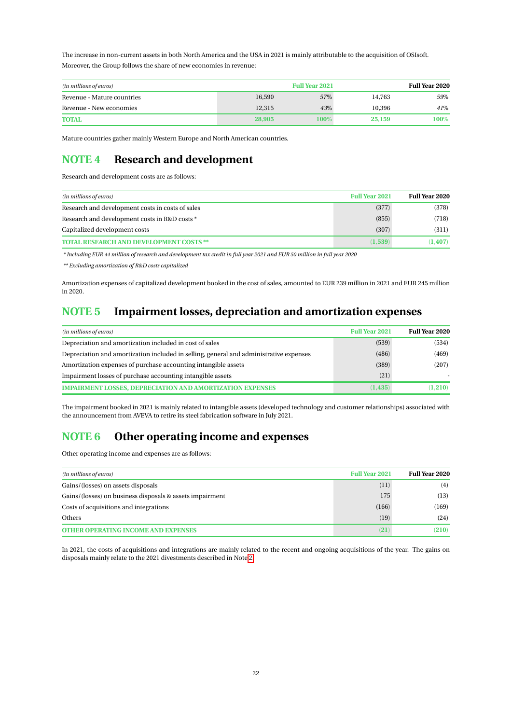The increase in non-current assets in both North America and the USA in 2021 is mainly attributable to the acquisition of OSIsoft. Moreover, the Group follows the share of new economies in revenue:

| <b>Full Year 2021</b><br>(in millions of euros) |        |      |        | <b>Full Year 2020</b> |
|-------------------------------------------------|--------|------|--------|-----------------------|
| Revenue - Mature countries                      | 16.590 | 57%  | 14.763 | 59%                   |
| Revenue - New economies                         | 12.315 | 4.3% | 10.396 | 41%                   |
| <b>TOTAL</b>                                    | 28,905 | 100% | 25,159 | 100%                  |

Mature countries gather mainly Western Europe and North American countries.

## <span id="page-22-0"></span>**NOTE 4 Research and development**

Research and development costs are as follows:

| (in millions of euros)                           | <b>Full Year 2021</b> | <b>Full Year 2020</b> |
|--------------------------------------------------|-----------------------|-----------------------|
| Research and development costs in costs of sales | (377)                 | (378)                 |
| Research and development costs in R&D costs *    | (855)                 | (718)                 |
| Capitalized development costs                    | (307)                 | (311)                 |
| <b>TOTAL RESEARCH AND DEVELOPMENT COSTS **</b>   | (1.539)               | (1.407)               |

*\* Including EUR 44 million of research and development tax credit in full year 2021 and EUR 50 million in full year 2020*

*\*\* Excluding amortization of R&D costs capitalized*

Amortization expenses of capitalized development booked in the cost of sales, amounted to EUR 239 million in 2021 and EUR 245 million in 2020.

## <span id="page-22-2"></span>**NOTE 5 Impairment losses, depreciation and amortization expenses**

| (in millions of euros)                                                                 | <b>Full Year 2021</b> | <b>Full Year 2020</b> |
|----------------------------------------------------------------------------------------|-----------------------|-----------------------|
| Depreciation and amortization included in cost of sales                                | (539)                 | (534)                 |
| Depreciation and amortization included in selling, general and administrative expenses | (486)                 | (469)                 |
| Amortization expenses of purchase accounting intangible assets                         | (389)                 | (207)                 |
| Impairment losses of purchase accounting intangible assets                             | (21)                  |                       |
| <b>IMPAIRMENT LOSSES, DEPRECIATION AND AMORTIZATION EXPENSES</b>                       | (1.435)               | (1, 210)              |

The impairment booked in 2021 is mainly related to intangible assets (developed technology and customer relationships) associated with the announcement from AVEVA to retire its steel fabrication software in July 2021.

## <span id="page-22-1"></span>**NOTE 6 Other operating income and expenses**

Other operating income and expenses are as follows:

| (in millions of euros)                                   | <b>Full Year 2021</b> | <b>Full Year 2020</b> |
|----------------------------------------------------------|-----------------------|-----------------------|
| Gains/(losses) on assets disposals                       | (11)                  | (4)                   |
| Gains/(losses) on business disposals & assets impairment | 175                   | (13)                  |
| Costs of acquisitions and integrations                   | (166)                 | (169)                 |
| Others                                                   | (19)                  | (24)                  |
| <b>OTHER OPERATING INCOME AND EXPENSES</b>               | (21)                  | (210)                 |

In 2021, the costs of acquisitions and integrations are mainly related to the recent and ongoing acquisitions of the year. The gains on disposals mainly relate to the 2021 divestments described in Note [2.](#page-19-0)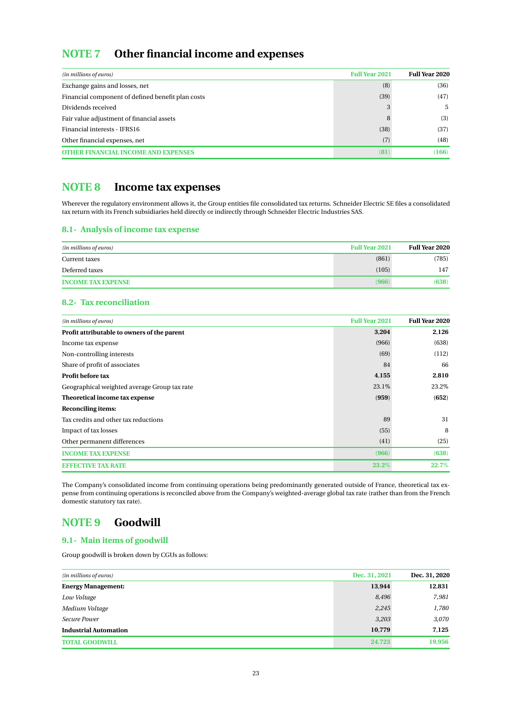## <span id="page-23-0"></span>**NOTE 7 Other financial income and expenses**

| (in millions of euros)                            | <b>Full Year 2021</b> | <b>Full Year 2020</b> |
|---------------------------------------------------|-----------------------|-----------------------|
| Exchange gains and losses, net                    | (8)                   | (36)                  |
| Financial component of defined benefit plan costs | (39)                  | (47)                  |
| Dividends received                                |                       | 5                     |
| Fair value adjustment of financial assets         |                       | (3)                   |
| Financial interests - IFRS16                      | (38)                  | (37)                  |
| Other financial expenses, net                     | (7)                   | (48)                  |
| <b>OTHER FINANCIAL INCOME AND EXPENSES</b>        | (81)                  | (166)                 |

## <span id="page-23-1"></span>**NOTE 8 Income tax expenses**

Wherever the regulatory environment allows it, the Group entities file consolidated tax returns. Schneider Electric SE files a consolidated tax return with its French subsidiaries held directly or indirectly through Schneider Electric Industries SAS.

## **8.1- Analysis of income tax expense**

| (in millions of euros)    | <b>Full Year 2021</b> | <b>Full Year 2020</b> |
|---------------------------|-----------------------|-----------------------|
| Current taxes             | (861)                 | (785)                 |
| Deferred taxes            | (105)                 | 147                   |
| <b>INCOME TAX EXPENSE</b> | (966)                 | (638)                 |

## **8.2- Tax reconciliation**

| (in millions of euros)                       | <b>Full Year 2021</b> | <b>Full Year 2020</b> |
|----------------------------------------------|-----------------------|-----------------------|
| Profit attributable to owners of the parent  | 3,204                 | 2,126                 |
| Income tax expense                           | (966)                 | (638)                 |
| Non-controlling interests                    | (69)                  | (112)                 |
| Share of profit of associates                | 84                    | 66                    |
| Profit before tax                            | 4,155                 | 2,810                 |
| Geographical weighted average Group tax rate | 23.1%                 | 23.2%                 |
| Theoretical income tax expense               | (959)                 | (652)                 |
| Reconciling items:                           |                       |                       |
| Tax credits and other tax reductions         | 89                    | 31                    |
| Impact of tax losses                         | (55)                  | 8                     |
| Other permanent differences                  | (41)                  | (25)                  |
| <b>INCOME TAX EXPENSE</b>                    | (966)                 | (638)                 |
| <b>EEEE CITIVE TAX RATE</b>                  | 23.2%                 | 22.7%                 |

The Company's consolidated income from continuing operations being predominantly generated outside of France, theoretical tax expense from continuing operations is reconciled above from the Company's weighted-average global tax rate (rather than from the French domestic statutory tax rate).

## <span id="page-23-2"></span>**NOTE 9 Goodwill**

## **9.1- Main items of goodwill**

Group goodwill is broken down by CGUs as follows:

| Dec. 31, 2021<br>(in millions of euros) |        | Dec. 31, 2020 |
|-----------------------------------------|--------|---------------|
| <b>Energy Management:</b>               | 13,944 | 12,831        |
| Low Voltage                             | 8,496  | 7,981         |
| Medium Voltage                          | 2,245  | 1,780         |
| Secure Power                            | 3,203  | 3,070         |
| <b>Industrial Automation</b>            | 10,779 | 7,125         |
| <b>TOTAL GOODWILL</b>                   | 24,723 | 19,956        |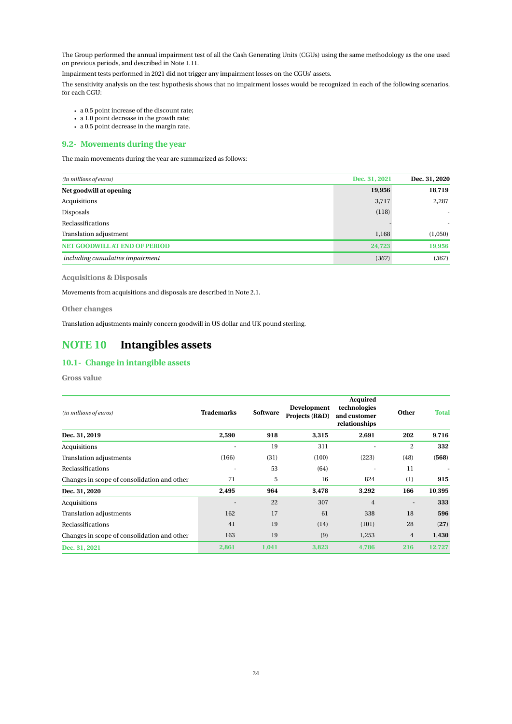The Group performed the annual impairment test of all the Cash Generating Units (CGUs) using the same methodology as the one used on previous periods, and described in Note 1.11.

Impairment tests performed in 2021 did not trigger any impairment losses on the CGUs' assets.

The sensitivity analysis on the test hypothesis shows that no impairment losses would be recognized in each of the following scenarios, for each CGU:

- a 0.5 point increase of the discount rate;
- a 1.0 point decrease in the growth rate;
- a 0.5 point decrease in the margin rate.

### **9.2- Movements during the year**

The main movements during the year are summarized as follows:

| Dec. 31, 2021<br>(in millions of euros) |        | Dec. 31, 2020 |
|-----------------------------------------|--------|---------------|
| Net goodwill at opening                 | 19,956 | 18,719        |
| Acquisitions                            | 3,717  | 2,287         |
| Disposals                               | (118)  |               |
| Reclassifications                       |        |               |
| Translation adjustment                  | 1,168  | (1,050)       |
| <b>NET GOODWILL AT END OF PERIOD</b>    | 24,723 | 19,956        |
| including cumulative impairment         | (367)  | (367)         |

**Acquisitions & Disposals**

Movements from acquisitions and disposals are described in Note 2.1.

**Other changes**

Translation adjustments mainly concern goodwill in US dollar and UK pound sterling.

## <span id="page-24-0"></span>**NOTE 10 Intangibles assets**

## **10.1- Change in intangible assets**

**Gross value**

| (in millions of euros)                      | <b>Trademarks</b> | Software | Development<br>Projects (R&D) | <b>Acquired</b><br>technologies<br>and customer<br>relationships | <b>Other</b>             | <b>Total</b> |
|---------------------------------------------|-------------------|----------|-------------------------------|------------------------------------------------------------------|--------------------------|--------------|
| Dec. 31, 2019                               | 2,590             | 918      | 3,315                         | 2,691                                                            | 202                      | 9,716        |
| Acquisitions                                |                   | 19       | 311                           |                                                                  | 2                        | 332          |
| <b>Translation adjustments</b>              | (166)             | (31)     | (100)                         | (223)                                                            | (48)                     | (568)        |
| Reclassifications                           |                   | 53       | (64)                          |                                                                  | 11                       |              |
| Changes in scope of consolidation and other | 71                | 5        | 16                            | 824                                                              | (1)                      | 915          |
| Dec. 31, 2020                               | 2,495             | 964      | 3,478                         | 3,292                                                            | 166                      | 10,395       |
| Acquisitions                                |                   | 22       | 307                           | $\overline{4}$                                                   | $\overline{\phantom{a}}$ | 333          |
| <b>Translation adjustments</b>              | 162               | 17       | 61                            | 338                                                              | 18                       | 596          |
| Reclassifications                           | 41                | 19       | (14)                          | (101)                                                            | 28                       | (27)         |
| Changes in scope of consolidation and other | 163               | 19       | (9)                           | 1,253                                                            | 4                        | 1,430        |
| Dec. 31, 2021                               | 2.861             | 1,041    | 3.823                         | 4.786                                                            | 216                      | 12,727       |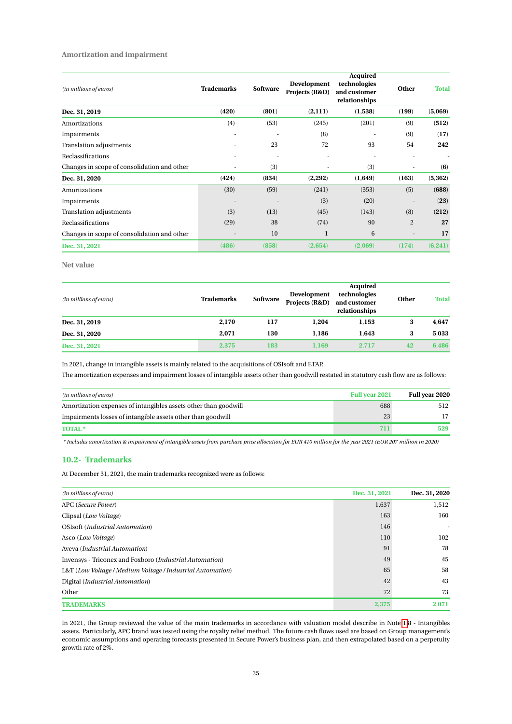#### **Amortization and impairment**

| (in millions of euros)                      | <b>Trademarks</b>        | <b>Software</b>          | Development<br>Projects (R&D) | <b>Acquired</b><br>technologies<br>and customer<br>relationships | <b>Other</b>             | <b>Total</b> |
|---------------------------------------------|--------------------------|--------------------------|-------------------------------|------------------------------------------------------------------|--------------------------|--------------|
| Dec. 31, 2019                               | (420)                    | (801)                    | (2,111)                       | (1,538)                                                          | (199)                    | (5,069)      |
| Amortizations                               | (4)                      | (53)                     | (245)                         | (201)                                                            | (9)                      | (512)        |
| Impairments                                 | ٠                        | ٠                        | (8)                           | ٠                                                                | (9)                      | (17)         |
| Translation adjustments                     |                          | 23                       | 72                            | 93                                                               | 54                       | 242          |
| Reclassifications                           | ٠                        |                          | ٠                             | ٠                                                                |                          |              |
| Changes in scope of consolidation and other | $\overline{\phantom{a}}$ | (3)                      |                               | (3)                                                              |                          | (6)          |
| Dec. 31, 2020                               | (424)                    | (834)                    | (2,292)                       | (1,649)                                                          | (163)                    | (5, 362)     |
| Amortizations                               | (30)                     | (59)                     | (241)                         | (353)                                                            | (5)                      | (688)        |
| Impairments                                 | ٠                        | $\overline{\phantom{a}}$ | (3)                           | (20)                                                             | $\overline{\phantom{a}}$ | (23)         |
| Translation adjustments                     | (3)                      | (13)                     | (45)                          | (143)                                                            | (8)                      | (212)        |
| Reclassifications                           | (29)                     | 38                       | (74)                          | 90                                                               | $\overline{2}$           | 27           |
| Changes in scope of consolidation and other |                          | 10                       | $\mathbf{1}$                  | 6                                                                |                          | 17           |
| Dec. 31, 2021                               | (486)                    | (858)                    | (2,654)                       | (2,069)                                                          | (174)                    | (6, 241)     |

**Net value**

| (in millions of euros) | <b>Trademarks</b> | <b>Software</b> | Development<br>Projects (R&D) | <b>Acquired</b><br>technologies<br>and customer<br>relationships | Other | <b>Total</b> |
|------------------------|-------------------|-----------------|-------------------------------|------------------------------------------------------------------|-------|--------------|
| Dec. 31, 2019          | 2.170             | 117             | 1.204                         | 1.153                                                            | 3     | 4.647        |
| Dec. 31, 2020          | 2.071             | 130             | 1.186                         | 1.643                                                            | 3     | 5,033        |
| Dec. 31, 2021          | 2,375             | 183             | 1,169                         | 2.717                                                            | 42    | 6,486        |

In 2021, change in intangible assets is mainly related to the acquisitions of OSIsoft and ETAP.

The amortization expenses and impairment losses of intangible assets other than goodwill restated in statutory cash flow are as follows:

| (in millions of euros)                                          | <b>Full year 2021</b> | Full year 2020 |
|-----------------------------------------------------------------|-----------------------|----------------|
| Amortization expenses of intangibles assets other than goodwill | 688                   | 512            |
| Impairments losses of intangible assets other than goodwill     | 23                    |                |
| <b>TOTAL</b> *                                                  |                       | 529            |

*\* Includes amortization & impairment of intangible assets from purchase price allocation for EUR 410 million for the year 2021 (EUR 207 million in 2020)*

#### **10.2- Trademarks**

At December 31, 2021, the main trademarks recognized were as follows:

| (in millions of euros)                                     | Dec. 31, 2021 | Dec. 31, 2020 |
|------------------------------------------------------------|---------------|---------------|
| APC (Secure Power)                                         | 1,637         | 1,512         |
| Clipsal (Low Voltage)                                      | 163           | 160           |
| OSIsoft (Industrial Automation)                            | 146           |               |
| Asco (Low Voltage)                                         | 110           | 102           |
| Aveva (Industrial Automation)                              | 91            | 78            |
| Invensys - Triconex and Foxboro (Industrial Automation)    | 49            | 45            |
| L&T (Low Voltage / Medium Voltage / Industrial Automation) | 65            | 58            |
| Digital ( <i>Industrial Automation</i> )                   | 42            | 43            |
| Other                                                      | 72            | 73            |
| <b>TRADEMARKS</b>                                          | 2.375         | 2.071         |

In 2021, the Group reviewed the value of the main trademarks in accordance with valuation model describe in Note [1.](#page-8-0)8 - Intangibles assets. Particularly, APC brand was tested using the royalty relief method. The future cash flows used are based on Group management's economic assumptions and operating forecasts presented in Secure Power's business plan, and then extrapolated based on a perpetuity growth rate of 2%.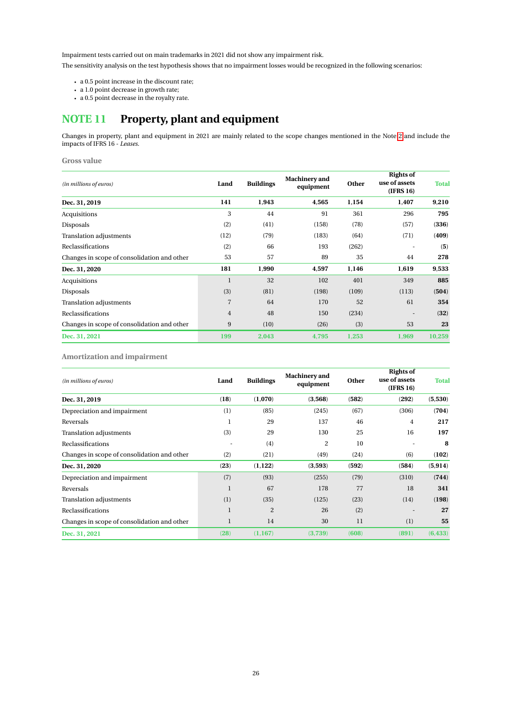Impairment tests carried out on main trademarks in 2021 did not show any impairment risk.

The sensitivity analysis on the test hypothesis shows that no impairment losses would be recognized in the following scenarios:

- a 0.5 point increase in the discount rate;
- a 1.0 point decrease in growth rate;
- a 0.5 point decrease in the royalty rate.

# <span id="page-26-0"></span>**NOTE 11 Property, plant and equipment**

Changes in property, plant and equipment in 2021 are mainly related to the scope changes mentioned in the Note [2](#page-19-0) and include the impacts of IFRS 16 - *Leases*.

#### **Gross value**

| (in millions of euros)                      | Land           | <b>Buildings</b> | Machinery and<br>equipment | Other | <b>Rights of</b><br>use of assets<br>(IFRS 16) | <b>Total</b> |
|---------------------------------------------|----------------|------------------|----------------------------|-------|------------------------------------------------|--------------|
| Dec. 31, 2019                               | 141            | 1,943            | 4,565                      | 1,154 | 1,407                                          | 9,210        |
| Acquisitions                                | 3              | 44               | 91                         | 361   | 296                                            | 795          |
| Disposals                                   | (2)            | (41)             | (158)                      | (78)  | (57)                                           | (336)        |
| Translation adjustments                     | (12)           | (79)             | (183)                      | (64)  | (71)                                           | (409)        |
| Reclassifications                           | (2)            | 66               | 193                        | (262) |                                                | (5)          |
| Changes in scope of consolidation and other | 53             | 57               | 89                         | 35    | 44                                             | 278          |
| Dec. 31, 2020                               | 181            | 1,990            | 4,597                      | 1,146 | 1,619                                          | 9,533        |
| Acquisitions                                | 1              | 32               | 102                        | 401   | 349                                            | 885          |
| Disposals                                   | (3)            | (81)             | (198)                      | (109) | (113)                                          | (504)        |
| Translation adjustments                     | $\overline{7}$ | 64               | 170                        | 52    | 61                                             | 354          |
| Reclassifications                           | $\overline{4}$ | 48               | 150                        | (234) |                                                | (32)         |
| Changes in scope of consolidation and other | 9              | (10)             | (26)                       | (3)   | 53                                             | 23           |
| Dec. 31, 2021                               | 199            | 2,043            | 4,795                      | 1,253 | 1,969                                          | 10,259       |

**Amortization and impairment**

| (in millions of euros)                      | Land         | <b>Buildings</b> | <b>Machinery</b> and<br>equipment | Other | <b>Rights of</b><br>use of assets<br>(IFRS 16) | <b>Total</b> |
|---------------------------------------------|--------------|------------------|-----------------------------------|-------|------------------------------------------------|--------------|
| Dec. 31, 2019                               | (18)         | (1,070)          | (3,568)                           | (582) | (292)                                          | (5,530)      |
| Depreciation and impairment                 | (1)          | (85)             | (245)                             | (67)  | (306)                                          | (704)        |
| Reversals                                   | 1            | 29               | 137                               | 46    | 4                                              | 217          |
| <b>Translation adjustments</b>              | (3)          | 29               | 130                               | 25    | 16                                             | 197          |
| Reclassifications                           | ٠            | (4)              | $\overline{2}$                    | 10    |                                                | 8            |
| Changes in scope of consolidation and other | (2)          | (21)             | (49)                              | (24)  | (6)                                            | (102)        |
| Dec. 31, 2020                               | (23)         | (1, 122)         | (3,593)                           | (592) | (584)                                          | (5, 914)     |
| Depreciation and impairment                 | (7)          | (93)             | (255)                             | (79)  | (310)                                          | (744)        |
| Reversals                                   | 1            | 67               | 178                               | 77    | 18                                             | 341          |
| Translation adjustments                     | (1)          | (35)             | (125)                             | (23)  | (14)                                           | (198)        |
| Reclassifications                           | $\mathbf{1}$ | $\overline{2}$   | 26                                | (2)   |                                                | 27           |
| Changes in scope of consolidation and other | $\mathbf 1$  | 14               | 30                                | 11    | (1)                                            | 55           |
| Dec. 31, 2021                               | (28)         | (1, 167)         | (3,739)                           | (608) | (891)                                          | (6, 433)     |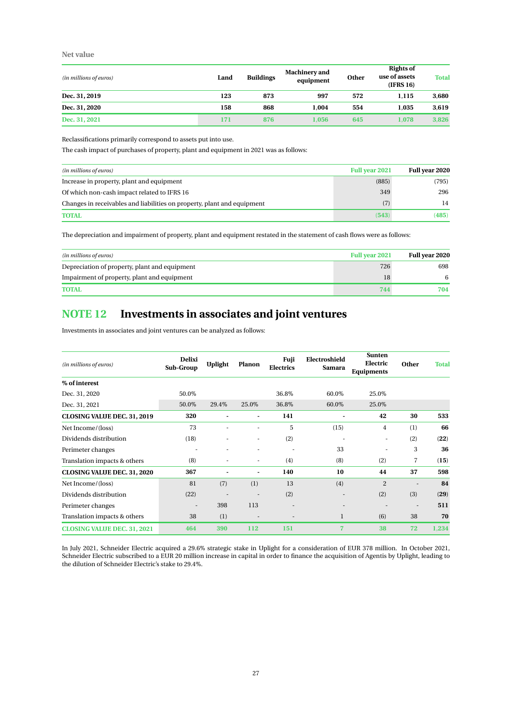### **Net value**

| (in millions of euros) | Land | <b>Buildings</b> | <b>Machinery</b> and<br>equipment | Other | <b>Rights of</b><br>use of assets<br>(IFRS 16) | <b>Total</b> |
|------------------------|------|------------------|-----------------------------------|-------|------------------------------------------------|--------------|
| Dec. 31, 2019          | 123  | 873              | 997                               | 572   | 1.115                                          | 3,680        |
| Dec. 31, 2020          | 158  | 868              | 1.004                             | 554   | 1.035                                          | 3,619        |
| Dec. 31, 2021          | 171  | 876              | 1.056                             | 645   | 1.078                                          | 3,826        |

Reclassifications primarily correspond to assets put into use.

The cash impact of purchases of property, plant and equipment in 2021 was as follows:

| (in millions of euros)                                                  | <b>Full year 2021</b> | Full year 2020 |
|-------------------------------------------------------------------------|-----------------------|----------------|
| Increase in property, plant and equipment                               | (885)                 | (795)          |
| Of which non-cash impact related to IFRS 16                             | 349                   | 296            |
| Changes in receivables and liabilities on property, plant and equipment | (7)                   | 14             |
| <b>TOTAL</b>                                                            | (543)                 | (485)          |

The depreciation and impairment of property, plant and equipment restated in the statement of cash flows were as follows:

| (in millions of euros)                        | <b>Full year 2021</b> | Full year 2020 |
|-----------------------------------------------|-----------------------|----------------|
| Depreciation of property, plant and equipment | 726                   | 698            |
| Impairment of property, plant and equipment   | 18                    |                |
| <b>TOTAL</b>                                  | 744                   | 704            |

## <span id="page-27-0"></span>**NOTE 12 Investments in associates and joint ventures**

Investments in associates and joint ventures can be analyzed as follows:

| (in millions of euros)             | <b>Delixi</b><br>Sub-Group | <b>Uplight</b> | Planon                   | Fuji<br><b>Electrics</b> | Electroshield<br><b>Samara</b> | <b>Sunten</b><br>Electric<br><b>Equipments</b> | <b>Other</b>   | <b>Total</b> |
|------------------------------------|----------------------------|----------------|--------------------------|--------------------------|--------------------------------|------------------------------------------------|----------------|--------------|
| % of interest                      |                            |                |                          |                          |                                |                                                |                |              |
| Dec. 31, 2020                      | 50.0%                      |                |                          | 36.8%                    | 60.0%                          | 25.0%                                          |                |              |
| Dec. 31, 2021                      | 50.0%                      | 29.4%          | 25.0%                    | 36.8%                    | 60.0%                          | 25.0%                                          |                |              |
| CLOSING VALUE DEC. 31, 2019        | 320                        | ۰              | ۰                        | 141                      | ۰                              | 42                                             | 30             | 533          |
| Net Income/(loss)                  | 73                         |                |                          | 5                        | (15)                           | 4                                              | (1)            | 66           |
| Dividends distribution             | (18)                       |                | ٠                        | (2)                      |                                | ٠                                              | (2)            | (22)         |
| Perimeter changes                  |                            | ٠              | ٠                        | ٠                        | 33                             | ٠                                              | 3              | 36           |
| Translation impacts & others       | (8)                        |                | $\overline{\phantom{a}}$ | (4)                      | (8)                            | (2)                                            | 7              | (15)         |
| <b>CLOSING VALUE DEC. 31, 2020</b> | 367                        |                | Ξ.                       | 140                      | 10                             | 44                                             | 37             | 598          |
| Net Income/(loss)                  | 81                         | (7)            | (1)                      | 13                       | (4)                            | $\overline{2}$                                 | $\overline{a}$ | 84           |
| Dividends distribution             | (22)                       |                |                          | (2)                      | $\overline{\phantom{a}}$       | (2)                                            | (3)            | (29)         |
| Perimeter changes                  | ÷                          | 398            | 113                      | ٠                        | ٠                              | $\overline{\phantom{a}}$                       | ٠              | 511          |
| Translation impacts & others       | 38                         | (1)            | $\overline{\phantom{a}}$ | ٠                        | $\bf{l}$                       | (6)                                            | 38             | 70           |
| <b>CLOSING VALUE DEC. 31, 2021</b> | 464                        | 390            | 112                      | 151                      | $\overline{7}$                 | 38                                             | 72             | 1,234        |

In July 2021, Schneider Electric acquired a 29.6% strategic stake in Uplight for a consideration of EUR 378 million. In October 2021, Schneider Electric subscribed to a EUR 20 million increase in capital in order to finance the acquisition of Agentis by Uplight, leading to the dilution of Schneider Electric's stake to 29.4%.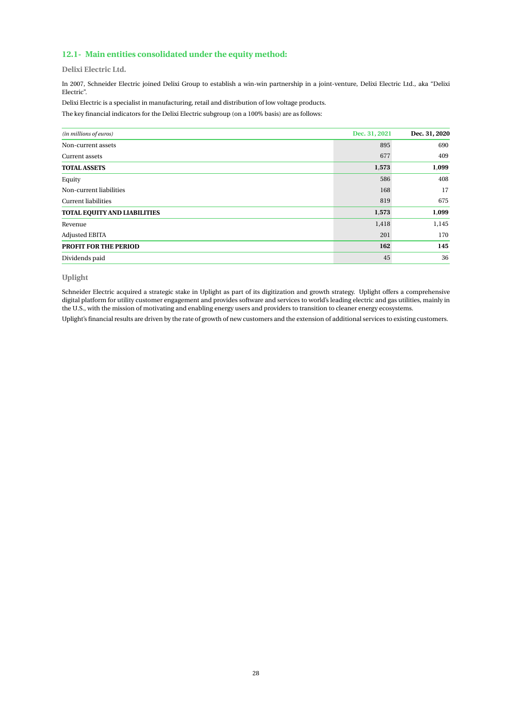## **12.1- Main entities consolidated under the equity method:**

**Delixi Electric Ltd.**

In 2007, Schneider Electric joined Delixi Group to establish a win-win partnership in a joint-venture, Delixi Electric Ltd., aka "Delixi Electric".

Delixi Electric is a specialist in manufacturing, retail and distribution of low voltage products.

The key financial indicators for the Delixi Electric subgroup (on a 100% basis) are as follows:

| (in millions of euros)       | Dec. 31, 2021 | Dec. 31, 2020 |
|------------------------------|---------------|---------------|
| Non-current assets           | 895           | 690           |
| Current assets               | 677           | 409           |
| <b>TOTAL ASSETS</b>          | 1,573         | 1,099         |
| Equity                       | 586           | 408           |
| Non-current liabilities      | 168           | 17            |
| <b>Current liabilities</b>   | 819           | 675           |
| TOTAL EQUITY AND LIABILITIES | 1,573         | 1,099         |
| Revenue                      | 1,418         | 1,145         |
| <b>Adjusted EBITA</b>        | 201           | 170           |
| <b>PROFIT FOR THE PERIOD</b> | 162           | 145           |
| Dividends paid               | 45            | 36            |

**Uplight**

Schneider Electric acquired a strategic stake in Uplight as part of its digitization and growth strategy. Uplight offers a comprehensive digital platform for utility customer engagement and provides software and services to world's leading electric and gas utilities, mainly in the U.S., with the mission of motivating and enabling energy users and providers to transition to cleaner energy ecosystems.

Uplight's financial results are driven by the rate of growth of new customers and the extension of additional services to existing customers.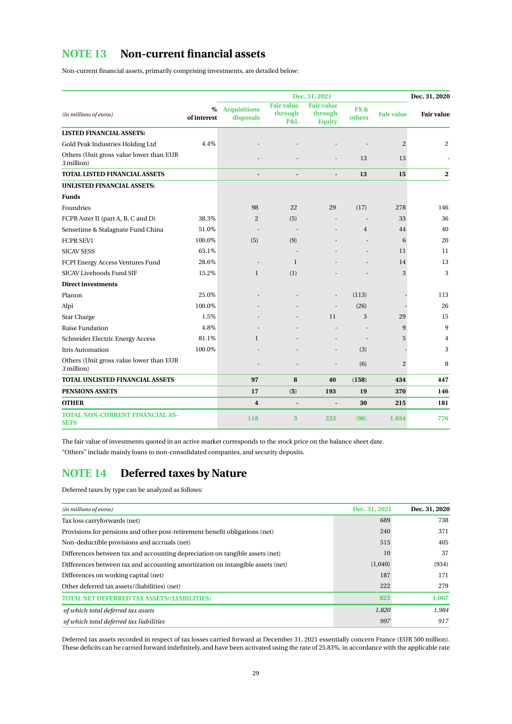## <span id="page-29-0"></span>**NOTE 13 Non-current financial assets**

Non-current financial assets, primarily comprising investments, are detailed below:

|                                                       |                     |                                  |                                                | Dec. 31, 2021                                 |                |                   | Dec. 31, 2020     |
|-------------------------------------------------------|---------------------|----------------------------------|------------------------------------------------|-----------------------------------------------|----------------|-------------------|-------------------|
| (in millions of euros)                                | $\%$<br>of interest | <b>Acquisitions</b><br>disposals | <b>Fair value</b><br>through<br><b>P&amp;L</b> | <b>Fair value</b><br>through<br><b>Equity</b> | FX&<br>others  | <b>Fair value</b> | <b>Fair value</b> |
| <b>LISTED FINANCIAL ASSETS:</b>                       |                     |                                  |                                                |                                               |                |                   |                   |
| Gold Peak Industries Holding Ltd                      | 4.4%                |                                  |                                                |                                               |                | 2                 | $\overline{c}$    |
| Others (Unit gross value lower than EUR<br>3 million) |                     |                                  |                                                |                                               | 13             | 13                |                   |
| <b>TOTAL LISTED FINANCIAL ASSETS</b>                  |                     |                                  |                                                |                                               | 13             | 15                | $\mathbf{2}$      |
| <b>UNLISTED FINANCIAL ASSETS:</b>                     |                     |                                  |                                                |                                               |                |                   |                   |
| <b>Funds</b>                                          |                     |                                  |                                                |                                               |                |                   |                   |
| Foundries                                             |                     | 98                               | 22                                             | 29                                            | (17)           | 278               | 146               |
| FCPR Aster II (part A, B, C and D)                    | 38.3%               | $\overline{2}$                   | (5)                                            |                                               |                | 33                | 36                |
| Sensetime & Stalagnate Fund China                     | 51.0%               |                                  |                                                |                                               | $\overline{4}$ | 44                | 40                |
| <b>FCPR SEV1</b>                                      | 100.0%              | (5)                              | (9)                                            |                                               |                | 6                 | 20                |
| <b>SICAV SESS</b>                                     | 63.1%               |                                  |                                                |                                               |                | 11                | 11                |
| FCPI Energy Access Ventures Fund                      | 28.6%               |                                  | $\mathbf{1}$                                   |                                               |                | 14                | 13                |
| <b>SICAV Livehoods Fund SIF</b>                       | 15.2%               | $\mathbf{1}$                     | (1)                                            |                                               |                | 3                 | 3                 |
| <b>Direct investments</b>                             |                     |                                  |                                                |                                               |                |                   |                   |
| Planon                                                | 25.0%               |                                  |                                                |                                               | (113)          |                   | 113               |
| Alpi                                                  | 100.0%              |                                  |                                                |                                               | (26)           |                   | 26                |
| <b>Star Charge</b>                                    | 1.5%                |                                  |                                                | 11                                            | 3              | 29                | 15                |
| Raise Fundation                                       | 4.8%                |                                  |                                                |                                               |                | 9                 | 9                 |
| Schneider Electric Energy Access                      | 81.1%               | $\mathbf{1}$                     |                                                |                                               |                | 5                 | $\overline{4}$    |
| <b>Itris Automation</b>                               | 100.0%              |                                  |                                                |                                               | (3)            |                   | 3                 |
| Others (Unit gross value lower than EUR<br>3 million) |                     |                                  |                                                |                                               | (6)            | 2                 | 8                 |
| TOTAL UNLISTED FINANCIAL ASSETS                       |                     | 97                               | 8                                              | 40                                            | (158)          | 434               | 447               |
| <b>PENSIONS ASSETS</b>                                |                     | 17                               | (5)                                            | 193                                           | 19             | 370               | 146               |
| <b>OTHER</b>                                          |                     | $\overline{4}$                   |                                                |                                               | 30             | 215               | 181               |
| <b>TOTAL NON-CURRENT FINANCIAL AS-</b><br><b>SETS</b> |                     | 118                              | 3                                              | 233                                           | (96)           | 1,034             | 776               |

The fair value of investments quoted in an active market corresponds to the stock price on the balance sheet date.

"Others" include mainly loans to non-consolidated companies, and security deposits.

## <span id="page-29-1"></span>**NOTE 14 Deferred taxes by Nature**

Deferred taxes by type can be analyzed as follows:

| (in millions of euros)                                                         | Dec. 31, 2021 | Dec. 31, 2020 |
|--------------------------------------------------------------------------------|---------------|---------------|
| Tax loss carryforwards (net)                                                   | 689           | 738           |
| Provisions for pensions and other post-retirement benefit obligations (net)    | 240           | 371           |
| Non-deductible provisions and accruals (net)                                   | 515           | 405           |
| Differences between tax and accounting depreciation on tangible assets (net)   | 10            | 37            |
| Differences between tax and accounting amortization on intangible assets (net) | (1,040)       | (934)         |
| Differences on working capital (net)                                           | 187           | 171           |
| Other deferred tax assets/(liabilities) (net)                                  | 222           | 279           |
| <b>TOTAL NET DEFERRED TAX ASSETS/(LIABILITIES)</b>                             | 823           | 1,067         |
| of which total deferred tax assets                                             | 1,820         | 1,984         |
| of which total deferred tax liabilities                                        | 997           | 917           |

Deferred tax assets recorded in respect of tax losses carried forward at December 31, 2021 essentially concern France (EUR 500 million). These deficits can be carried forward indefinitely, and have been activated using the rate of 25.83%, in accordance with the applicable rate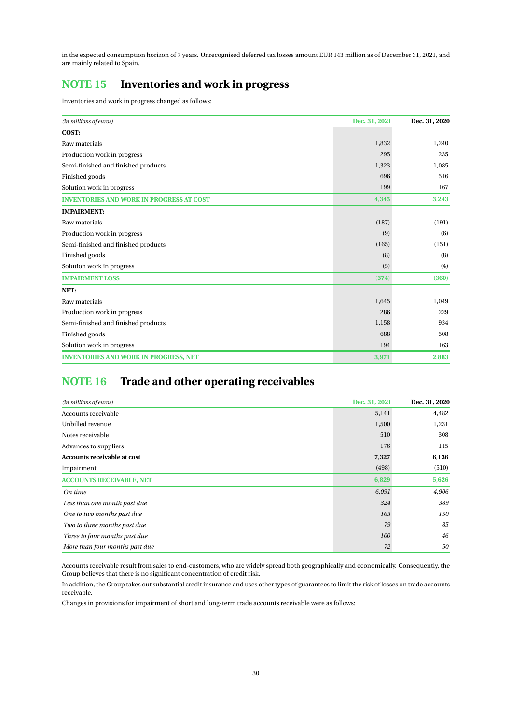in the expected consumption horizon of 7 years. Unrecognised deferred tax losses amount EUR 143 million as of December 31, 2021, and are mainly related to Spain.

## <span id="page-30-0"></span>**NOTE 15 Inventories and work in progress**

Inventories and work in progress changed as follows:

| (in millions of euros)                          | Dec. 31, 2021 | Dec. 31, 2020 |
|-------------------------------------------------|---------------|---------------|
| COST:                                           |               |               |
| Raw materials                                   | 1,832         | 1,240         |
| Production work in progress                     | 295           | 235           |
| Semi-finished and finished products             | 1,323         | 1,085         |
| Finished goods                                  | 696           | 516           |
| Solution work in progress                       | 199           | 167           |
| <b>INVENTORIES AND WORK IN PROGRESS AT COST</b> | 4,345         | 3,243         |
| <b>IMPAIRMENT:</b>                              |               |               |
| Raw materials                                   | (187)         | (191)         |
| Production work in progress                     | (9)           | (6)           |
| Semi-finished and finished products             | (165)         | (151)         |
| Finished goods                                  | (8)           | (8)           |
| Solution work in progress                       | (5)           | (4)           |
| <b>IMPAIRMENT LOSS</b>                          | (374)         | (360)         |
| NET:                                            |               |               |
| Raw materials                                   | 1,645         | 1,049         |
| Production work in progress                     | 286           | 229           |
| Semi-finished and finished products             | 1,158         | 934           |
| Finished goods                                  | 688           | 508           |
| Solution work in progress                       | 194           | 163           |
| <b>INVENTORIES AND WORK IN PROGRESS, NET</b>    | 3,971         | 2,883         |

## <span id="page-30-1"></span>**NOTE 16 Trade and other operating receivables**

| (in millions of euros)             | Dec. 31, 2021 | Dec. 31, 2020 |
|------------------------------------|---------------|---------------|
| Accounts receivable                | 5,141         | 4,482         |
| Unbilled revenue                   | 1,500         | 1,231         |
| Notes receivable                   | 510           | 308           |
| Advances to suppliers              | 176           | 115           |
| <b>Accounts receivable at cost</b> | 7,327         | 6,136         |
| Impairment                         | (498)         | (510)         |
| <b>ACCOUNTS RECEIVABLE, NET</b>    | 6,829         | 5,626         |
| On time                            | 6,091         | 4,906         |
| Less than one month past due       | 324           | 389           |
| One to two months past due         | 163           | 150           |
| Two to three months past due       | 79            | 85            |
| Three to four months past due      | 100           | 46            |
| More than four months past due     | 72            | 50            |

Accounts receivable result from sales to end-customers, who are widely spread both geographically and economically. Consequently, the Group believes that there is no significant concentration of credit risk.

In addition, the Group takes out substantial credit insurance and uses other types of guarantees to limit the risk of losses on trade accounts receivable.

Changes in provisions for impairment of short and long-term trade accounts receivable were as follows: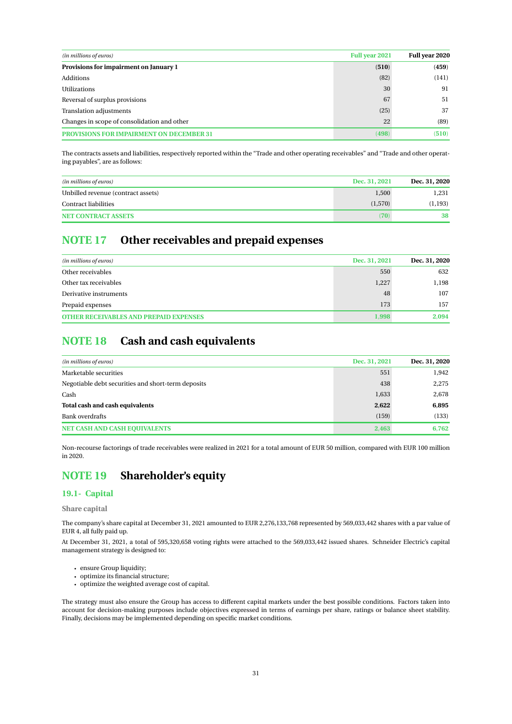| <b>Full year 2021</b><br>(in millions of euros) |       | Full year 2020 |
|-------------------------------------------------|-------|----------------|
| Provisions for impairment on January 1          | (510) | (459)          |
| Additions                                       | (82)  | (141)          |
| <b>Utilizations</b>                             | 30    | 91             |
| Reversal of surplus provisions                  | 67    | 51             |
| Translation adjustments                         | (25)  | 37             |
| Changes in scope of consolidation and other     | 22    | (89)           |
| <b>IMPAIRMENT ON DECEMBER 31</b>                | (498) | (510)          |

The contracts assets and liabilities, respectively reported within the "Trade and other operating receivables" and "Trade and other operating payables", are as follows:

| (in millions of euros)             | Dec. 31, 2021 | Dec. 31, 2020 |
|------------------------------------|---------------|---------------|
| Unbilled revenue (contract assets) | 1.500         | 1.231         |
| Contract liabilities               | (1,570)       | (1, 193)      |
| <b>NET CONTRACT ASSETS</b>         | (70)          | 38            |

## <span id="page-31-2"></span>**NOTE 17 Other receivables and prepaid expenses**

| (in millions of euros)                        | Dec. 31, 2021 | Dec. 31, 2020 |
|-----------------------------------------------|---------------|---------------|
| Other receivables                             | 550           | 632           |
| Other tax receivables                         | 1,227         | 1,198         |
| Derivative instruments                        | 48            | 107           |
| Prepaid expenses                              | 173           | 157           |
| <b>OTHER RECEIVABLES AND PREPAID EXPENSES</b> | 1.998         | 2.094         |

## <span id="page-31-1"></span>**NOTE 18 Cash and cash equivalents**

| (in millions of euros)                             | Dec. 31, 2021 | Dec. 31, 2020 |
|----------------------------------------------------|---------------|---------------|
| Marketable securities                              | 551           | 1,942         |
| Negotiable debt securities and short-term deposits | 438           | 2,275         |
| Cash                                               | 1,633         | 2,678         |
| Total cash and cash equivalents                    | 2,622         | 6,895         |
| <b>Bank overdrafts</b>                             | (159)         | (133)         |
| <b>NET CASH AND CASH EQUIVALENTS</b>               | 2.463         | 6.762         |

Non-recourse factorings of trade receivables were realized in 2021 for a total amount of EUR 50 million, compared with EUR 100 million in 2020.

## <span id="page-31-0"></span>**NOTE 19 Shareholder's equity**

## **19.1- Capital**

**Share capital**

The company's share capital at December 31, 2021 amounted to EUR 2,276,133,768 represented by 569,033,442 shares with a par value of EUR 4, all fully paid up.

At December 31, 2021, a total of 595,320,658 voting rights were attached to the 569,033,442 issued shares. Schneider Electric's capital management strategy is designed to:

- ensure Group liquidity;
- optimize its financial structure;
- optimize the weighted average cost of capital.

The strategy must also ensure the Group has access to different capital markets under the best possible conditions. Factors taken into account for decision-making purposes include objectives expressed in terms of earnings per share, ratings or balance sheet stability. Finally, decisions may be implemented depending on specific market conditions.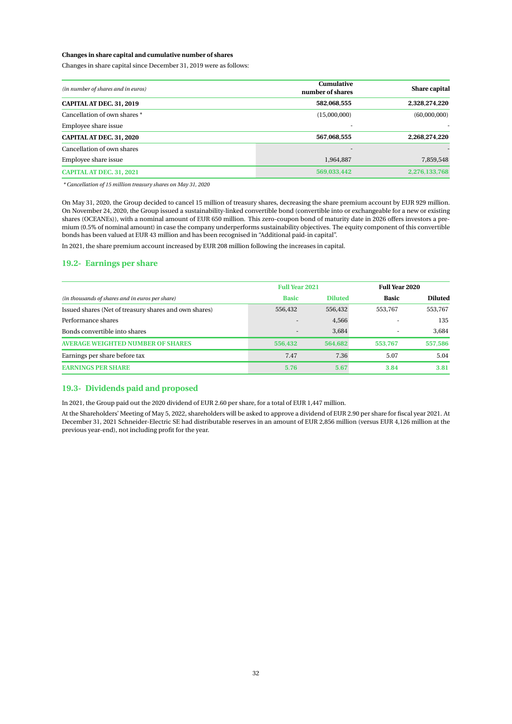#### **Changes in share capital and cumulative number of shares**

Changes in share capital since December 31, 2019 were as follows:

| <b>Cumulative</b><br>(in number of shares and in euros)<br>number of shares |              | Share capital |
|-----------------------------------------------------------------------------|--------------|---------------|
| CAPITAL AT DEC. 31, 2019                                                    | 582,068,555  | 2,328,274,220 |
| Cancellation of own shares *                                                | (15,000,000) | (60,000,000)  |
| Employee share issue                                                        |              |               |
| <b>CAPITAL AT DEC. 31, 2020</b>                                             | 567,068,555  | 2,268,274,220 |
| Cancellation of own shares                                                  |              |               |
| Employee share issue                                                        | 1,964,887    | 7,859,548     |
| <b>CAPITAL AT DEC. 31, 2021</b>                                             | 569,033,442  | 2,276,133,768 |

*\* Cancellation of 15 million treasury shares on May 31, 2020*

On May 31, 2020, the Group decided to cancel 15 million of treasury shares, decreasing the share premium account by EUR 929 million. On November 24, 2020, the Group issued a sustainability-linked convertible bond (convertible into or exchangeable for a new or existing shares (OCEANEs)), with a nominal amount of EUR 650 million. This zero-coupon bond of maturity date in 2026 offers investors a premium (0.5% of nominal amount) in case the company underperforms sustainability objectives. The equity component of this convertible bonds has been valued at EUR 43 million and has been recognised in "Additional paid-in capital".

In 2021, the share premium account increased by EUR 208 million following the increases in capital.

## **19.2- Earnings per share**

|                                                       | <b>Full Year 2021</b>    |                | <b>Full Year 2020</b> |                |
|-------------------------------------------------------|--------------------------|----------------|-----------------------|----------------|
| (in thousands of shares and in euros per share)       | <b>Basic</b>             | <b>Diluted</b> | <b>Basic</b>          | <b>Diluted</b> |
| Issued shares (Net of treasury shares and own shares) | 556,432                  | 556,432        | 553,767               | 553,767        |
| Performance shares                                    | $\overline{\phantom{a}}$ | 4,566          | ۰                     | 135            |
| Bonds convertible into shares                         | $\overline{\phantom{a}}$ | 3.684          | $\sim$                | 3.684          |
| <b>AVERAGE WEIGHTED NUMBER OF SHARES</b>              | 556,432                  | 564.682        | 553,767               | 557.586        |
| Earnings per share before tax                         | 7.47                     | 7.36           | 5.07                  | 5.04           |
| <b>EARNINGS PER SHARE</b>                             | 5.76                     | 5.67           | 3.84                  | 3.81           |

#### **19.3- Dividends paid and proposed**

In 2021, the Group paid out the 2020 dividend of EUR 2.60 per share, for a total of EUR 1,447 million.

At the Shareholders' Meeting of May 5, 2022, shareholders will be asked to approve a dividend of EUR 2.90 per share for fiscal year 2021. At December 31, 2021 Schneider-Electric SE had distributable reserves in an amount of EUR 2,856 million (versus EUR 4,126 million at the previous year-end), not including profit for the year.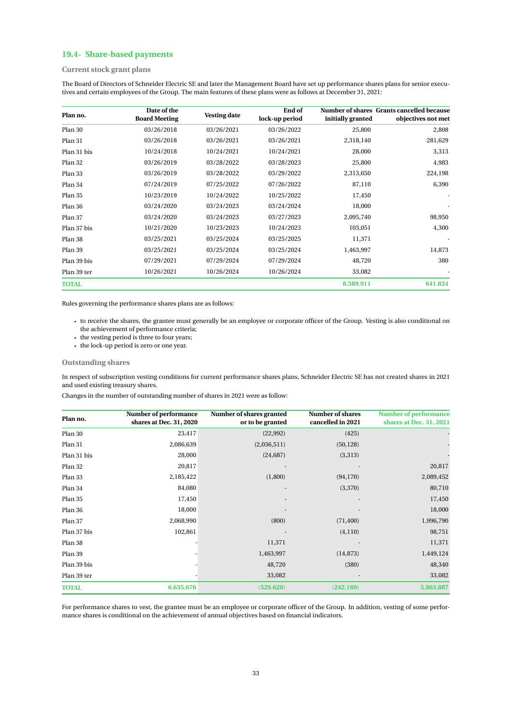## **19.4- Share-based payments**

### **Current stock grant plans**

The Board of Directors of Schneider Electric SE and later the Management Board have set up performance shares plans for senior executives and certain employees of the Group. The main features of these plans were as follows at December 31, 2021:

| Plan no.     | Date of the<br><b>Board Meeting</b> | <b>Vesting date</b> | End of<br>lock-up period | initially granted | Number of shares Grants cancelled because<br>objectives not met |
|--------------|-------------------------------------|---------------------|--------------------------|-------------------|-----------------------------------------------------------------|
| Plan 30      | 03/26/2018                          | 03/26/2021          | 03/26/2022               | 25,800            | 2,808                                                           |
| Plan 31      | 03/26/2018                          | 03/26/2021          | 03/26/2021               | 2,318,140         | 281,629                                                         |
| Plan 31 bis  | 10/24/2018                          | 10/24/2021          | 10/24/2021               | 28,000            | 3,313                                                           |
| Plan 32      | 03/26/2019                          | 03/28/2022          | 03/28/2023               | 25,800            | 4,983                                                           |
| Plan 33      | 03/26/2019                          | 03/28/2022          | 03/29/2022               | 2,313,650         | 224,198                                                         |
| Plan 34      | 07/24/2019                          | 07/25/2022          | 07/26/2022               | 87,110            | 6,390                                                           |
| Plan 35      | 10/23/2019                          | 10/24/2022          | 10/25/2022               | 17,450            |                                                                 |
| Plan 36      | 03/24/2020                          | 03/24/2023          | 03/24/2024               | 18,000            |                                                                 |
| Plan 37      | 03/24/2020                          | 03/24/2023          | 03/27/2023               | 2,095,740         | 98,950                                                          |
| Plan 37 bis  | 10/21/2020                          | 10/23/2023          | 10/24/2023               | 103,051           | 4,300                                                           |
| Plan 38      | 03/25/2021                          | 03/25/2024          | 03/25/2025               | 11,371            |                                                                 |
| Plan 39      | 03/25/2021                          | 03/25/2024          | 03/25/2024               | 1,463,997         | 14,873                                                          |
| Plan 39 bis  | 07/29/2021                          | 07/29/2024          | 07/29/2024               | 48,720            | 380                                                             |
| Plan 39 ter  | 10/26/2021                          | 10/26/2024          | 10/26/2024               | 33,082            |                                                                 |
| <b>TOTAL</b> |                                     |                     |                          | 8,589,911         | 641,824                                                         |

Rules governing the performance shares plans are as follows:

• to receive the shares, the grantee must generally be an employee or corporate officer of the Group. Vesting is also conditional on the achievement of performance criteria;

- the vesting period is three to four years;
- the lock-up period is zero or one year.

**Outstanding shares**

In respect of subscription vesting conditions for current performance shares plans, Schneider Electric SE has not created shares in 2021 and used existing treasury shares.

Changes in the number of outstanding number of shares in 2021 were as follow:

| Plan no.     | Number of performance<br>shares at Dec. 31, 2020 | Number of shares granted<br>or to be granted | <b>Number of shares</b><br>cancelled in 2021 | <b>Number of performance</b><br>shares at Dec. 31, 2021 |
|--------------|--------------------------------------------------|----------------------------------------------|----------------------------------------------|---------------------------------------------------------|
| Plan 30      | 23,417                                           | (22, 992)                                    | (425)                                        |                                                         |
| Plan 31      | 2,086,639                                        | (2,036,511)                                  | (50, 128)                                    |                                                         |
| Plan 31 bis  | 28,000                                           | (24, 687)                                    | (3,313)                                      |                                                         |
| Plan 32      | 20,817                                           |                                              |                                              | 20,817                                                  |
| Plan 33      | 2,185,422                                        | (1,800)                                      | (94, 170)                                    | 2,089,452                                               |
| Plan 34      | 84,080                                           |                                              | (3,370)                                      | 80,710                                                  |
| Plan 35      | 17,450                                           |                                              |                                              | 17,450                                                  |
| Plan 36      | 18,000                                           |                                              |                                              | 18,000                                                  |
| Plan 37      | 2,068,990                                        | (800)                                        | (71, 400)                                    | 1,996,790                                               |
| Plan 37 bis  | 102,861                                          |                                              | (4,110)                                      | 98,751                                                  |
| Plan 38      |                                                  | 11,371                                       |                                              | 11,371                                                  |
| Plan 39      |                                                  | 1,463,997                                    | (14, 873)                                    | 1,449,124                                               |
| Plan 39 bis  |                                                  | 48,720                                       | (380)                                        | 48,340                                                  |
| Plan 39 ter  |                                                  | 33,082                                       |                                              | 33,082                                                  |
| <b>TOTAL</b> | 6,635,676                                        | (529, 620)                                   | (242, 169)                                   | 5,863,887                                               |

For performance shares to vest, the grantee must be an employee or corporate officer of the Group. In addition, vesting of some performance shares is conditional on the achievement of annual objectives based on financial indicators.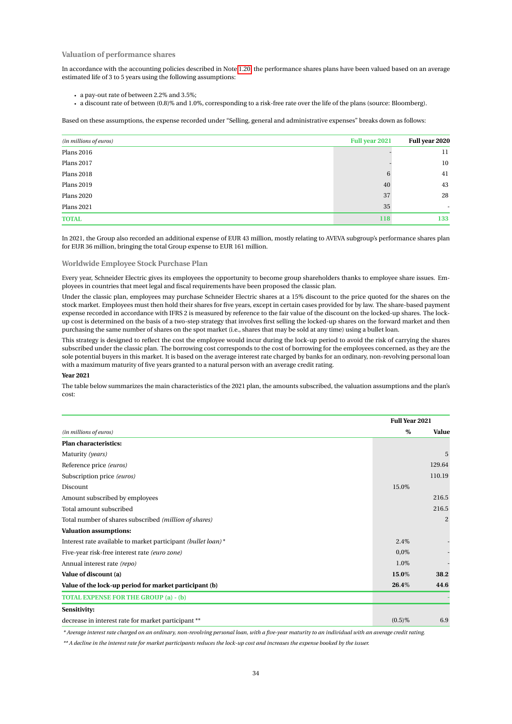#### **Valuation of performance shares**

In accordance with the accounting policies described in Note [1.20,](#page-15-0) the performance shares plans have been valued based on an average estimated life of 3 to 5 years using the following assumptions:

- a pay-out rate of between 2.2% and 3.5%;
- a discount rate of between (0.8)% and 1.0%, corresponding to a risk-free rate over the life of the plans (source: Bloomberg).

Based on these assumptions, the expense recorded under "Selling, general and administrative expenses" breaks down as follows:

| (in millions of euros) | Full year 2021 | Full year 2020           |
|------------------------|----------------|--------------------------|
| <b>Plans 2016</b>      |                | 11                       |
| <b>Plans 2017</b>      |                | $10\,$                   |
| <b>Plans 2018</b>      | 6              | 41                       |
| <b>Plans 2019</b>      | 40             | 43                       |
| <b>Plans 2020</b>      | 37             | 28                       |
| <b>Plans 2021</b>      | 35             | $\overline{\phantom{a}}$ |
| <b>TOTAL</b>           | 118            | 133                      |

In 2021, the Group also recorded an additional expense of EUR 43 million, mostly relating to AVEVA subgroup's performance shares plan for EUR 36 million, bringing the total Group expense to EUR 161 million.

#### **Worldwide Employee Stock Purchase Plan**

Every year, Schneider Electric gives its employees the opportunity to become group shareholders thanks to employee share issues. Employees in countries that meet legal and fiscal requirements have been proposed the classic plan.

Under the classic plan, employees may purchase Schneider Electric shares at a 15% discount to the price quoted for the shares on the stock market. Employees must then hold their shares for five years, except in certain cases provided for by law. The share-based payment expense recorded in accordance with IFRS 2 is measured by reference to the fair value of the discount on the locked-up shares. The lockup cost is determined on the basis of a two-step strategy that involves first selling the locked-up shares on the forward market and then purchasing the same number of shares on the spot market (i.e., shares that may be sold at any time) using a bullet loan.

This strategy is designed to reflect the cost the employee would incur during the lock-up period to avoid the risk of carrying the shares subscribed under the classic plan. The borrowing cost corresponds to the cost of borrowing for the employees concerned, as they are the sole potential buyers in this market. It is based on the average interest rate charged by banks for an ordinary, non-revolving personal loan with a maximum maturity of five years granted to a natural person with an average credit rating.

#### **Year 2021**

The table below summarizes the main characteristics of the 2021 plan, the amounts subscribed, the valuation assumptions and the plan's cost:

|                                                              | <b>Full Year 2021</b> |                |
|--------------------------------------------------------------|-----------------------|----------------|
| (in millions of euros)                                       | %                     | Value          |
| <b>Plan characteristics:</b>                                 |                       |                |
| Maturity (years)                                             |                       | 5              |
| Reference price (euros)                                      |                       | 129.64         |
| Subscription price (euros)                                   |                       | 110.19         |
| Discount                                                     | 15.0%                 |                |
| Amount subscribed by employees                               |                       | 216.5          |
| Total amount subscribed                                      |                       | 216.5          |
| Total number of shares subscribed (million of shares)        |                       | $\overline{2}$ |
| <b>Valuation assumptions:</b>                                |                       |                |
| Interest rate available to market participant (bullet loan)* | 2.4%                  |                |
| Five-year risk-free interest rate (euro zone)                | $0.0\%$               |                |
| Annual interest rate (repo)                                  | 1.0%                  |                |
| Value of discount (a)                                        | 15.0%                 | 38.2           |
| Value of the lock-up period for market participant (b)       | 26.4%                 | 44.6           |
| <b>TOTAL EXPENSE FOR THE GROUP (a) - (b)</b>                 |                       |                |
| Sensitivity:                                                 |                       |                |
| decrease in interest rate for market participant **          | $(0.5)\%$             | 6.9            |

*\* Average interest rate charged on an ordinary, non-revolving personal loan, with a five-year maturity to an individual with an average credit rating.*

*\*\* A decline in the interest rate for market participants reduces the lock-up cost and increases the expense booked by the issuer.*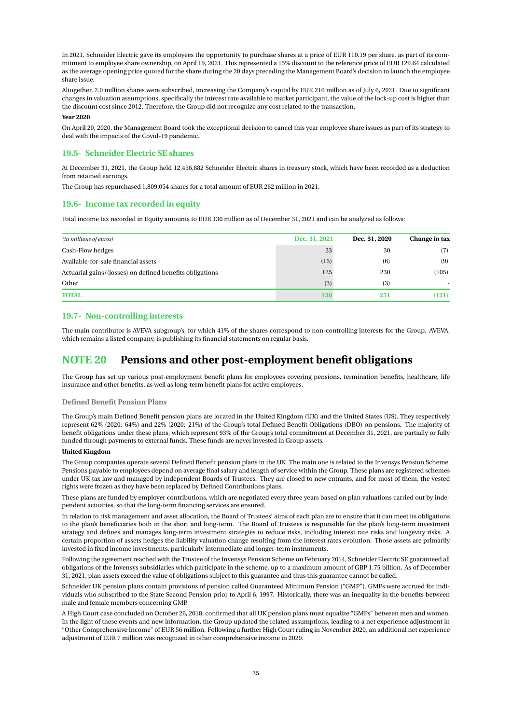In 2021, Schneider Electric gave its employees the opportunity to purchase shares at a price of EUR 110.19 per share, as part of its commitment to employee share ownership, on April 19, 2021. This represented a 15% discount to the reference price of EUR 129.64 calculated as the average opening price quoted for the share during the 20 days preceding the Management Board's decision to launch the employee share issue.

Altogether, 2.0 million shares were subscribed, increasing the Company's capital by EUR 216 million as of July 6, 2021. Due to significant changes in valuation assumptions, specifically the interest rate available to market participant, the value of the lock-up cost is higher than the discount cost since 2012. Therefore, the Group did not recognize any cost related to the transaction.

#### **Year 2020**

On April 20, 2020, the Management Board took the exceptional decision to cancel this year employee share issues as part of its strategy to deal with the impacts of the Covid-19 pandemic.

#### **19.5- Schneider Electric SE shares**

At December 31, 2021, the Group held 12,456,882 Schneider Electric shares in treasury stock, which have been recorded as a deduction from retained earnings.

The Group has repurchased 1,809,054 shares for a total amount of EUR 262 million in 2021.

#### **19.6- Income tax recorded in equity**

Total income tax recorded in Equity amounts to EUR 130 million as of December 31, 2021 and can be analyzed as follows:

| (in millions of euros)                                   | Dec. 31, 2021 | Dec. 31, 2020 | Change in tax |
|----------------------------------------------------------|---------------|---------------|---------------|
| Cash-Flow hedges                                         | 23            | 30            | (7)           |
| Available-for-sale financial assets                      | (15)          | (6)           | (9)           |
| Actuarial gains/(losses) on defined benefits obligations | 125           | 230           | (105)         |
| Other                                                    | (3)           | (3)           |               |
| <b>TOTAL</b>                                             | 130           | 251           | (121)         |

## **19.7- Non-controlling interests**

The main contributor is AVEVA subgroup's, for which 41% of the shares correspond to non-controlling interests for the Group. AVEVA, which remains a listed company, is publishing its financial statements on regular basis.

## <span id="page-35-0"></span>**NOTE 20 Pensions and other post-employment benefit obligations**

The Group has set up various post-employment benefit plans for employees covering pensions, termination benefits, healthcare, life insurance and other benefits, as well as long-term benefit plans for active employees.

#### **Defined Benefit Pension Plans**

The Group's main Defined Benefit pension plans are located in the United Kingdom (UK) and the United States (US). They respectively represent 62% (2020: 64%) and 22% (2020: 21%) of the Group's total Defined Benefit Obligations (DBO) on pensions. The majority of benefit obligations under these plans, which represent 93% of the Group's total commitment at December 31, 2021, are partially or fully funded through payments to external funds. These funds are never invested in Group assets.

#### **United Kingdom**

The Group companies operate several Defined Benefit pension plans in the UK. The main one is related to the Invensys Pension Scheme. Pensions payable to employees depend on average final salary and length of service within the Group. These plans are registered schemes under UK tax law and managed by independent Boards of Trustees. They are closed to new entrants, and for most of them, the vested rights were frozen as they have been replaced by Defined Contributions plans.

These plans are funded by employer contributions, which are negotiated every three years based on plan valuations carried out by independent actuaries, so that the long-term financing services are ensured.

In relation to risk management and asset allocation, the Board of Trustees' aims of each plan are to ensure that it can meet its obligations to the plan's beneficiaries both in the short and long-term. The Board of Trustees is responsible for the plan's long-term investment strategy and defines and manages long-term investment strategies to reduce risks, including interest rate risks and longevity risks. A certain proportion of assets hedges the liability valuation change resulting from the interest rates evolution. Those assets are primarily invested in fixed income investments, particularly intermediate and longer-term instruments.

Following the agreement reached with the Trustee of the Invensys Pension Scheme on February 2014, Schneider Electric SE guaranteed all obligations of the Invensys subsidiaries which participate in the scheme, up to a maximum amount of GBP 1.75 billion. As of December 31, 2021, plan assets exceed the value of obligations subject to this guarantee and thus this guarantee cannot be called.

Schneider UK pension plans contain provisions of pension called Guaranteed Minimum Pension ("GMP"). GMPs were accrued for individuals who subscribed to the State Second Pension prior to April 6, 1997. Historically, there was an inequality in the benefits between male and female members concerning GMP.

A High Court case concluded on October 26, 2018, confirmed that all UK pension plans must equalize "GMPs" between men and women. In the light of these events and new information, the Group updated the related assumptions, leading to a net experience adjustment in "Other Comprehensive Income" of EUR 56 million. Following a further High Court ruling in November 2020, an additional net experience adjustment of EUR 7 million was recognized in other comprehensive income in 2020.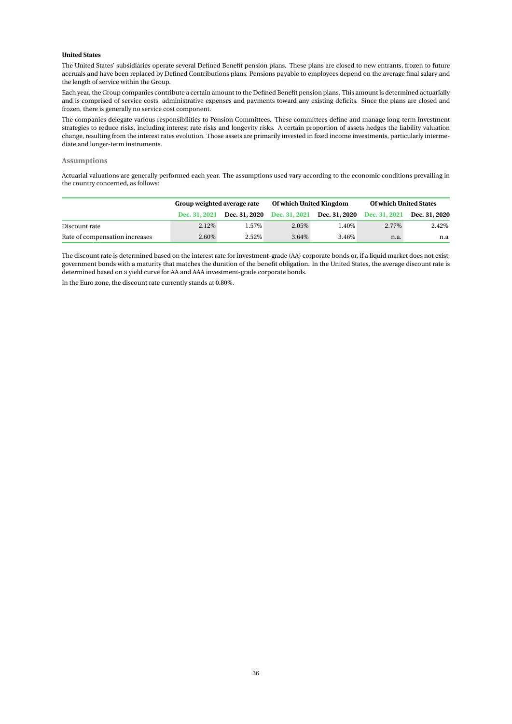#### **United States**

The United States' subsidiaries operate several Defined Benefit pension plans. These plans are closed to new entrants, frozen to future accruals and have been replaced by Defined Contributions plans. Pensions payable to employees depend on the average final salary and the length of service within the Group.

Each year, the Group companies contribute a certain amount to the Defined Benefit pension plans. This amount is determined actuarially and is comprised of service costs, administrative expenses and payments toward any existing deficits. Since the plans are closed and frozen, there is generally no service cost component.

The companies delegate various responsibilities to Pension Committees. These committees define and manage long-term investment strategies to reduce risks, including interest rate risks and longevity risks. A certain proportion of assets hedges the liability valuation change, resulting from the interest rates evolution. Those assets are primarily invested in fixed income investments, particularly intermediate and longer-term instruments.

#### **Assumptions**

Actuarial valuations are generally performed each year. The assumptions used vary according to the economic conditions prevailing in the country concerned, as follows:

|                                | Group weighted average rate |                                    | Of which United Kingdom |                      | <b>Of which United States</b> |               |
|--------------------------------|-----------------------------|------------------------------------|-------------------------|----------------------|-------------------------------|---------------|
|                                | Dec. 31, 2021               | <b>Dec. 31, 2020</b> Dec. 31, 2021 |                         | <b>Dec. 31, 2020</b> | Dec. 31, 2021                 | Dec. 31, 2020 |
| Discount rate                  | 2.12\%                      | 1.57%                              | 2.05%                   | 1.40%                | $2.77\%$                      | 2.42%         |
| Rate of compensation increases | 2.60%                       | 2.52%                              | 3.64%                   | 3.46\%               | n.a.                          | n.a           |

The discount rate is determined based on the interest rate for investment-grade (AA) corporate bonds or, if a liquid market does not exist, government bonds with a maturity that matches the duration of the benefit obligation. In the United States, the average discount rate is determined based on a yield curve for AA and AAA investment-grade corporate bonds.

In the Euro zone, the discount rate currently stands at 0.80%.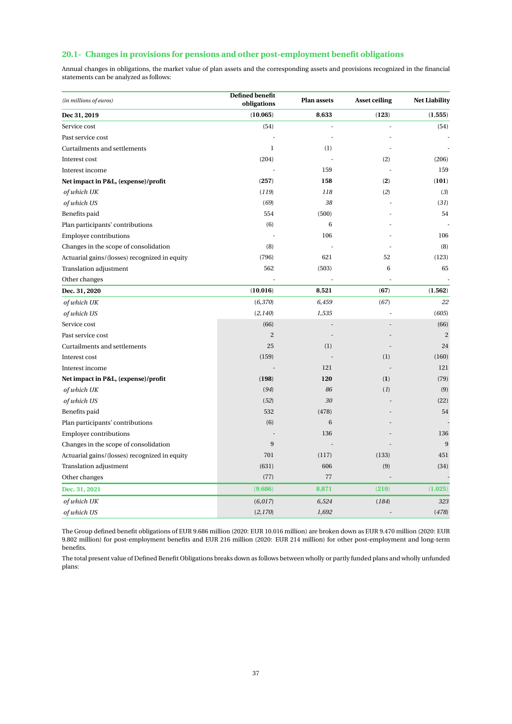## **20.1- Changes in provisions for pensions and other post-employment benefit obligations**

Annual changes in obligations, the market value of plan assets and the corresponding assets and provisions recognized in the financial statements can be analyzed as follows:

| (in millions of euros)                        | Defined benefit<br>obligations | <b>Plan assets</b> | <b>Asset ceiling</b>     | <b>Net Liability</b> |
|-----------------------------------------------|--------------------------------|--------------------|--------------------------|----------------------|
| Dec 31, 2019                                  | (10, 065)                      | 8,633              | (123)                    | (1, 555)             |
| Service cost                                  | (54)                           |                    |                          | (54)                 |
| Past service cost                             |                                |                    |                          |                      |
| Curtailments and settlements                  | $\mathbf{1}$                   | (1)                |                          |                      |
| Interest cost                                 | (204)                          |                    | (2)                      | (206)                |
| Interest income                               |                                | 159                |                          | 159                  |
| Net impact in P&L, (expense)/profit           | (257)                          | 158                | (2)                      | (101)                |
| of which UK                                   | (119)                          | 118                | (2)                      | (3)                  |
| of which US                                   | (69)                           | 38                 |                          | (31)                 |
| Benefits paid                                 | 554                            | (500)              |                          | 54                   |
| Plan participants' contributions              | (6)                            | 6                  |                          |                      |
| <b>Employer contributions</b>                 |                                | 106                |                          | 106                  |
| Changes in the scope of consolidation         | (8)                            |                    |                          | (8)                  |
| Actuarial gains/(losses) recognized in equity | (796)                          | 621                | 52                       | (123)                |
| Translation adjustment                        | 562                            | (503)              | 6                        | 65                   |
| Other changes                                 |                                |                    |                          |                      |
| Dec. 31, 2020                                 | (10, 016)                      | 8,521              | (67)                     | (1, 562)             |
| of which UK                                   | (6,370)                        | 6,459              | (67)                     | 22                   |
| of which US                                   | (2,140)                        | 1,535              |                          | (605)                |
| Service cost                                  | (66)                           |                    |                          | (66)                 |
| Past service cost                             | $\overline{c}$                 |                    |                          | $\overline{c}$       |
| Curtailments and settlements                  | 25                             | (1)                |                          | 24                   |
| Interest cost                                 | (159)                          |                    | (1)                      | (160)                |
| Interest income                               |                                | 121                |                          | 121                  |
| Net impact in P&L, (expense)/profit           | (198)                          | 120                | (1)                      | (79)                 |
| of which UK                                   | (94)                           | 86                 | (1)                      | (9)                  |
| of which US                                   | (52)                           | 30                 |                          | (22)                 |
| Benefits paid                                 | 532                            | (478)              |                          | 54                   |
| Plan participants' contributions              | (6)                            | $6\phantom{1}6$    |                          |                      |
| <b>Employer contributions</b>                 |                                | 136                |                          | 136                  |
| Changes in the scope of consolidation         | 9                              |                    |                          | 9                    |
| Actuarial gains/(losses) recognized in equity | 701                            | (117)              | (133)                    | 451                  |
| Translation adjustment                        | (631)                          | 606                | (9)                      | (34)                 |
| Other changes                                 | (77)                           | 77                 |                          |                      |
| Dec. 31, 2021                                 | (9,686)                        | 8,871              | (210)                    | (1,025)              |
| of which UK                                   | (6,017)                        | 6,524              | (184)                    | 323                  |
| of which US                                   | (2,170)                        | 1,692              | $\overline{\phantom{a}}$ | (478)                |

The Group defined benefit obligations of EUR 9.686 million (2020: EUR 10.016 million) are broken down as EUR 9.470 million (2020: EUR 9.802 million) for post-employment benefits and EUR 216 million (2020: EUR 214 million) for other post-employment and long-term benefits.

The total present value of Defined Benefit Obligations breaks down as follows between wholly or partly funded plans and wholly unfunded plans: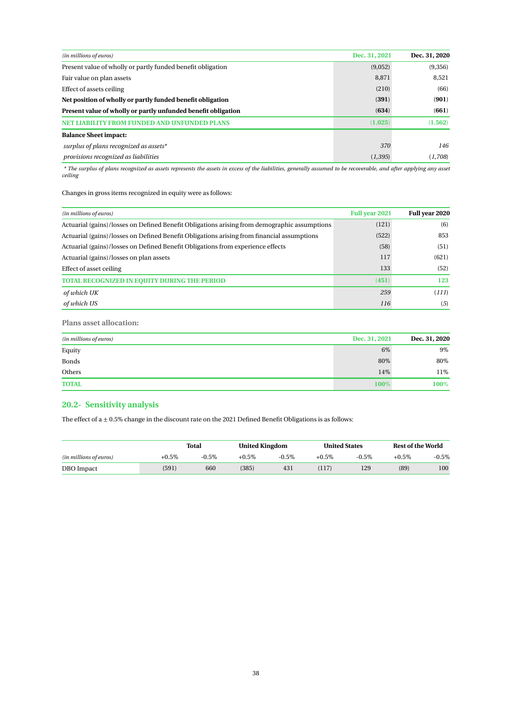| (in millions of euros)                                        | Dec. 31, 2021 | Dec. 31, 2020 |
|---------------------------------------------------------------|---------------|---------------|
| Present value of wholly or partly funded benefit obligation   | (9,052)       | (9,356)       |
| Fair value on plan assets                                     | 8,871         | 8.521         |
| Effect of assets ceiling                                      | (210)         | (66)          |
| Net position of wholly or partly funded benefit obligation    | (391)         | (901)         |
| Present value of wholly or partly unfunded benefit obligation | (634)         | (661)         |
| Y FROM FUNDED AND UNFUNDED PLANS                              | (1,025)       | (1, 562)      |
| <b>Balance Sheet impact:</b>                                  |               |               |
| surplus of plans recognized as assets*                        | 370           | 146           |
| provisions recognized as liabilities                          | (1, 395)      | (1,708)       |

*\* The surplus of plans recognized as assets represents the assets in excess of the liabilities, generally assumed to be recoverable, and after applying any asset ceiling*

Changes in gross items recognized in equity were as follows:

| (in millions of euros)                                                                       | <b>Full year 2021</b> | Full year 2020 |
|----------------------------------------------------------------------------------------------|-----------------------|----------------|
| Actuarial (gains)/losses on Defined Benefit Obligations arising from demographic assumptions | (121)                 | (6)            |
| Actuarial (gains)/losses on Defined Benefit Obligations arising from financial assumptions   | (522)                 | 853            |
| Actuarial (gains)/losses on Defined Benefit Obligations from experience effects              | (58)                  | (51)           |
| Actuarial (gains)/losses on plan assets                                                      | 117                   | (621)          |
| Effect of asset ceiling                                                                      | 133                   | (52)           |
| <b>TOTAL RECOGNIZED IN EQUITY DURING THE PERIOD</b>                                          | (451)                 | 123            |
| of which UK                                                                                  | 259                   | (111)          |
| of which US                                                                                  | 116                   | (5)            |

**Plans asset allocation:**

| (in millions of euros) | Dec. 31, 2021 | Dec. 31, 2020 |
|------------------------|---------------|---------------|
| Equity                 | 6%            | 9%            |
| <b>Bonds</b>           | 80%           | 80%           |
| Others                 | 14%           | 11%           |
| <b>TOTAL</b>           | 100%          | $100\%$       |

## **20.2- Sensitivity analysis**

The effect of a  $\pm$  0.5% change in the discount rate on the 2021 Defined Benefit Obligations is as follows:

|                        |          | Total   |          | <b>United Kingdom</b> |          | <b>United States</b> |          | Rest of the World |
|------------------------|----------|---------|----------|-----------------------|----------|----------------------|----------|-------------------|
| (in millions of euros) | $+0.5\%$ | $-0.5%$ | $+0.5\%$ | $-0.5%$               | $+0.5\%$ | $-0.5%$              | $+0.5\%$ | $-0.5\%$          |
| DBO Impact             | (591)    | 660     | (385)    | 431                   | (117)    | 129                  | (89)     | 100               |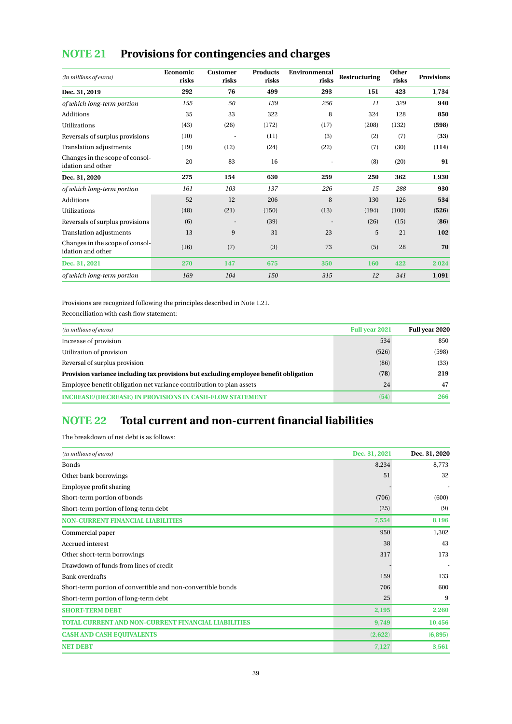# <span id="page-39-0"></span>**NOTE 21 Provisions for contingencies and charges**

| (in millions of euros)                               | Economic<br>risks | Customer<br>risks | <b>Products</b><br>risks | Environmental<br>risks | <b>Restructuring</b> | Other<br>risks | <b>Provisions</b> |
|------------------------------------------------------|-------------------|-------------------|--------------------------|------------------------|----------------------|----------------|-------------------|
| Dec. 31, 2019                                        | 292               | 76                | 499                      | 293                    | 151                  | 423            | 1,734             |
| of which long-term portion                           | 155               | 50                | 139                      | 256                    | 11                   | 329            | 940               |
| Additions                                            | 35                | 33                | 322                      | 8                      | 324                  | 128            | 850               |
| <b>Utilizations</b>                                  | (43)              | (26)              | (172)                    | (17)                   | (208)                | (132)          | (598)             |
| Reversals of surplus provisions                      | (10)              |                   | (11)                     | (3)                    | (2)                  | (7)            | (33)              |
| Translation adjustments                              | (19)              | (12)              | (24)                     | (22)                   | (7)                  | (30)           | (114)             |
| Changes in the scope of consol-<br>idation and other | 20                | 83                | 16                       |                        | (8)                  | (20)           | 91                |
| Dec. 31, 2020                                        | 275               | 154               | 630                      | 259                    | 250                  | 362            | 1,930             |
| of which long-term portion                           | 161               | 103               | 137                      | 226                    | 15                   | 288            | 930               |
| Additions                                            | 52                | 12                | 206                      | 8                      | 130                  | 126            | 534               |
| <b>Utilizations</b>                                  | (48)              | (21)              | (150)                    | (13)                   | (194)                | (100)          | (526)             |
| Reversals of surplus provisions                      | (6)               |                   | (39)                     |                        | (26)                 | (15)           | (86)              |
| Translation adjustments                              | 13                | 9                 | 31                       | 23                     | 5                    | 21             | 102               |
| Changes in the scope of consol-<br>idation and other | (16)              | (7)               | (3)                      | 73                     | (5)                  | 28             | 70                |
| Dec. 31, 2021                                        | 270               | 147               | 675                      | 350                    | 160                  | 422            | 2,024             |
| of which long-term portion                           | 169               | 104               | 150                      | 315                    | 12                   | 341            | 1,091             |

Provisions are recognized following the principles described in Note 1.21.

Reconciliation with cash flow statement:

| (in millions of euros)                                                                | <b>Full year 2021</b> | Full year 2020 |
|---------------------------------------------------------------------------------------|-----------------------|----------------|
| Increase of provision                                                                 | 534                   | 850            |
| Utilization of provision                                                              | (526)                 | (598)          |
| Reversal of surplus provision                                                         | (86)                  | (33)           |
| Provision variance including tax provisions but excluding employee benefit obligation | (78)                  | 219            |
| Employee benefit obligation net variance contribution to plan assets                  | 24                    | 47             |
| <b>INCREASE/(DECREASE) IN PROVISIONS IN CASH-FLOW STATEMENT</b>                       | (54)                  | 266            |

## <span id="page-39-1"></span>**NOTE 22 Total current and non-current financial liabilities**

The breakdown of net debt is as follows:

| (in millions of euros)                                      | Dec. 31, 2021 | Dec. 31, 2020 |
|-------------------------------------------------------------|---------------|---------------|
| <b>Bonds</b>                                                | 8,234         | 8,773         |
| Other bank borrowings                                       | 51            | 32            |
| Employee profit sharing                                     |               |               |
| Short-term portion of bonds                                 | (706)         | (600)         |
| Short-term portion of long-term debt                        | (25)          | (9)           |
| <b>NON-CURRENT FINANCIAL LIABILITIES</b>                    | 7,554         | 8,196         |
| Commercial paper                                            | 950           | 1,302         |
| Accrued interest                                            | 38            | 43            |
| Other short-term borrowings                                 | 317           | 173           |
| Drawdown of funds from lines of credit                      |               |               |
| <b>Bank overdrafts</b>                                      | 159           | 133           |
| Short-term portion of convertible and non-convertible bonds | 706           | 600           |
| Short-term portion of long-term debt                        | 25            | 9             |
| <b>SHORT-TERM DEBT</b>                                      | 2,195         | 2,260         |
| <b>TOTAL CURRENT AND NON-CURRENT FINANCIAL LIABILITIES</b>  | 9,749         | 10,456        |
| <b>CASH AND CASH EQUIVALENTS</b>                            | (2,622)       | (6,895)       |
| <b>NET DEBT</b>                                             | 7,127         | 3,561         |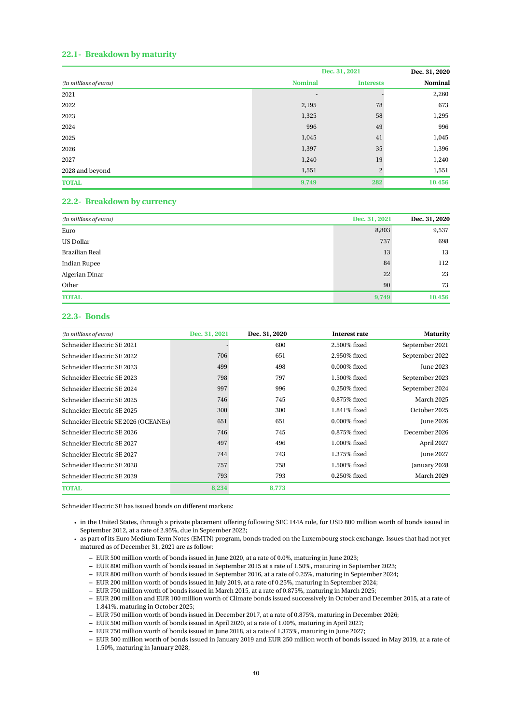## **22.1- Breakdown by maturity**

|                        |                | Dec. 31, 2021    | Dec. 31, 2020 |
|------------------------|----------------|------------------|---------------|
| (in millions of euros) | <b>Nominal</b> | <b>Interests</b> | Nominal       |
| 2021                   | ٠              |                  | 2,260         |
| 2022                   | 2,195          | 78               | 673           |
| 2023                   | 1,325          | 58               | 1,295         |
| 2024                   | 996            | 49               | 996           |
| 2025                   | 1,045          | 41               | 1,045         |
| 2026                   | 1,397          | 35               | 1,396         |
| 2027                   | 1,240          | 19               | 1,240         |
| 2028 and beyond        | 1,551          | 2                | 1,551         |
| <b>TOTAL</b>           | 9,749          | 282              | 10,456        |

## **22.2- Breakdown by currency**

| (in millions of euros) | Dec. 31, 2021 | Dec. 31, 2020 |
|------------------------|---------------|---------------|
| Euro                   | 8,803         | 9,537         |
| <b>US Dollar</b>       | 737           | 698           |
| Brazilian Real         | 13            | 13            |
| <b>Indian Rupee</b>    | 84            | 112           |
| Algerian Dinar         | 22            | 23            |
| Other                  | 90            | 73            |
| <b>TOTAL</b>           | 9,749         | 10,456        |

### **22.3- Bonds**

| (in millions of euros)               | Dec. 31, 2021 | Dec. 31, 2020 | Interest rate   | <b>Maturity</b>  |
|--------------------------------------|---------------|---------------|-----------------|------------------|
| Schneider Electric SE 2021           |               | 600           | 2.500% fixed    | September 2021   |
| Schneider Electric SE 2022           | 706           | 651           | 2.950% fixed    | September 2022   |
| Schneider Electric SE 2023           | 499           | 498           | $0.000\%$ fixed | June 2023        |
| Schneider Electric SE 2023           | 798           | 797           | 1.500% fixed    | September 2023   |
| Schneider Electric SE 2024           | 997           | 996           | 0.250% fixed    | September 2024   |
| Schneider Electric SE 2025           | 746           | 745           | $0.875\%$ fixed | March 2025       |
| Schneider Electric SE 2025           | 300           | 300           | 1.841% fixed    | October 2025     |
| Schneider Electric SE 2026 (OCEANEs) | 651           | 651           | $0.000\%$ fixed | <b>June 2026</b> |
| Schneider Electric SE 2026           | 746           | 745           | 0.875% fixed    | December 2026    |
| Schneider Electric SE 2027           | 497           | 496           | $1.000\%$ fixed | April 2027       |
| Schneider Electric SE 2027           | 744           | 743           | 1.375% fixed    | June 2027        |
| Schneider Electric SE 2028           | 757           | 758           | 1.500% fixed    | January 2028     |
| Schneider Electric SE 2029           | 793           | 793           | 0.250% fixed    | March 2029       |
| <b>TOTAL</b>                         | 8,234         | 8,773         |                 |                  |

Schneider Electric SE has issued bonds on different markets:

- in the United States, through a private placement offering following SEC 144A rule, for USD 800 million worth of bonds issued in September 2012, at a rate of 2.95%, due in September 2022;
- as part of its Euro Medium Term Notes (EMTN) program, bonds traded on the Luxembourg stock exchange. Issues that had not yet matured as of December 31, 2021 are as follow:
	- **–** EUR 500 million worth of bonds issued in June 2020, at a rate of 0.0%, maturing in June 2023;
	- **–** EUR 800 million worth of bonds issued in September 2015 at a rate of 1.50%, maturing in September 2023;
	- **–** EUR 800 million worth of bonds issued in September 2016, at a rate of 0.25%, maturing in September 2024;
	- **–** EUR 200 million worth of bonds issued in July 2019, at a rate of 0.25%, maturing in September 2024;
	- **–** EUR 750 million worth of bonds issued in March 2015, at a rate of 0.875%, maturing in March 2025;
	- **–** EUR 200 million and EUR 100 million worth of Climate bonds issued successively in October and December 2015, at a rate of 1.841%, maturing in October 2025;
	- **–** EUR 750 million worth of bonds issued in December 2017, at a rate of 0.875%, maturing in December 2026;
	- **–** EUR 500 million worth of bonds issued in April 2020, at a rate of 1.00%, maturing in April 2027;
	- **–** EUR 750 million worth of bonds issued in June 2018, at a rate of 1.375%, maturing in June 2027;
	- **–** EUR 500 million worth of bonds issued in January 2019 and EUR 250 million worth of bonds issued in May 2019, at a rate of 1.50%, maturing in January 2028;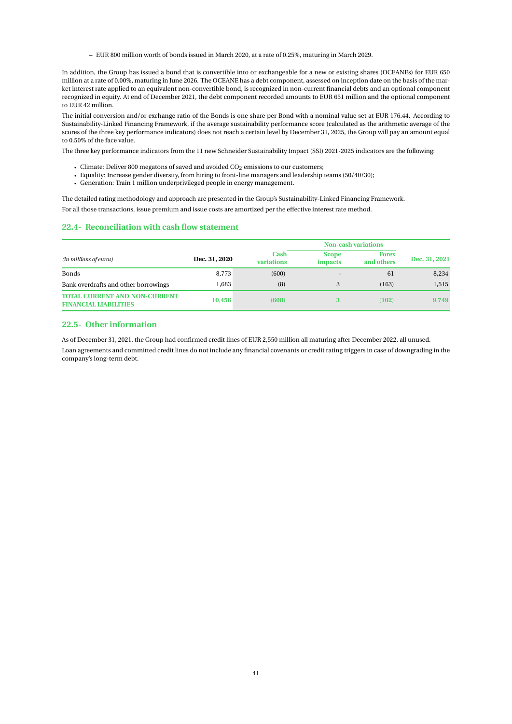**–** EUR 800 million worth of bonds issued in March 2020, at a rate of 0.25%, maturing in March 2029.

In addition, the Group has issued a bond that is convertible into or exchangeable for a new or existing shares (OCEANEs) for EUR 650 million at a rate of 0.00%, maturing in June 2026. The OCEANE has a debt component, assessed on inception date on the basis of the market interest rate applied to an equivalent non-convertible bond, is recognized in non-current financial debts and an optional component recognized in equity. At end of December 2021, the debt component recorded amounts to EUR 651 million and the optional component to EUR 42 million.

The initial conversion and/or exchange ratio of the Bonds is one share per Bond with a nominal value set at EUR 176.44. According to Sustainability-Linked Financing Framework, if the average sustainability performance score (calculated as the arithmetic average of the scores of the three key performance indicators) does not reach a certain level by December 31, 2025, the Group will pay an amount equal to 0.50% of the face value.

The three key performance indicators from the 11 new Schneider Sustainability Impact (SSI) 2021-2025 indicators are the following:

- Climate: Deliver 800 megatons of saved and avoided  $CO<sub>2</sub>$  emissions to our customers;
- Equality: Increase gender diversity, from hiring to front-line managers and leadership teams (50/40/30);
- Generation: Train 1 million underprivileged people in energy management.

The detailed rating methodology and approach are presented in the Group's Sustainability-Linked Financing Framework.

For all those transactions, issue premium and issue costs are amortized per the effective interest rate method.

#### **22.4- Reconciliation with cash flow statement**

|                                                                      |               |                    | <b>Non-cash variations</b>     |                            |               |  |
|----------------------------------------------------------------------|---------------|--------------------|--------------------------------|----------------------------|---------------|--|
| (in millions of euros)                                               | Dec. 31, 2020 | Cash<br>variations | <b>Scope</b><br><i>impacts</i> | <b>Forex</b><br>and others | Dec. 31, 2021 |  |
| <b>Bonds</b>                                                         | 8,773         | (600)              |                                | 61                         | 8,234         |  |
| Bank overdrafts and other borrowings                                 | 1.683         | (8)                |                                | (163)                      | 1,515         |  |
| <b>TOTAL CURRENT AND NON-CURRENT</b><br><b>FINANCIAL LIABILITIES</b> | 10.456        | (608)              |                                | (102)                      | 9,749         |  |

### **22.5- Other information**

As of December 31, 2021, the Group had confirmed credit lines of EUR 2,550 million all maturing after December 2022, all unused.

Loan agreements and committed credit lines do not include any financial covenants or credit rating triggers in case of downgrading in the company's long-term debt.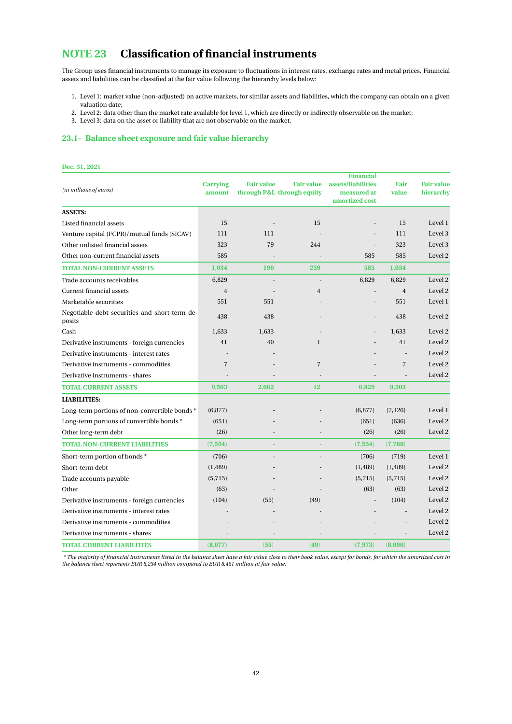## <span id="page-42-0"></span>**NOTE 23 Classification of financial instruments**

The Group uses financial instruments to manage its exposure to fluctuations in interest rates, exchange rates and metal prices. Financial assets and liabilities can be classified at the fair value following the hierarchy levels below:

- 1. Level 1: market value (non-adjusted) on active markets, for similar assets and liabilities, which the company can obtain on a given valuation date;
- 2. Level 2: data other than the market rate available for level 1, which are directly or indirectly observable on the market;
- 3. Level 3: data on the asset or liability that are not observable on the market.

## **23.1- Balance sheet exposure and fair value hierarchy**

#### **Dec. 31, 2021** *(in millions of euros)* **Carrying amount Fair value through P&L through equity Fair value Financial assets/liabilities measured at amortized cost Fair value Fair value hierarchy ASSETS:** Listed financial assets 15 15 15 Level 1 15 Level 1 15 Level 1 2 Level 1 2 Level 1 2 Level 1 2 Level 1 2 Level 1 Venture capital (FCPR)/mutual funds (SICAV) 111 111 - 111 111 Level 3 Other unlisted financial assets 323 79 244 - 323 Level 3 Other non-current financial assets 585 585 Level 2 **TOTAL NON-CURRENT ASSETS 1**,**034 190 259 585 1**,**034** Trade accounts receivables 6,829 6,829 Level 2 Current financial assets 4 - 4 Level 2 Marketable securities **551** 551 551 Level 1 Negotiable debt securities and short-term deposits and short term at  $438$  and  $438$  and  $438$  and  $438$  and  $438$  and  $438$  and  $438$  and  $438$  and  $438$  and  $438$  and  $438$  and  $438$  and  $438$  and  $438$  and  $438$  and  $438$  and  $438$  and  $438$  and  $438$  and  $438$  a Cash 1,633 1,633 - 1,633 - 1,633 Level 2 Derivative instruments - foreign currencies 41 40 1 - 41 Level 2 Derivative instruments - interest rates - - - - - - - - - - - - - - - - Level 2 Derivative instruments - commodities 7 7 - 7 Level 2 Derivative instruments - shares - - - - - Level 2 **TOTAL CURRENT ASSETS 9**,**503 2**,**662 12 6**,**829 9**,**503 LIABILITIES:** Long-term portions of non-convertible bonds \* (6,877) - (6,877) (7,126) Level 1 Long-term portions of convertible bonds \* (651) - - (651) (636) Level 2 Other long-term debt (26) (26) (26) Level 2 **TOTAL NON-CURRENT LIABILITIES** (**7**,**554**) **- -** (**7**,**554**) (**7**,**788**) Short-term portion of bonds \* (706) - (706) - (706) (719) Level 1 Short-term debt (1,489) (1,489) (1,489) Level 2 Trade accounts payable  $(5,715)$   $(-5,715)$   $(-5,715)$   $(-5,715)$   $(-5,715)$   $(-5,715)$   $(-5,715)$ Other (63) (63) - (63) (63) Level 2 Derivative instruments - foreign currencies (104) (55) (49) (49) - (104) Level 2 Derivative instruments - interest rates - - - - - - - - - - - - - - - - Level 2 Derivative instruments - commodities - - - - - - - - - - - - - - - - Level 2 Derivative instruments - shares - - - - - Level 2 **TOTAL CURRENT LIABILITIES** (**8**,**077**) (**55**) (**49**) (**7**,**973**) (**8**,**090**)

*\* The majority of financial instruments listed in the balance sheet have a fair value close to their book value, except for bonds, for which the amortized cost in the balance sheet represents EUR 8*,*234 million compared to EUR 8*,*481 million at fair value.*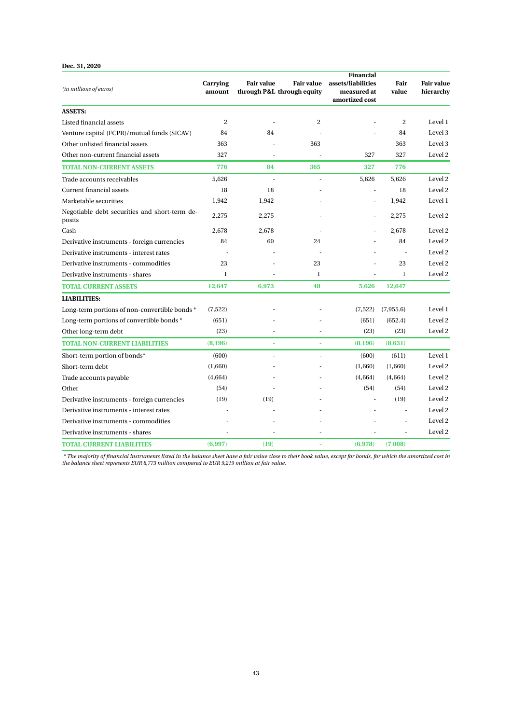## **Dec. 31, 2020**

|                                                         | Carrying     | <b>Fair value</b>          | <b>Fair value</b> | Financial<br>assets/liabilities | Fair      | <b>Fair value</b> |
|---------------------------------------------------------|--------------|----------------------------|-------------------|---------------------------------|-----------|-------------------|
| (in millions of euros)                                  | amount       | through P&L through equity |                   | measured at                     | value     | hierarchy         |
|                                                         |              |                            |                   | amortized cost                  |           |                   |
| <b>ASSETS:</b>                                          |              |                            |                   |                                 |           |                   |
| Listed financial assets                                 | 2            |                            | $\overline{c}$    |                                 | 2         | Level 1           |
| Venture capital (FCPR)/mutual funds (SICAV)             | 84           | 84                         |                   |                                 | 84        | Level 3           |
| Other unlisted financial assets                         | 363          |                            | 363               |                                 | 363       | Level 3           |
| Other non-current financial assets                      | 327          |                            |                   | 327                             | 327       | Level 2           |
| <b>TOTAL NON-CURRENT ASSETS</b>                         | 776          | 84                         | 365               | 327                             | 776       |                   |
| Trade accounts receivables                              | 5.626        |                            |                   | 5,626                           | 5.626     | Level 2           |
| Current financial assets                                | 18           | 18                         |                   | ٠                               | 18        | Level 2           |
| Marketable securities                                   | 1,942        | 1,942                      |                   |                                 | 1,942     | Level 1           |
| Negotiable debt securities and short-term de-<br>posits | 2.275        | 2.275                      |                   | $\overline{\phantom{m}}$        | 2.275     | Level 2           |
| Cash                                                    | 2.678        | 2.678                      |                   |                                 | 2.678     | Level 2           |
| Derivative instruments - foreign currencies             | 84           | 60                         | 24                |                                 | 84        | Level 2           |
| Derivative instruments - interest rates                 |              |                            |                   |                                 | ÷.        | Level 2           |
| Derivative instruments - commodities                    | 23           |                            | 23                |                                 | 23        | Level 2           |
| Derivative instruments - shares                         | $\mathbf{1}$ |                            | $\mathbf{1}$      |                                 | 1         | Level 2           |
| <b>TOTAL CURRENT ASSETS</b>                             | 12,647       | 6,973                      | 48                | 5,626                           | 12,647    |                   |
| <b>LIABILITIES:</b>                                     |              |                            |                   |                                 |           |                   |
| Long-term portions of non-convertible bonds *           | (7, 522)     |                            |                   | (7,522)                         | (7,955.6) | Level 1           |
| Long-term portions of convertible bonds *               | (651)        |                            |                   | (651)                           | (652.4)   | Level 2           |
| Other long-term debt                                    | (23)         |                            |                   | (23)                            | (23)      | Level 2           |
| <b>TOTAL NON-CURRENT LIABILITIES</b>                    | (8, 196)     |                            |                   | (8, 196)                        | (8,631)   |                   |
| Short-term portion of bonds*                            | (600)        |                            | ÷                 | (600)                           | (611)     | Level 1           |
| Short-term debt                                         | (1,660)      |                            |                   | (1,660)                         | (1,660)   | Level 2           |
| Trade accounts payable                                  | (4,664)      |                            |                   | (4,664)                         | (4,664)   | Level 2           |
| Other                                                   | (54)         |                            |                   | (54)                            | (54)      | Level 2           |
| Derivative instruments - foreign currencies             | (19)         | (19)                       |                   |                                 | (19)      | Level 2           |
| Derivative instruments - interest rates                 |              |                            |                   |                                 |           | Level 2           |
| Derivative instruments - commodities                    |              |                            |                   |                                 |           | Level 2           |
| Derivative instruments - shares                         |              |                            |                   |                                 |           | Level 2           |
| <b>TOTAL CURRENT LIABILITIES</b>                        | (6,997)      | (19)                       |                   | (6,978)                         | (7,008)   |                   |

\* The majority of financial instruments listed in the balance sheet have a fair value close to their book value, except for bonds, for which the amortized cost in<br>the balance sheet represents EUR 8,773 million compared to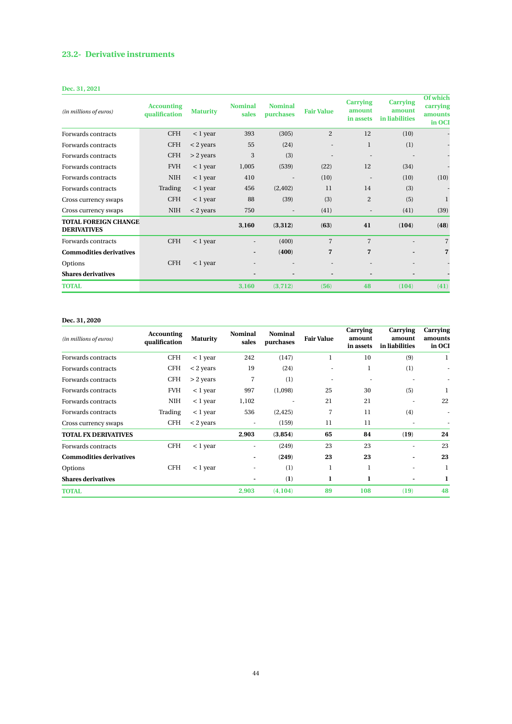## **23.2- Derivative instruments**

## **Dec. 31, 2021**

| (in millions of euros)                            | <b>Accounting</b><br>qualification | <b>Maturity</b> | <b>Nominal</b><br>sales      | <b>Nominal</b><br>purchases | <b>Fair Value</b>        | <b>Carrying</b><br>amount<br>in assets | <b>Carrying</b><br>amount<br>in liabilities | <b>Of which</b><br>carrying<br>amounts<br>in OCI |
|---------------------------------------------------|------------------------------------|-----------------|------------------------------|-----------------------------|--------------------------|----------------------------------------|---------------------------------------------|--------------------------------------------------|
| Forwards contracts                                | <b>CFH</b>                         | $<$ 1 year      | 393                          | (305)                       | $\overline{2}$           | 12                                     | (10)                                        |                                                  |
| Forwards contracts                                | <b>CFH</b>                         | $<$ 2 years     | 55                           | (24)                        | $\overline{\phantom{a}}$ | 1                                      | (1)                                         |                                                  |
| Forwards contracts                                | <b>CFH</b>                         | $> 2$ years     | 3                            | (3)                         |                          |                                        |                                             |                                                  |
| Forwards contracts                                | <b>FVH</b>                         | $<$ 1 year      | 1,005                        | (539)                       | (22)                     | 12                                     | (34)                                        |                                                  |
| Forwards contracts                                | <b>NIH</b>                         | $<$ 1 year      | 410                          | $\overline{\phantom{a}}$    | (10)                     | $\overline{\phantom{a}}$               | (10)                                        | (10)                                             |
| Forwards contracts                                | Trading                            | $<$ 1 year      | 456                          | (2, 402)                    | 11                       | 14                                     | (3)                                         |                                                  |
| Cross currency swaps                              | <b>CFH</b>                         | $<$ 1 year      | 88                           | (39)                        | (3)                      | $\overline{2}$                         | (5)                                         | 1                                                |
| Cross currency swaps                              | <b>NIH</b>                         | $<$ 2 years     | 750                          |                             | (41)                     | $\overline{\phantom{a}}$               | (41)                                        | (39)                                             |
| <b>TOTAL FOREIGN CHANGE</b><br><b>DERIVATIVES</b> |                                    |                 | 3,160                        | (3,312)                     | (63)                     | 41                                     | (104)                                       | (48)                                             |
| Forwards contracts                                | <b>CFH</b>                         | $<$ 1 year      | $\overline{\phantom{a}}$     | (400)                       | $\overline{7}$           | 7                                      |                                             | $\overline{7}$                                   |
| <b>Commodities derivatives</b>                    |                                    |                 | ۰.                           | (400)                       | 7                        | 7                                      |                                             | $\overline{7}$                                   |
| Options                                           | <b>CFH</b>                         | $<$ 1 year      | $\qquad \qquad \blacksquare$ | ٠                           | $\overline{\phantom{a}}$ | $\overline{\phantom{a}}$               |                                             |                                                  |
| <b>Shares derivatives</b>                         |                                    |                 |                              | $\overline{\phantom{a}}$    |                          |                                        |                                             |                                                  |
| <b>TOTAL</b>                                      |                                    |                 | 3,160                        | (3,712)                     | (56)                     | 48                                     | (104)                                       | (41)                                             |

### **Dec. 31, 2020**

| (in millions of euros)         | <b>Accounting</b><br>qualification | <b>Maturity</b> | <b>Nominal</b><br>sales  | <b>Nominal</b><br>purchases | <b>Fair Value</b> | <b>Carrying</b><br>amount<br>in assets | Carrying<br>amount<br>in liabilities | Carrying<br>amounts<br>in OCI |
|--------------------------------|------------------------------------|-----------------|--------------------------|-----------------------------|-------------------|----------------------------------------|--------------------------------------|-------------------------------|
| Forwards contracts             | <b>CFH</b>                         | $<$ 1 year      | 242                      | (147)                       | 1                 | 10                                     | (9)                                  | 1                             |
| Forwards contracts             | <b>CFH</b>                         | $<$ 2 years     | 19                       | (24)                        | ٠                 | 1                                      | (1)                                  | ٠                             |
| Forwards contracts             | <b>CFH</b>                         | $>$ 2 years     | 7                        | (1)                         |                   | ٠                                      |                                      |                               |
| Forwards contracts             | <b>FVH</b>                         | $<$ 1 year      | 997                      | (1,098)                     | 25                | 30                                     | (5)                                  | 1                             |
| Forwards contracts             | NIH                                | $<$ 1 year      | 1,102                    | ٠                           | 21                | 21                                     |                                      | 22                            |
| Forwards contracts             | Trading                            | $< 1$ year      | 536                      | (2, 425)                    | 7                 | 11                                     | (4)                                  | ٠                             |
| Cross currency swaps           | <b>CFH</b>                         | $<$ 2 years     | ٠                        | (159)                       | 11                | 11                                     |                                      |                               |
| <b>TOTAL FX DERIVATIVES</b>    |                                    |                 | 2,903                    | (3, 854)                    | 65                | 84                                     | (19)                                 | 24                            |
| Forwards contracts             | <b>CFH</b>                         | $<$ 1 year      | $\overline{\phantom{a}}$ | (249)                       | 23                | 23                                     |                                      | 23                            |
| <b>Commodities derivatives</b> |                                    |                 | ۰                        | (249)                       | 23                | 23                                     |                                      | 23                            |
| Options                        | <b>CFH</b>                         | $<$ 1 year      |                          | (1)                         | 1                 | 1                                      |                                      | 1                             |
| <b>Shares derivatives</b>      |                                    |                 | $\overline{a}$           | (1)                         | 1                 |                                        |                                      | 1                             |
| <b>TOTAL</b>                   |                                    |                 | 2,903                    | (4, 104)                    | 89                | 108                                    | (19)                                 | 48                            |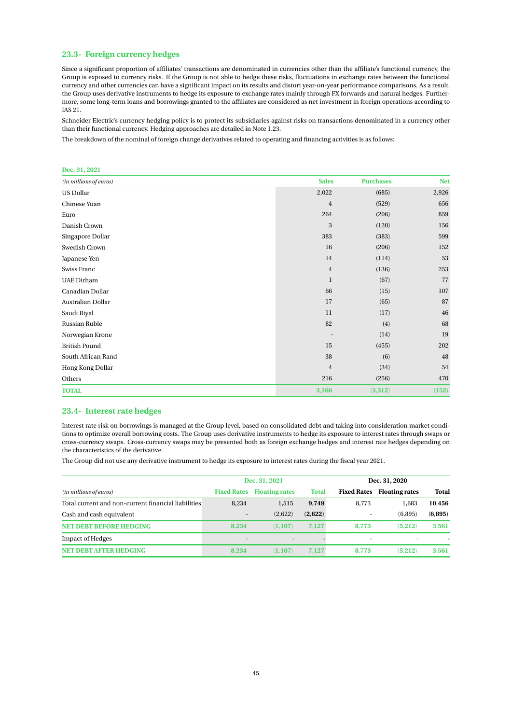### **23.3- Foreign currency hedges**

Since a significant proportion of affiliates' transactions are denominated in currencies other than the affiliate's functional currency, the Group is exposed to currency risks. If the Group is not able to hedge these risks, fluctuations in exchange rates between the functional currency and other currencies can have a significant impact on its results and distort year-on-year performance comparisons. As a result, the Group uses derivative instruments to hedge its exposure to exchange rates mainly through FX forwards and natural hedges. Furthermore, some long-term loans and borrowings granted to the affiliates are considered as net investment in foreign operations according to IAS 21.

Schneider Electric's currency hedging policy is to protect its subsidiaries against risks on transactions denominated in a currency other than their functional currency. Hedging approaches are detailed in Note 1.23.

The breakdown of the nominal of foreign change derivatives related to operating and financing activities is as follows:

#### **Dec. 31, 2021**

| (in millions of euros) | <b>Sales</b>   | <b>Purchases</b> | <b>Net</b> |
|------------------------|----------------|------------------|------------|
| <b>US Dollar</b>       | 2,022          | (685)            | 2,926      |
| Chinese Yuan           | $\overline{4}$ | (529)            | 656        |
| Euro                   | 264            | (206)            | 859        |
| Danish Crown           | 3              | (120)            | 156        |
| Singapore Dollar       | 383            | (383)            | 599        |
| Swedish Crown          | 16             | (206)            | 152        |
| Japanese Yen           | 14             | (114)            | 53         |
| Swiss Franc            | $\overline{4}$ | (136)            | 253        |
| <b>UAE</b> Dirham      | 1              | (67)             | 77         |
| Canadian Dollar        | 66             | (15)             | 107        |
| Australian Dollar      | 17             | (65)             | 87         |
| Saudi Riyal            | 11             | (17)             | 46         |
| Russian Ruble          | 82             | (4)              | 68         |
| Norwegian Krone        |                | (14)             | 19         |
| <b>British Pound</b>   | 15             | (455)            | 202        |
| South African Rand     | 38             | (6)              | 48         |
| Hong Kong Dollar       | $\overline{4}$ | (34)             | 54         |
| Others                 | 216            | (256)            | 470        |
| <b>TOTAL</b>           | 3,160          | (3,312)          | (152)      |

### **23.4- Interest rate hedges**

Interest rate risk on borrowings is managed at the Group level, based on consolidated debt and taking into consideration market conditions to optimize overall borrowing costs. The Group uses derivative instruments to hedge its exposure to interest rates through swaps or cross-currency swaps. Cross-currency swaps may be presented both as foreign exchange hedges and interest rate hedges depending on the characteristics of the derivative.

The Group did not use any derivative instrument to hedge its exposure to interest rates during the fiscal year 2021.

|                                                     |                          | Dec. 31, 2021            |              | Dec. 31, 2020            |                          |          |
|-----------------------------------------------------|--------------------------|--------------------------|--------------|--------------------------|--------------------------|----------|
| (in millions of euros)                              | <b>Fixed Rates</b>       | <b>Floating rates</b>    | <b>Total</b> | <b>Fixed Rates</b>       | <b>Floating rates</b>    | Total    |
| Total current and non-current financial liabilities | 8.234                    | 1,515                    | 9,749        | 8,773                    | 1.683                    | 10,456   |
| Cash and cash equivalent                            | $\sim$                   | (2,622)                  | (2,622)      | $\overline{\phantom{a}}$ | (6.895)                  | (6, 895) |
| <b>NET DEBT BEFORE HEDGING</b>                      | 8.234                    | (1.107)                  | 7.127        | 8.773                    | (5.212)                  | 3.561    |
| <b>Impact of Hedges</b>                             | $\overline{\phantom{a}}$ | $\overline{\phantom{a}}$ |              | $\overline{\phantom{a}}$ | $\overline{\phantom{a}}$ |          |
| <b>NET DEBT AFTER HEDGING</b>                       | 8.234                    | (1.107)                  | 7.127        | 8.773                    | (5.212)                  | 3.561    |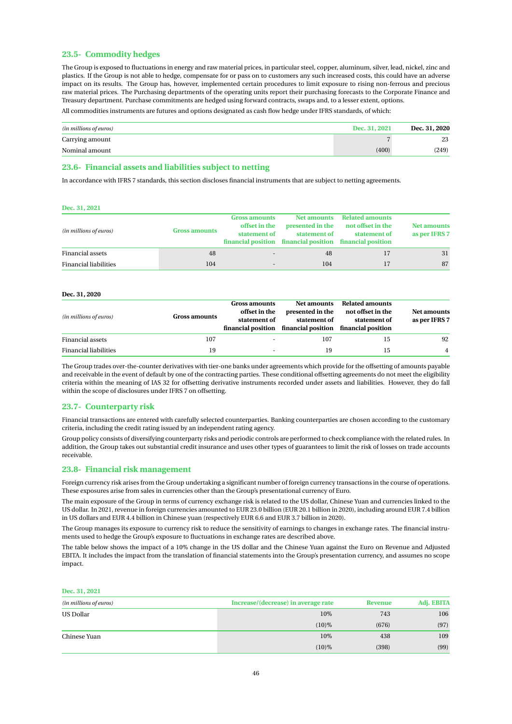### **23.5- Commodity hedges**

The Group is exposed to fluctuations in energy and raw material prices, in particular steel, copper, aluminum, silver, lead, nickel, zinc and plastics. If the Group is not able to hedge, compensate for or pass on to customers any such increased costs, this could have an adverse impact on its results. The Group has, however, implemented certain procedures to limit exposure to rising non-ferrous and precious raw material prices. The Purchasing departments of the operating units report their purchasing forecasts to the Corporate Finance and Treasury department. Purchase commitments are hedged using forward contracts, swaps and, to a lesser extent, options.

All commodities instruments are futures and options designated as cash flow hedge under IFRS standards, of which:

| (in millions of euros) | Dec. 31, 2021 | Dec. 31, 2020 |
|------------------------|---------------|---------------|
| Carrying amount        |               | 23            |
| Nominal amount         | (400)         | (249)         |

### **23.6- Financial assets and liabilities subject to netting**

In accordance with IFRS 7 standards, this section discloses financial instruments that are subject to netting agreements.

#### **Dec. 31, 2021**

| (in millions of euros)       | <b>Gross amounts</b> | <b>Gross amounts</b><br>offset in the<br>statement of | <b>Net amounts</b><br>presented in the<br>statement of<br>financial position financial position financial position | <b>Related amounts</b><br>not offset in the<br>statement of | <b>Net amounts</b><br>as per IFRS 7 |
|------------------------------|----------------------|-------------------------------------------------------|--------------------------------------------------------------------------------------------------------------------|-------------------------------------------------------------|-------------------------------------|
| <b>Financial assets</b>      | 48                   | $\overline{\phantom{a}}$                              | 48                                                                                                                 |                                                             | 31                                  |
| <b>Financial liabilities</b> | 104                  | $\sim$                                                | 104                                                                                                                |                                                             | 87                                  |

#### **Dec. 31, 2020**

| (in millions of euros)       | <b>Gross amounts</b> | Gross amounts<br>offset in the<br>statement of | Net amounts<br>presented in the<br>statement of<br>financial position financial position financial position | <b>Related amounts</b><br>not offset in the<br>statement of | <b>Net amounts</b><br>as per IFRS 7 |
|------------------------------|----------------------|------------------------------------------------|-------------------------------------------------------------------------------------------------------------|-------------------------------------------------------------|-------------------------------------|
| Financial assets             | 107                  |                                                | 107                                                                                                         | 15                                                          | 92                                  |
| <b>Financial liabilities</b> | 19                   | ÷.                                             | 19                                                                                                          | 15                                                          | $\overline{4}$                      |

The Group trades over-the-counter derivatives with tier-one banks under agreements which provide for the offsetting of amounts payable and receivable in the event of default by one of the contracting parties. These conditional offsetting agreements do not meet the eligibility criteria within the meaning of IAS 32 for offsetting derivative instruments recorded under assets and liabilities. However, they do fall within the scope of disclosures under IFRS 7 on offsetting.

#### **23.7- Counterparty risk**

Financial transactions are entered with carefully selected counterparties. Banking counterparties are chosen according to the customary criteria, including the credit rating issued by an independent rating agency.

Group policy consists of diversifying counterparty risks and periodic controls are performed to check compliance with the related rules. In addition, the Group takes out substantial credit insurance and uses other types of guarantees to limit the risk of losses on trade accounts receivable.

#### **23.8- Financial risk management**

Foreign currency risk arises from the Group undertaking a significant number of foreign currency transactions in the course of operations. These exposures arise from sales in currencies other than the Group's presentational currency of Euro.

The main exposure of the Group in terms of currency exchange risk is related to the US dollar, Chinese Yuan and currencies linked to the US dollar. In 2021, revenue in foreign currencies amounted to EUR 23.0 billion (EUR 20.1 billion in 2020), including around EUR 7.4 billion in US dollars and EUR 4.4 billion in Chinese yuan (respectively EUR 6.6 and EUR 3.7 billion in 2020).

The Group manages its exposure to currency risk to reduce the sensitivity of earnings to changes in exchange rates. The financial instruments used to hedge the Group's exposure to fluctuations in exchange rates are described above.

The table below shows the impact of a 10% change in the US dollar and the Chinese Yuan against the Euro on Revenue and Adjusted EBITA. It includes the impact from the translation of financial statements into the Group's presentation currency, and assumes no scope impact.

#### **Dec. 31, 2021**

| (in millions of euros) | Increase/(decrease) in average rate | Revenue | Adj. EBITA |
|------------------------|-------------------------------------|---------|------------|
| <b>US Dollar</b>       | 10%                                 | 743     | 106        |
|                        | $(10)\%$                            | (676)   | (97)       |
| Chinese Yuan           | 10%                                 | 438     | 109        |
|                        | $(10)\%$                            | (398)   | (99)       |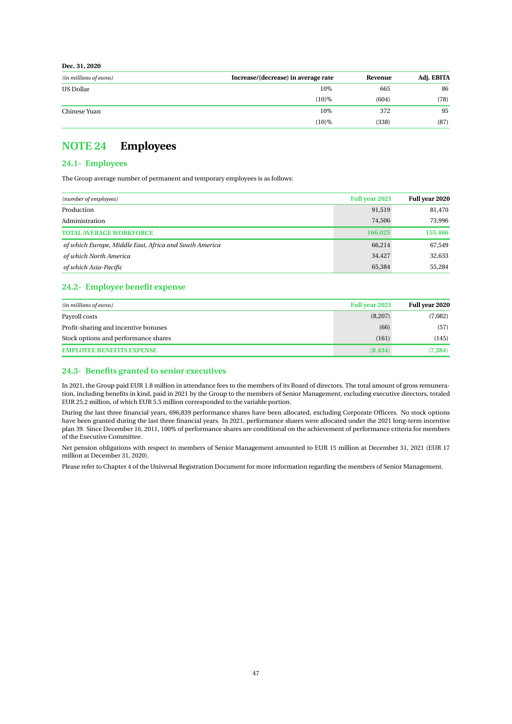**Dec. 31, 2020**

| (in millions of euros) | Increase/(decrease) in average rate | Revenue | Adj. EBITA |
|------------------------|-------------------------------------|---------|------------|
| <b>US Dollar</b>       | 10%                                 | 665     | 86         |
|                        | $(10)\%$                            | (604)   | (78)       |
| Chinese Yuan           | 10%                                 | 372     | 95         |
|                        | $(10)\%$                            | (338)   | (87)       |

## <span id="page-47-0"></span>**NOTE 24 Employees**

## **24.1- Employees**

The Group average number of permanent and temporary employees is as follows:

| (number of employees)                                  | <b>Full year 2021</b> | Full year 2020 |
|--------------------------------------------------------|-----------------------|----------------|
| Production                                             | 91,519                | 81,470         |
| Administration                                         | 74,506                | 73.996         |
| <b>TOTAL AVERAGE WORKFORCE</b>                         | 166,025               | 155,466        |
| of which Europe, Middle East, Africa and South America | 66,214                | 67,549         |
| of which North America                                 | 34,427                | 32,633         |
| of which Asia-Pacific                                  | 65,384                | 55,284         |

### **24.2- Employee benefit expense**

| (in millions of euros)               | Full year 2021 | Full year 2020 |
|--------------------------------------|----------------|----------------|
| Payroll costs                        | (8,207)        | (7,082)        |
| Profit-sharing and incentive bonuses | (66)           | (57)           |
| Stock options and performance shares | (161)          | (145)          |
| <b>EMPLOYEE BENEFITS EXPENSE</b>     | (8, 434)       | (7.284)        |

### **24.3- Benefits granted to senior executives**

In 2021, the Group paid EUR 1.8 million in attendance fees to the members of its Board of directors. The total amount of gross remuneration, including benefits in kind, paid in 2021 by the Group to the members of Senior Management, excluding executive directors, totaled EUR 25.2 million, of which EUR 5.5 million corresponded to the variable portion.

During the last three financial years, 696,839 performance shares have been allocated, excluding Corporate Officers. No stock options have been granted during the last three financial years. In 2021, performance shares were allocated under the 2021 long-term incentive plan 39. Since December 16, 2011, 100% of performance shares are conditional on the achievement of performance criteria for members of the Executive Committee.

Net pension obligations with respect to members of Senior Management amounted to EUR 15 million at December 31, 2021 (EUR 17 million at December 31, 2020).

Please refer to Chapter 4 of the Universal Registration Document for more information regarding the members of Senior Management.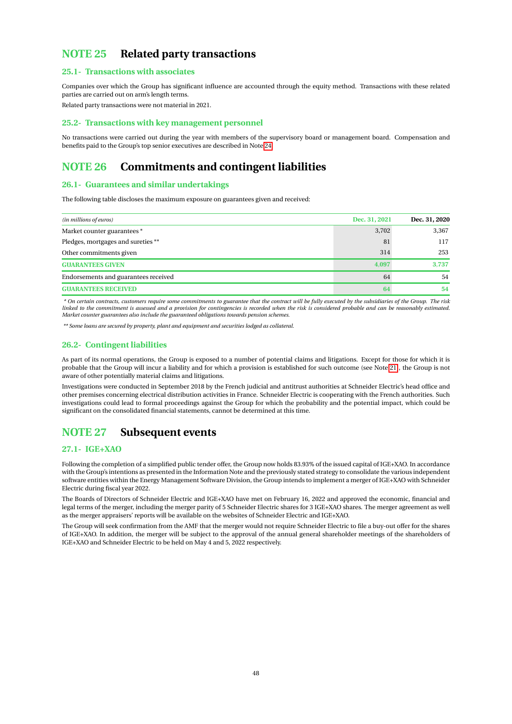## <span id="page-48-0"></span>**NOTE 25 Related party transactions**

### **25.1- Transactions with associates**

Companies over which the Group has significant influence are accounted through the equity method. Transactions with these related parties are carried out on arm's length terms.

Related party transactions were not material in 2021.

#### **25.2- Transactions with key management personnel**

No transactions were carried out during the year with members of the supervisory board or management board. Compensation and benefits paid to the Group's top senior executives are described in Note [24.](#page-47-0)

## <span id="page-48-1"></span>**NOTE 26 Commitments and contingent liabilities**

## **26.1- Guarantees and similar undertakings**

The following table discloses the maximum exposure on guarantees given and received:

| Dec. 31, 2021<br>(in millions of euros) |       | Dec. 31, 2020 |  |
|-----------------------------------------|-------|---------------|--|
| Market counter guarantees *             | 3,702 | 3,367         |  |
| Pledges, mortgages and sureties **      | 81    | 117           |  |
| Other commitments given                 | 314   | 253           |  |
| <b>GUARANTEES GIVEN</b>                 | 4.097 | 3,737         |  |
| Endorsements and guarantees received    | 64    | 54            |  |
| <b>GUARANTEES RECEIVED</b>              | 64    | 54            |  |

*\* On certain contracts, customers require some commitments to guarantee that the contract will be fully executed by the subsidiaries of the Group. The risk linked to the commitment is assessed and a provision for contingencies is recorded when the risk is considered probable and can be reasonably estimated. Market counter guarantees also include the guaranteed obligations towards pension schemes.*

*\*\* Some loans are secured by property, plant and equipment and securities lodged as collateral.*

### **26.2- Contingent liabilities**

As part of its normal operations, the Group is exposed to a number of potential claims and litigations. Except for those for which it is probable that the Group will incur a liability and for which a provision is established for such outcome (see Note [21\)](#page-39-0), the Group is not aware of other potentially material claims and litigations.

Investigations were conducted in September 2018 by the French judicial and antitrust authorities at Schneider Electric's head office and other premises concerning electrical distribution activities in France. Schneider Electric is cooperating with the French authorities. Such investigations could lead to formal proceedings against the Group for which the probability and the potential impact, which could be significant on the consolidated financial statements, cannot be determined at this time.

## <span id="page-48-2"></span>**NOTE 27 Subsequent events**

#### **27.1- IGE+XAO**

Following the completion of a simplified public tender offer, the Group now holds 83.93% of the issued capital of IGE+XAO. In accordance with the Group's intentions as presented in the Information Note and the previously stated strategy to consolidate the various independent software entities within the Energy Management Software Division, the Group intends to implement a merger of IGE+XAO with Schneider Electric during fiscal year 2022.

The Boards of Directors of Schneider Electric and IGE+XAO have met on February 16, 2022 and approved the economic, financial and legal terms of the merger, including the merger parity of 5 Schneider Electric shares for 3 IGE+XAO shares. The merger agreement as well as the merger appraisers' reports will be available on the websites of Schneider Electric and IGE+XAO.

The Group will seek confirmation from the AMF that the merger would not require Schneider Electric to file a buy-out offer for the shares of IGE+XAO. In addition, the merger will be subject to the approval of the annual general shareholder meetings of the shareholders of IGE+XAO and Schneider Electric to be held on May 4 and 5, 2022 respectively.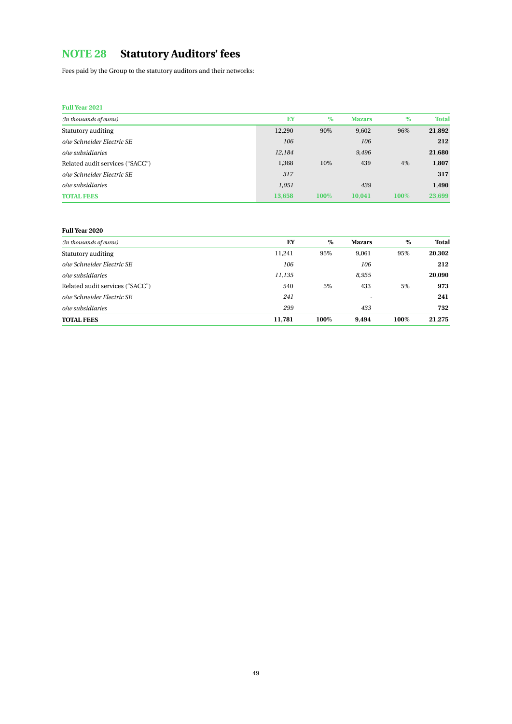# <span id="page-49-0"></span>**NOTE 28 Statutory Auditors' fees**

Fees paid by the Group to the statutory auditors and their networks:

## **Full Year 2021**

| (in thousands of euros)         | EY     | $\%$ | <b>Mazars</b> | $\%$ | <b>Total</b> |
|---------------------------------|--------|------|---------------|------|--------------|
| Statutory auditing              | 12,290 | 90%  | 9.602         | 96%  | 21,892       |
| o/w Schneider Electric SE       | 106    |      | 106           |      | 212          |
| $olw$ subsidiaries              | 12,184 |      | 9.496         |      | 21,680       |
| Related audit services ("SACC") | 1,368  | 10%  | 439           | 4%   | 1,807        |
| o/w Schneider Electric SE       | 317    |      |               |      | 317          |
| $olw$ subsidiaries              | 1,051  |      | 439           |      | 1,490        |
| <b>TOTAL FEES</b>               | 13.658 | 100% | 10.041        | 100% | 23,699       |

### **Full Year 2020**

| (in thousands of euros)         | EY     | %    | <b>Mazars</b> | %    | <b>Total</b> |
|---------------------------------|--------|------|---------------|------|--------------|
| Statutory auditing              | 11,241 | 95%  | 9.061         | 95%  | 20,302       |
| o/w Schneider Electric SE       | 106    |      | 106           |      | 212          |
| $olw$ subsidiaries              | 11,135 |      | 8,955         |      | 20,090       |
| Related audit services ("SACC") | 540    | 5%   | 433           | 5%   | 973          |
| o/w Schneider Electric SE       | 241    |      |               |      | 241          |
| o/w subsidiaries                | 299    |      | 433           |      | 732          |
| <b>TOTAL FEES</b>               | 11.781 | 100% | 9.494         | 100% | 21.275       |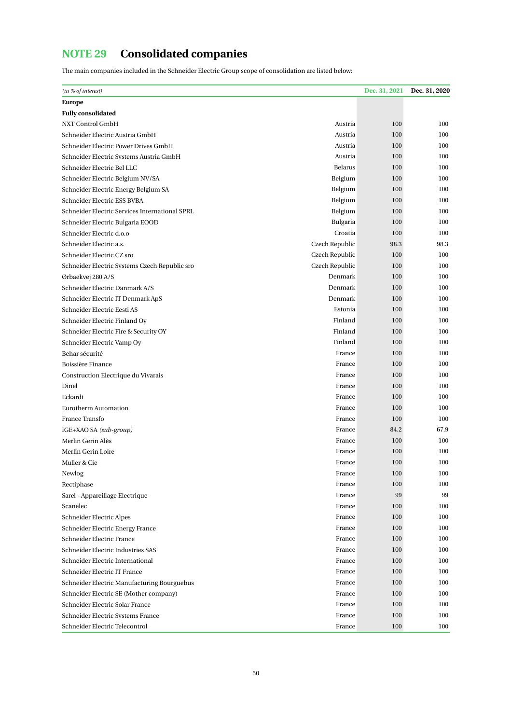# <span id="page-50-0"></span>**NOTE 29 Consolidated companies**

The main companies included in the Schneider Electric Group scope of consolidation are listed below:

| (in % of interest)                             |                | Dec. 31, 2021 | Dec. 31, 2020 |
|------------------------------------------------|----------------|---------------|---------------|
| <b>Europe</b>                                  |                |               |               |
| <b>Fully consolidated</b>                      |                |               |               |
| NXT Control GmbH                               | Austria        | 100           | 100           |
| Schneider Electric Austria GmbH                | Austria        | 100           | 100           |
| Schneider Electric Power Drives GmbH           | Austria        | 100           | 100           |
| Schneider Electric Systems Austria GmbH        | Austria        | 100           | 100           |
| Schneider Electric Bel LLC                     | <b>Belarus</b> | 100           | 100           |
| Schneider Electric Belgium NV/SA               | Belgium        | 100           | 100           |
| Schneider Electric Energy Belgium SA           | Belgium        | 100           | 100           |
| Schneider Electric ESS BVBA                    | Belgium        | 100           | 100           |
| Schneider Electric Services International SPRL | Belgium        | 100           | 100           |
| Schneider Electric Bulgaria EOOD               | Bulgaria       | 100           | 100           |
| Schneider Electric d.o.o                       | Croatia        | 100           | 100           |
| Schneider Electric a.s.                        | Czech Republic | 98.3          | 98.3          |
| Schneider Electric CZ sro                      | Czech Republic | 100           | 100           |
| Schneider Electric Systems Czech Republic sro  | Czech Republic | 100           | 100           |
| Ørbaekvej 280 A/S                              | Denmark        | 100           | 100           |
| Schneider Electric Danmark A/S                 | Denmark        | 100           | 100           |
| Schneider Electric IT Denmark ApS              | Denmark        | 100           | 100           |
| Schneider Electric Eesti AS                    | Estonia        | 100           | 100           |
| Schneider Electric Finland Oy                  | Finland        | 100           | 100           |
| Schneider Electric Fire & Security OY          | Finland        | 100           | 100           |
| Schneider Electric Vamp Oy                     | Finland        | 100           | 100           |
| Behar sécurité                                 | France         | 100           | 100           |
| Boissière Finance                              | France         | 100           | 100           |
| Construction Electrique du Vivarais            | France         | 100           | 100           |
| Dinel                                          | France         | 100           | 100           |
| Eckardt                                        | France         | 100           | 100           |
| <b>Eurotherm Automation</b>                    | France         | 100           | 100           |
| France Transfo                                 | France         | 100           | 100           |
| IGE+XAO SA (sub-group)                         | France         | 84.2          | 67.9          |
| Merlin Gerin Alès                              | France         | 100           | 100           |
| Merlin Gerin Loire                             | France         | 100           | 100           |
| Muller & Cie                                   | France         | 100           | 100           |
| Newlog                                         | France         | 100           | 100           |
| Rectiphase                                     | France         | 100           | 100           |
| Sarel - Appareillage Electrique                | France         | 99            | 99            |
| Scanelec                                       | France         | 100           | 100           |
| Schneider Electric Alpes                       | France         | 100           | 100           |
| Schneider Electric Energy France               | France         | 100           | 100           |
| Schneider Electric France                      | France         | 100           | 100           |
| Schneider Electric Industries SAS              | France         | 100           | 100           |
| Schneider Electric International               | France         | 100           | 100           |
| Schneider Electric IT France                   | France         | 100           | 100           |
| Schneider Electric Manufacturing Bourguebus    | France         | 100           | 100           |
| Schneider Electric SE (Mother company)         | France         | 100           | 100           |
| Schneider Electric Solar France                | France         | 100           | 100           |
| Schneider Electric Systems France              | France         | 100           | 100           |
| Schneider Electric Telecontrol                 | France         | 100           | 100           |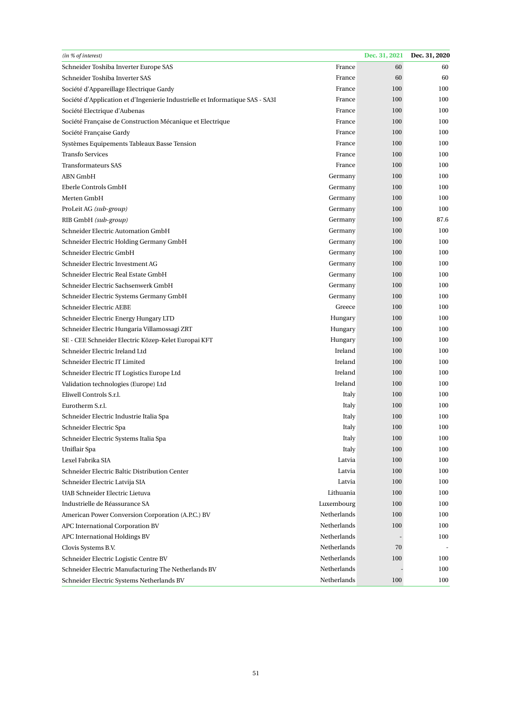| (in % of interest)                                                            |             | Dec. 31, 2021 | Dec. 31, 2020 |
|-------------------------------------------------------------------------------|-------------|---------------|---------------|
| Schneider Toshiba Inverter Europe SAS                                         | France      | 60            | 60            |
| Schneider Toshiba Inverter SAS                                                | France      | 60            | 60            |
| Société d'Appareillage Electrique Gardy                                       | France      | 100           | 100           |
| Société d'Application et d'Ingenierie Industrielle et Informatique SAS - SA3I | France      | 100           | 100           |
| Société Electrique d'Aubenas                                                  | France      | 100           | 100           |
| Société Française de Construction Mécanique et Electrique                     | France      | 100           | 100           |
| Société Française Gardy                                                       | France      | 100           | 100           |
| Systèmes Equipements Tableaux Basse Tension                                   | France      | 100           | 100           |
| <b>Transfo Services</b>                                                       | France      | 100           | 100           |
| <b>Transformateurs SAS</b>                                                    | France      | 100           | 100           |
| ABN GmbH                                                                      | Germany     | 100           | 100           |
| Eberle Controls GmbH                                                          | Germany     | 100           | 100           |
| Merten GmbH                                                                   | Germany     | 100           | 100           |
| ProLeit AG (sub-group)                                                        | Germany     | 100           | 100           |
| RIB GmbH (sub-group)                                                          | Germany     | 100           | 87.6          |
| Schneider Electric Automation GmbH                                            | Germany     | 100           | 100           |
| Schneider Electric Holding Germany GmbH                                       | Germany     | 100           | 100           |
| Schneider Electric GmbH                                                       | Germany     | 100           | 100           |
| Schneider Electric Investment AG                                              | Germany     | 100           | 100           |
| Schneider Electric Real Estate GmbH                                           | Germany     | 100           | 100           |
| Schneider Electric Sachsenwerk GmbH                                           | Germany     | 100           | 100           |
| Schneider Electric Systems Germany GmbH                                       | Germany     | 100           | 100           |
| Schneider Electric AEBE                                                       | Greece      | 100           | 100           |
| Schneider Electric Energy Hungary LTD                                         | Hungary     | 100           | 100           |
| Schneider Electric Hungaria Villamossagi ZRT                                  | Hungary     | 100           | 100           |
| SE - CEE Schneider Electric Közep-Kelet Europai KFT                           | Hungary     | 100           | 100           |
| Schneider Electric Ireland Ltd                                                | Ireland     | 100           | 100           |
| Schneider Electric IT Limited                                                 | Ireland     | 100           | 100           |
| Schneider Electric IT Logistics Europe Ltd                                    | Ireland     | 100           | 100           |
| Validation technologies (Europe) Ltd                                          | Ireland     | 100           | 100           |
| Eliwell Controls S.r.l.                                                       | Italy       | 100           | 100           |
| Eurotherm S.r.l.                                                              | Italy       | 100           | 100           |
| Schneider Electric Industrie Italia Spa                                       | Italy       | 100           | 100           |
| Schneider Electric Spa                                                        | Italy       | 100           | 100           |
| Schneider Electric Systems Italia Spa                                         | Italy       | 100           | 100           |
| Uniflair Spa                                                                  | Italy       | 100           | 100           |
| Lexel Fabrika SIA                                                             | Latvia      | 100           | 100           |
| Schneider Electric Baltic Distribution Center                                 | Latvia      | 100           | 100           |
| Schneider Electric Latvija SIA                                                | Latvia      | 100           | 100           |
| UAB Schneider Electric Lietuva                                                | Lithuania   | 100           | 100           |
| Industrielle de Réassurance SA                                                | Luxembourg  | 100           | 100           |
| American Power Conversion Corporation (A.P.C.) BV                             | Netherlands | 100           | 100           |
| APC International Corporation BV                                              | Netherlands | 100           | 100           |
| APC International Holdings BV                                                 | Netherlands |               | 100           |
| Clovis Systems B.V.                                                           | Netherlands | 70            |               |
| Schneider Electric Logistic Centre BV                                         | Netherlands | 100           | 100           |
| Schneider Electric Manufacturing The Netherlands BV                           | Netherlands |               | 100           |
| Schneider Electric Systems Netherlands BV                                     | Netherlands | 100           | 100           |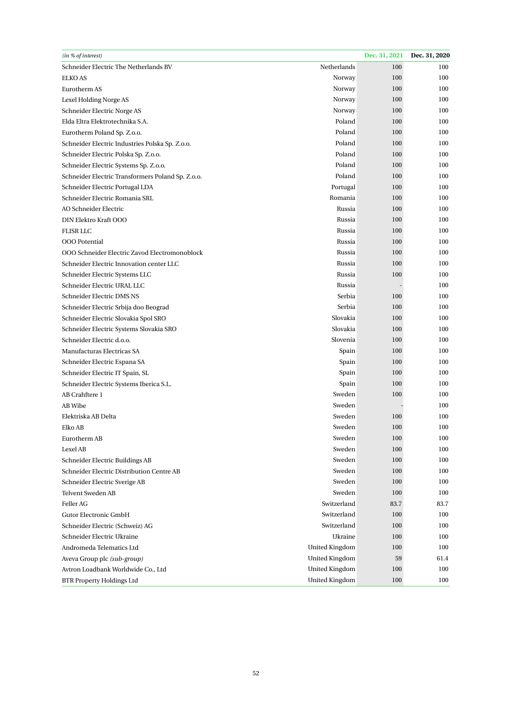| (in % of interest)                                |                       | Dec. 31, 2021 | Dec. 31, 2020 |
|---------------------------------------------------|-----------------------|---------------|---------------|
| Schneider Electric The Netherlands BV             | Netherlands           | 100           | 100           |
| <b>ELKO AS</b>                                    | Norway                | 100           | 100           |
| Eurotherm AS                                      | Norway                | 100           | 100           |
| Lexel Holding Norge AS                            | Norway                | 100           | 100           |
| Schneider Electric Norge AS                       | Norway                | 100           | 100           |
| Elda Eltra Elektrotechnika S.A.                   | Poland                | 100           | 100           |
| Eurotherm Poland Sp. Z.o.o.                       | Poland                | 100           | 100           |
| Schneider Electric Industries Polska Sp. Z.o.o.   | Poland                | 100           | 100           |
| Schneider Electric Polska Sp. Z.o.o.              | Poland                | 100           | 100           |
| Schneider Electric Systems Sp. Z.o.o.             | Poland                | 100           | 100           |
| Schneider Electric Transformers Poland Sp. Z.o.o. | Poland                | 100           | 100           |
| Schneider Electric Portugal LDA                   | Portugal              | 100           | 100           |
| Schneider Electric Romania SRL                    | Romania               | 100           | 100           |
| AO Schneider Electric                             | Russia                | 100           | 100           |
| DIN Elektro Kraft OOO                             | Russia                | 100           | 100           |
| <b>FLISR LLC</b>                                  | Russia                | 100           | 100           |
| <b>OOO</b> Potential                              | Russia                | 100           | 100           |
| OOO Schneider Electric Zavod Electromonoblock     | Russia                | 100           | 100           |
| Schneider Electric Innovation center LLC          | Russia                | 100           | 100           |
| Schneider Electric Systems LLC                    | Russia                | 100           | 100           |
| Schneider Electric URAL LLC                       | Russia                |               | 100           |
| Schneider Electric DMS NS                         | Serbia                | 100           | 100           |
| Schneider Electric Srbija doo Beograd             | Serbia                | 100           | 100           |
| Schneider Electric Slovakia Spol SRO              | Slovakia              | 100           | 100           |
| Schneider Electric Systems Slovakia SRO           | Slovakia              | 100           | 100           |
| Schneider Electric d.o.o.                         | Slovenia              | 100           | 100           |
| Manufacturas Electricas SA                        | Spain                 | 100           | 100           |
| Schneider Electric Espana SA                      | Spain                 | 100           | 100           |
| Schneider Electric IT Spain, SL                   | Spain                 | 100           | 100           |
| Schneider Electric Systems Iberica S.L.           | Spain                 | 100           | 100           |
| AB Crahftere 1                                    | Sweden                | 100           | 100           |
| AB Wibe                                           | Sweden                |               | 100           |
| Elektriska AB Delta                               | Sweden                | 100           | 100           |
| Elko AB                                           | Sweden                | 100           | 100           |
| Eurotherm AB                                      | Sweden                | 100           | 100           |
| Lexel AB                                          | Sweden                | 100           | 100           |
| Schneider Electric Buildings AB                   | Sweden                | 100           | 100           |
| Schneider Electric Distribution Centre AB         | Sweden                | 100           | 100           |
| Schneider Electric Sverige AB                     | Sweden                | 100           | 100           |
| <b>Telvent Sweden AB</b>                          | Sweden                | 100           | 100           |
| Feller AG                                         | Switzerland           | 83.7          | 83.7          |
| <b>Gutor Electronic GmbH</b>                      | Switzerland           | 100           | 100           |
| Schneider Electric (Schweiz) AG                   | Switzerland           | 100           | 100           |
| Schneider Electric Ukraine                        | Ukraine               | 100           | 100           |
| Andromeda Telematics Ltd                          | <b>United Kingdom</b> | 100           | 100           |
| Aveva Group plc (sub-group)                       | <b>United Kingdom</b> | 59            | 61.4          |
| Avtron Loadbank Worldwide Co., Ltd                | <b>United Kingdom</b> | 100           | 100           |
| <b>BTR Property Holdings Ltd</b>                  | <b>United Kingdom</b> | 100           | 100           |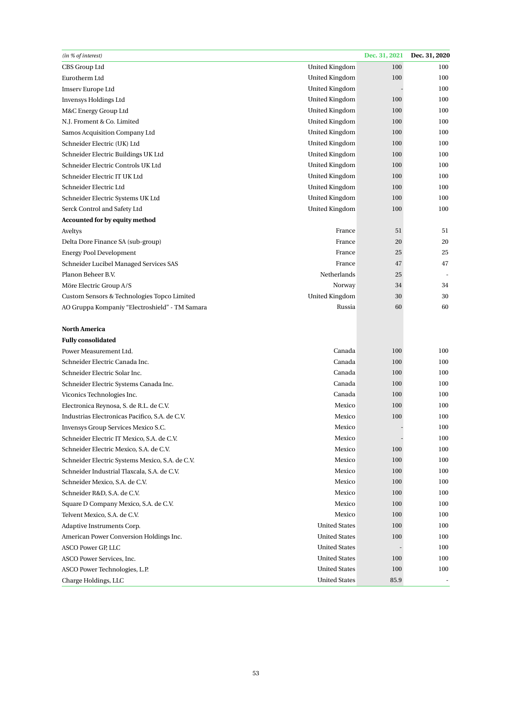| (in % of interest)                              |                       | Dec. 31, 2021 | Dec. 31, 2020 |
|-------------------------------------------------|-----------------------|---------------|---------------|
| CBS Group Ltd                                   | <b>United Kingdom</b> | 100           | 100           |
| Eurotherm Ltd                                   | <b>United Kingdom</b> | 100           | 100           |
| Imserv Europe Ltd                               | <b>United Kingdom</b> |               | 100           |
| <b>Invensys Holdings Ltd</b>                    | United Kingdom        | 100           | 100           |
| M&C Energy Group Ltd                            | <b>United Kingdom</b> | 100           | 100           |
| N.J. Froment & Co. Limited                      | <b>United Kingdom</b> | 100           | 100           |
| Samos Acquisition Company Ltd                   | <b>United Kingdom</b> | 100           | 100           |
| Schneider Electric (UK) Ltd                     | <b>United Kingdom</b> | 100           | 100           |
| Schneider Electric Buildings UK Ltd             | <b>United Kingdom</b> | 100           | 100           |
| Schneider Electric Controls UK Ltd              | <b>United Kingdom</b> | 100           | 100           |
| Schneider Electric IT UK Ltd                    | <b>United Kingdom</b> | 100           | 100           |
| Schneider Electric Ltd                          | <b>United Kingdom</b> | 100           | 100           |
| Schneider Electric Systems UK Ltd               | <b>United Kingdom</b> | 100           | 100           |
| Serck Control and Safety Ltd                    | <b>United Kingdom</b> | 100           | 100           |
| Accounted for by equity method                  |                       |               |               |
| Aveltys                                         | France                | 51            | 51            |
| Delta Dore Finance SA (sub-group)               | France                | 20            | 20            |
| <b>Energy Pool Development</b>                  | France                | 25            | 25            |
| Schneider Lucibel Managed Services SAS          | France                | 47            | 47            |
| Planon Beheer B.V.                              | Netherlands           | 25            |               |
| Möre Electric Group A/S                         | Norway                | 34            | 34            |
| Custom Sensors & Technologies Topco Limited     | <b>United Kingdom</b> | 30            | 30            |
| AO Gruppa Kompaniy "Electroshield" - TM Samara  | Russia                | 60            | 60            |
|                                                 |                       |               |               |
| <b>North America</b>                            |                       |               |               |
| <b>Fully consolidated</b>                       |                       |               |               |
| Power Measurement Ltd.                          | Canada                | 100           | 100           |
| Schneider Electric Canada Inc.                  | Canada                | 100           | 100           |
| Schneider Electric Solar Inc.                   | Canada                | 100           | 100           |
| Schneider Electric Systems Canada Inc.          | Canada                | 100           | 100           |
| Viconics Technologies Inc.                      | Canada                | 100           | 100           |
| Electronica Reynosa, S. de R.L. de C.V.         | Mexico                | 100           | 100           |
| Industrias Electronicas Pacifico, S.A. de C.V.  | Mexico                | 100           | 100           |
| Invensys Group Services Mexico S.C.             | Mexico                |               | 100           |
| Schneider Electric IT Mexico, S.A. de C.V.      | Mexico                |               | 100           |
| Schneider Electric Mexico, S.A. de C.V.         | Mexico                | 100           | 100           |
| Schneider Electric Systems Mexico, S.A. de C.V. | Mexico                | 100           | 100           |
| Schneider Industrial Tlaxcala, S.A. de C.V.     | Mexico                | 100           | 100           |
| Schneider Mexico, S.A. de C.V.                  | Mexico                | 100           | 100           |
| Schneider R&D, S.A. de C.V.                     | Mexico                | 100           | 100           |
| Square D Company Mexico, S.A. de C.V.           | Mexico                | 100           | 100           |
| Telvent Mexico, S.A. de C.V.                    | Mexico                | 100           | 100           |
| Adaptive Instruments Corp.                      | <b>United States</b>  | 100           | 100           |
| American Power Conversion Holdings Inc.         | <b>United States</b>  | 100           | 100           |
| ASCO Power GP, LLC                              | <b>United States</b>  |               | 100           |
| ASCO Power Services, Inc.                       | <b>United States</b>  | 100           | 100           |
| ASCO Power Technologies, L.P.                   | <b>United States</b>  | 100           | 100           |
| Charge Holdings, LLC                            | <b>United States</b>  | 85.9          |               |
|                                                 |                       |               |               |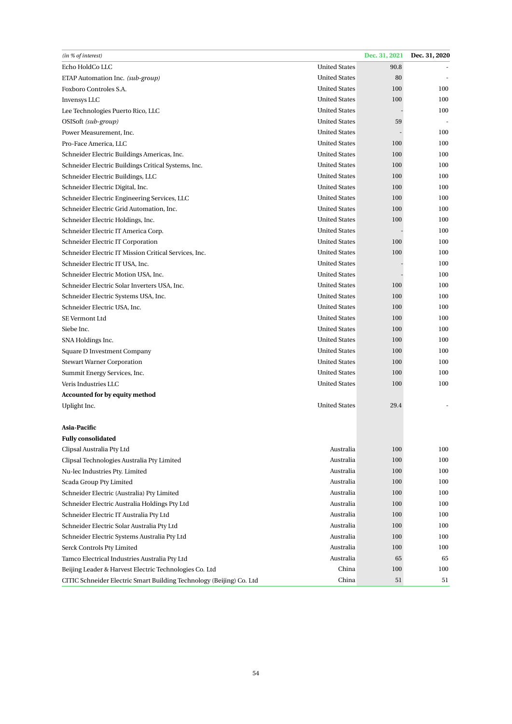| (in % of interest)                                                   |                      | Dec. 31, 2021 | Dec. 31, 2020 |
|----------------------------------------------------------------------|----------------------|---------------|---------------|
| Echo HoldCo LLC                                                      | <b>United States</b> | 90.8          |               |
| ETAP Automation Inc. (sub-group)                                     | <b>United States</b> | 80            |               |
| Foxboro Controles S.A.                                               | <b>United States</b> | 100           | 100           |
| Invensys LLC                                                         | <b>United States</b> | 100           | 100           |
| Lee Technologies Puerto Rico, LLC                                    | <b>United States</b> |               | 100           |
| OSISoft (sub-group)                                                  | <b>United States</b> | 59            |               |
| Power Measurement, Inc.                                              | <b>United States</b> |               | 100           |
| Pro-Face America, LLC                                                | <b>United States</b> | 100           | 100           |
| Schneider Electric Buildings Americas, Inc.                          | <b>United States</b> | 100           | 100           |
| Schneider Electric Buildings Critical Systems, Inc.                  | <b>United States</b> | 100           | 100           |
| Schneider Electric Buildings, LLC                                    | <b>United States</b> | 100           | 100           |
| Schneider Electric Digital, Inc.                                     | <b>United States</b> | 100           | 100           |
| Schneider Electric Engineering Services, LLC                         | <b>United States</b> | 100           | 100           |
| Schneider Electric Grid Automation, Inc.                             | <b>United States</b> | 100           | 100           |
| Schneider Electric Holdings, Inc.                                    | <b>United States</b> | 100           | 100           |
| Schneider Electric IT America Corp.                                  | <b>United States</b> |               | 100           |
| Schneider Electric IT Corporation                                    | <b>United States</b> | 100           | 100           |
| Schneider Electric IT Mission Critical Services, Inc.                | <b>United States</b> | 100           | 100           |
| Schneider Electric IT USA, Inc.                                      | <b>United States</b> |               | 100           |
| Schneider Electric Motion USA, Inc.                                  | <b>United States</b> |               | 100           |
| Schneider Electric Solar Inverters USA, Inc.                         | <b>United States</b> | 100           | 100           |
| Schneider Electric Systems USA, Inc.                                 | <b>United States</b> | 100           | 100           |
| Schneider Electric USA, Inc.                                         | <b>United States</b> | 100           | 100           |
| SE Vermont Ltd                                                       | <b>United States</b> | 100           | 100           |
| Siebe Inc.                                                           | <b>United States</b> | 100           | 100           |
| SNA Holdings Inc.                                                    | <b>United States</b> | 100           | 100           |
| Square D Investment Company                                          | <b>United States</b> | 100           | 100           |
| <b>Stewart Warner Corporation</b>                                    | <b>United States</b> | 100           | 100           |
| Summit Energy Services, Inc.                                         | <b>United States</b> | 100           | 100           |
| Veris Industries LLC                                                 | <b>United States</b> | 100           | 100           |
| Accounted for by equity method                                       |                      |               |               |
| Uplight Inc.                                                         | <b>United States</b> | 29.4          |               |
|                                                                      |                      |               |               |
| Asia-Pacific                                                         |                      |               |               |
| <b>Fully consolidated</b>                                            |                      |               |               |
| Clipsal Australia Pty Ltd                                            | Australia            | 100           | 100           |
| Clipsal Technologies Australia Pty Limited                           | Australia            | 100           | 100           |
| Nu-lec Industries Pty. Limited                                       | Australia            | 100           | 100           |
| Scada Group Pty Limited                                              | Australia            | 100           | 100           |
| Schneider Electric (Australia) Pty Limited                           | Australia            | 100           | 100           |
| Schneider Electric Australia Holdings Pty Ltd                        | Australia            | 100           | 100           |
| Schneider Electric IT Australia Pty Ltd                              | Australia            | 100           | 100           |
| Schneider Electric Solar Australia Pty Ltd                           | Australia            | 100           | 100           |
| Schneider Electric Systems Australia Pty Ltd                         | Australia            | 100           | 100           |
| Serck Controls Pty Limited                                           | Australia            | 100           | 100           |
| Tamco Electrical Industries Australia Pty Ltd                        | Australia            | 65            | 65            |
| Beijing Leader & Harvest Electric Technologies Co. Ltd               | China                | 100           | 100           |
| CITIC Schneider Electric Smart Building Technology (Beijing) Co. Ltd | China                | 51            | 51            |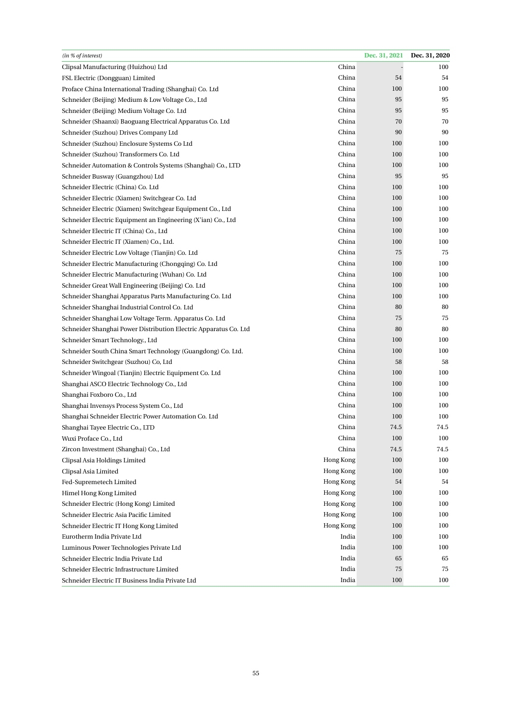| (in % of interest)                                               |           | Dec. 31, 2021 | Dec. 31, 2020 |
|------------------------------------------------------------------|-----------|---------------|---------------|
| Clipsal Manufacturing (Huizhou) Ltd                              | China     |               | 100           |
| FSL Electric (Dongguan) Limited                                  | China     | 54            | 54            |
| Proface China International Trading (Shanghai) Co. Ltd           | China     | 100           | 100           |
| Schneider (Beijing) Medium & Low Voltage Co., Ltd                | China     | 95            | 95            |
| Schneider (Beijing) Medium Voltage Co. Ltd                       | China     | 95            | 95            |
| Schneider (Shaanxi) Baoguang Electrical Apparatus Co. Ltd        | China     | 70            | 70            |
| Schneider (Suzhou) Drives Company Ltd                            | China     | 90            | 90            |
| Schneider (Suzhou) Enclosure Systems Co Ltd                      | China     | 100           | 100           |
| Schneider (Suzhou) Transformers Co. Ltd                          | China     | 100           | 100           |
| Schneider Automation & Controls Systems (Shanghai) Co., LTD      | China     | 100           | 100           |
| Schneider Busway (Guangzhou) Ltd                                 | China     | 95            | 95            |
| Schneider Electric (China) Co. Ltd                               | China     | 100           | 100           |
| Schneider Electric (Xiamen) Switchgear Co. Ltd                   | China     | 100           | 100           |
| Schneider Electric (Xiamen) Switchgear Equipment Co., Ltd        | China     | 100           | 100           |
| Schneider Electric Equipment an Engineering (X'ian) Co., Ltd     | China     | 100           | 100           |
| Schneider Electric IT (China) Co., Ltd                           | China     | 100           | 100           |
| Schneider Electric IT (Xiamen) Co., Ltd.                         | China     | 100           | 100           |
| Schneider Electric Low Voltage (Tianjin) Co. Ltd                 | China     | 75            | 75            |
| Schneider Electric Manufacturing (Chongqing) Co. Ltd             | China     | 100           | 100           |
| Schneider Electric Manufacturing (Wuhan) Co. Ltd                 | China     | 100           | 100           |
| Schneider Great Wall Engineering (Beijing) Co. Ltd               | China     | 100           | 100           |
| Schneider Shanghai Apparatus Parts Manufacturing Co. Ltd         | China     | 100           | 100           |
| Schneider Shanghai Industrial Control Co. Ltd                    | China     | 80            | 80            |
| Schneider Shanghai Low Voltage Term. Apparatus Co. Ltd           | China     | 75            | 75            |
| Schneider Shanghai Power Distribution Electric Apparatus Co. Ltd | China     | 80            | 80            |
| Schneider Smart Technology., Ltd                                 | China     | 100           | 100           |
| Schneider South China Smart Technology (Guangdong) Co. Ltd.      | China     | 100           | 100           |
| Schneider Switchgear (Suzhou) Co, Ltd                            | China     | 58            | 58            |
| Schneider Wingoal (Tianjin) Electric Equipment Co. Ltd           | China     | 100           | 100           |
| Shanghai ASCO Electric Technology Co., Ltd                       | China     | 100           | 100           |
| Shanghai Foxboro Co., Ltd                                        | China     | 100           | 100           |
| Shanghai Invensys Process System Co., Ltd                        | China     | 100           | 100           |
| Shanghai Schneider Electric Power Automation Co. Ltd             | China     | 100           | 100           |
| Shanghai Tayee Electric Co., LTD                                 | China     | 74.5          | 74.5          |
| Wuxi Proface Co., Ltd                                            | China     | 100           | 100           |
| Zircon Investment (Shanghai) Co., Ltd                            | China     | 74.5          | 74.5          |
| Clipsal Asia Holdings Limited                                    | Hong Kong | 100           | 100           |
| Clipsal Asia Limited                                             | Hong Kong | 100           | 100           |
| Fed-Supremetech Limited                                          | Hong Kong | 54            | 54            |
| Himel Hong Kong Limited                                          | Hong Kong | 100           | 100           |
| Schneider Electric (Hong Kong) Limited                           | Hong Kong | 100           | 100           |
| Schneider Electric Asia Pacific Limited                          | Hong Kong | 100           | 100           |
| Schneider Electric IT Hong Kong Limited                          | Hong Kong | 100           | 100           |
| Eurotherm India Private Ltd                                      | India     | 100           | 100           |
| Luminous Power Technologies Private Ltd                          | India     | 100           | 100           |
| Schneider Electric India Private Ltd                             | India     | 65            | 65            |
| Schneider Electric Infrastructure Limited                        | India     | 75            | 75            |
| Schneider Electric IT Business India Private Ltd                 | India     | 100           | 100           |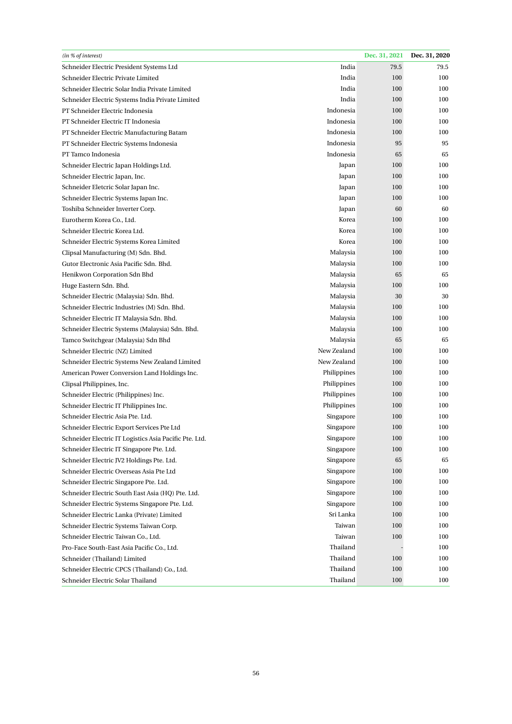| (in % of interest)                                     |             | Dec. 31, 2021 | Dec. 31, 2020 |
|--------------------------------------------------------|-------------|---------------|---------------|
| Schneider Electric President Systems Ltd               | India       | 79.5          | 79.5          |
| Schneider Electric Private Limited                     | India       | 100           | 100           |
| Schneider Electric Solar India Private Limited         | India       | 100           | 100           |
| Schneider Electric Systems India Private Limited       | India       | 100           | 100           |
| PT Schneider Electric Indonesia                        | Indonesia   | 100           | 100           |
| PT Schneider Electric IT Indonesia                     | Indonesia   | 100           | 100           |
| PT Schneider Electric Manufacturing Batam              | Indonesia   | 100           | 100           |
| PT Schneider Electric Systems Indonesia                | Indonesia   | 95            | 95            |
| PT Tamco Indonesia                                     | Indonesia   | 65            | 65            |
| Schneider Electric Japan Holdings Ltd.                 | Japan       | 100           | 100           |
| Schneider Electric Japan, Inc.                         | Japan       | 100           | 100           |
| Schneider Eletcric Solar Japan Inc.                    | Japan       | 100           | 100           |
| Schneider Electric Systems Japan Inc.                  | Japan       | 100           | 100           |
| Toshiba Schneider Inverter Corp.                       | Japan       | 60            | 60            |
| Eurotherm Korea Co., Ltd.                              | Korea       | 100           | 100           |
| Schneider Electric Korea Ltd.                          | Korea       | 100           | 100           |
| Schneider Electric Systems Korea Limited               | Korea       | 100           | 100           |
| Clipsal Manufacturing (M) Sdn. Bhd.                    | Malaysia    | 100           | 100           |
| Gutor Electronic Asia Pacific Sdn. Bhd.                | Malaysia    | 100           | 100           |
| Henikwon Corporation Sdn Bhd                           | Malaysia    | 65            | 65            |
| Huge Eastern Sdn. Bhd.                                 | Malaysia    | 100           | 100           |
| Schneider Electric (Malaysia) Sdn. Bhd.                | Malaysia    | 30            | 30            |
| Schneider Electric Industries (M) Sdn. Bhd.            | Malaysia    | 100           | 100           |
| Schneider Electric IT Malaysia Sdn. Bhd.               | Malaysia    | 100           | 100           |
| Schneider Electric Systems (Malaysia) Sdn. Bhd.        | Malaysia    | 100           | 100           |
| Tamco Switchgear (Malaysia) Sdn Bhd                    | Malaysia    | 65            | 65            |
| Schneider Electric (NZ) Limited                        | New Zealand | 100           | 100           |
| Schneider Electric Systems New Zealand Limited         | New Zealand | 100           | 100           |
| American Power Conversion Land Holdings Inc.           | Philippines | 100           | 100           |
| Clipsal Philippines, Inc.                              | Philippines | 100           | 100           |
| Schneider Electric (Philippines) Inc.                  | Philippines | 100           | 100           |
| Schneider Electric IT Philippines Inc.                 | Philippines | 100           | 100           |
| Schneider Electric Asia Pte. Ltd.                      | Singapore   | 100           | 100           |
| Schneider Electric Export Services Pte Ltd             | Singapore   | 100           | 100           |
| Schneider Electric IT Logistics Asia Pacific Pte. Ltd. | Singapore   | 100           | 100           |
| Schneider Electric IT Singapore Pte. Ltd.              | Singapore   | 100           | 100           |
| Schneider Electric JV2 Holdings Pte. Ltd.              | Singapore   | 65            | 65            |
| Schneider Electric Overseas Asia Pte Ltd               | Singapore   | 100           | 100           |
| Schneider Electric Singapore Pte. Ltd.                 | Singapore   | 100           | 100           |
| Schneider Electric South East Asia (HQ) Pte. Ltd.      | Singapore   | 100           | 100           |
| Schneider Electric Systems Singapore Pte. Ltd.         | Singapore   | 100           | 100           |
| Schneider Electric Lanka (Private) Limited             | Sri Lanka   | 100           | 100           |
| Schneider Electric Systems Taiwan Corp.                | Taiwan      | 100           | 100           |
| Schneider Electric Taiwan Co., Ltd.                    | Taiwan      | 100           | 100           |
| Pro-Face South-East Asia Pacific Co., Ltd.             | Thailand    |               | 100           |
| Schneider (Thailand) Limited                           | Thailand    | 100           | 100           |
| Schneider Electric CPCS (Thailand) Co., Ltd.           | Thailand    | 100           | 100           |
| Schneider Electric Solar Thailand                      | Thailand    | 100           | 100           |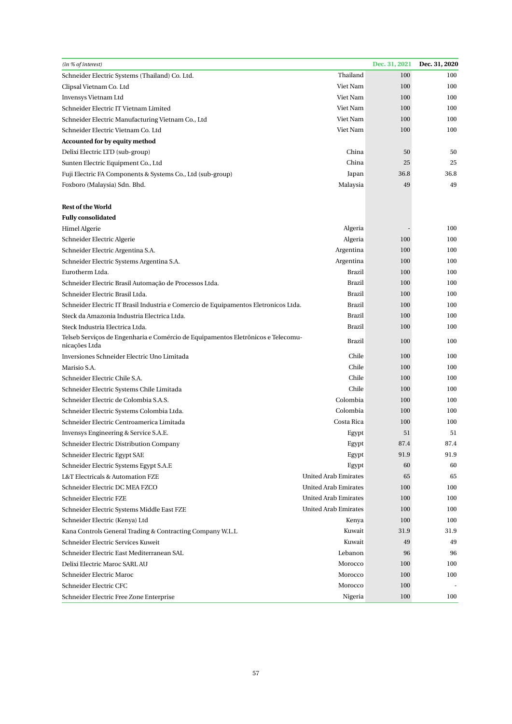| (in % of interest)                                                                                |                             | Dec. 31, 2021 | Dec. 31, 2020 |
|---------------------------------------------------------------------------------------------------|-----------------------------|---------------|---------------|
| Schneider Electric Systems (Thailand) Co. Ltd.                                                    | Thailand                    | 100           | 100           |
| Clipsal Vietnam Co. Ltd                                                                           | Viet Nam                    | 100           | 100           |
| Invensys Vietnam Ltd                                                                              | Viet Nam                    | 100           | 100           |
| Schneider Electric IT Vietnam Limited                                                             | Viet Nam                    | 100           | 100           |
| Schneider Electric Manufacturing Vietnam Co., Ltd                                                 | Viet Nam                    | 100           | 100           |
| Schneider Electric Vietnam Co. Ltd                                                                | Viet Nam                    | 100           | 100           |
| Accounted for by equity method                                                                    |                             |               |               |
| Delixi Electric LTD (sub-group)                                                                   | China                       | 50            | 50            |
| Sunten Electric Equipment Co., Ltd                                                                | China                       | 25            | 25            |
| Fuji Electric FA Components & Systems Co., Ltd (sub-group)                                        | Japan                       | 36.8          | 36.8          |
| Foxboro (Malaysia) Sdn. Bhd.                                                                      | Malaysia                    | 49            | 49            |
|                                                                                                   |                             |               |               |
| <b>Rest of the World</b>                                                                          |                             |               |               |
| <b>Fully consolidated</b>                                                                         |                             |               |               |
| Himel Algerie                                                                                     | Algeria                     |               | 100           |
| Schneider Electric Algerie                                                                        | Algeria                     | 100           | 100           |
| Schneider Electric Argentina S.A.                                                                 | Argentina                   | 100           | 100           |
| Schneider Electric Systems Argentina S.A.                                                         | Argentina                   | 100           | 100           |
| Eurotherm Ltda.                                                                                   | <b>Brazil</b>               | 100           | 100           |
| Schneider Electric Brasil Automação de Processos Ltda.                                            | <b>Brazil</b>               | 100           | 100           |
| Schneider Electric Brasil Ltda.                                                                   | <b>Brazil</b>               | 100           | 100           |
| Schneider Electric IT Brasil Industria e Comercio de Equipamentos Eletronicos Ltda.               | <b>Brazil</b>               | 100           | 100           |
| Steck da Amazonia Industria Electrica Ltda.                                                       | Brazil                      | 100           | 100           |
| Steck Industria Electrica Ltda.                                                                   | Brazil                      | 100           | 100           |
| Telseb Serviços de Engenharia e Comércio de Equipamentos Eletrônicos e Telecomu-<br>nicações Ltda | Brazil                      | 100           | 100           |
| Inversiones Schneider Electric Uno Limitada                                                       | Chile                       | 100           | 100           |
| Marisio S.A.                                                                                      | Chile                       | 100           | 100           |
| Schneider Electric Chile S.A.                                                                     | Chile                       | 100           | 100           |
| Schneider Electric Systems Chile Limitada                                                         | Chile                       | 100           | 100           |
| Schneider Electric de Colombia S.A.S.                                                             | Colombia                    | 100           | 100           |
| Schneider Electric Systems Colombia Ltda.                                                         | Colombia                    | 100           | 100           |
| Schneider Electric Centroamerica Limitada                                                         | Costa Rica                  | 100           | 100           |
| Invensys Engineering & Service S.A.E.                                                             | Egypt                       | 51            | 51            |
| Schneider Electric Distribution Company                                                           | Egypt                       | 87.4          | 87.4          |
| Schneider Electric Egypt SAE                                                                      | Egypt                       | 91.9          | 91.9          |
| Schneider Electric Systems Egypt S.A.E                                                            | Egypt                       | 60            | 60            |
| L&T Electricals & Automation FZE                                                                  | <b>United Arab Emirates</b> | 65            | 65            |
| Schneider Electric DC MEA FZCO                                                                    | <b>United Arab Emirates</b> | 100           | 100           |
| Schneider Electric FZE                                                                            | <b>United Arab Emirates</b> | 100           | 100           |
| Schneider Electric Systems Middle East FZE                                                        | United Arab Emirates        | 100           | 100           |
| Schneider Electric (Kenya) Ltd                                                                    | Kenya                       | 100           | 100           |
| Kana Controls General Trading & Contracting Company W.L.L                                         | Kuwait                      | 31.9          | 31.9          |
| Schneider Electric Services Kuweit                                                                | Kuwait                      | 49            | 49            |
| Schneider Electric East Mediterranean SAL                                                         | Lebanon                     | 96            | 96            |
| Delixi Electric Maroc SARL AU                                                                     | Morocco                     | 100           | 100           |
| Schneider Electric Maroc                                                                          | Morocco                     | 100           | 100           |
| Schneider Electric CFC                                                                            | Morocco                     | 100           |               |
| Schneider Electric Free Zone Enterprise                                                           | Nigeria                     | 100           | 100           |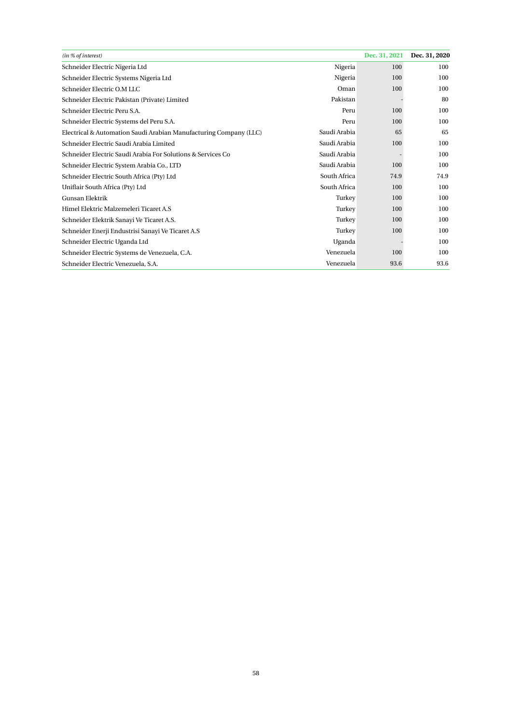| (in % of interest)                                                |              | Dec. 31, 2021 | Dec. 31, 2020 |
|-------------------------------------------------------------------|--------------|---------------|---------------|
| Schneider Electric Nigeria Ltd                                    | Nigeria      | 100           | 100           |
| Schneider Electric Systems Nigeria Ltd                            | Nigeria      | 100           | 100           |
| Schneider Electric O.M LLC                                        | Oman         | 100           | 100           |
| Schneider Electric Pakistan (Private) Limited                     | Pakistan     |               | 80            |
| Schneider Electric Peru S.A.                                      | Peru         | 100           | 100           |
| Schneider Electric Systems del Peru S.A.                          | Peru         | 100           | 100           |
| Electrical & Automation Saudi Arabian Manufacturing Company (LLC) | Saudi Arabia | 65            | 65            |
| Schneider Electric Saudi Arabia Limited                           | Saudi Arabia | 100           | 100           |
| Schneider Electric Saudi Arabia For Solutions & Services Co       | Saudi Arabia |               | 100           |
| Schneider Electric System Arabia Co., LTD                         | Saudi Arabia | 100           | 100           |
| Schneider Electric South Africa (Pty) Ltd                         | South Africa | 74.9          | 74.9          |
| Uniflair South Africa (Pty) Ltd                                   | South Africa | 100           | 100           |
| Gunsan Elektrik                                                   | Turkey       | 100           | 100           |
| Himel Elektric Malzemeleri Ticaret A.S                            | Turkey       | 100           | 100           |
| Schneider Elektrik Sanayi Ve Ticaret A.S.                         | Turkey       | 100           | 100           |
| Schneider Enerji Endustrisi Sanayi Ve Ticaret A.S                 | Turkey       | 100           | 100           |
| Schneider Electric Uganda Ltd                                     | Uganda       |               | 100           |
| Schneider Electric Systems de Venezuela, C.A.                     | Venezuela    | 100           | 100           |
| Schneider Electric Venezuela, S.A.                                | Venezuela    | 93.6          | 93.6          |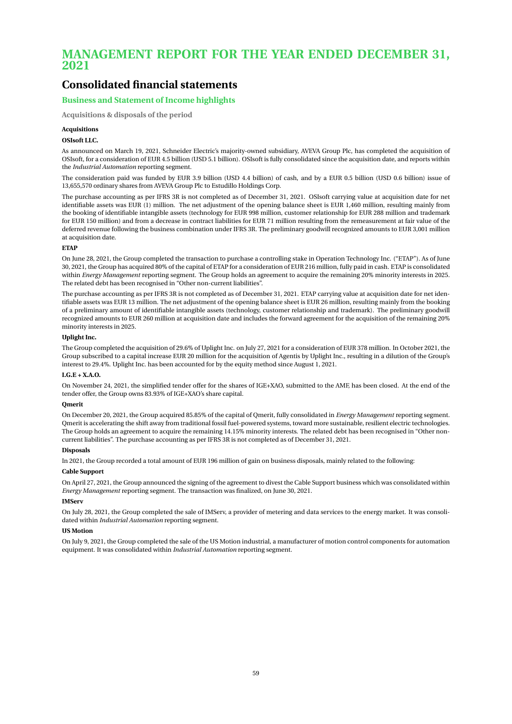## **MANAGEMENT REPORT FOR THE YEAR ENDED DECEMBER 31, 2021**

## **Consolidated financial statements**

## **Business and Statement of Income highlights**

**Acquisitions & disposals of the period**

#### **Acquisitions**

#### **OSIsoft LLC.**

As announced on March 19, 2021, Schneider Electric's majority-owned subsidiary, AVEVA Group Plc, has completed the acquisition of OSIsoft, for a consideration of EUR 4.5 billion (USD 5.1 billion). OSIsoft is fully consolidated since the acquisition date, and reports within the *Industrial Automation* reporting segment.

The consideration paid was funded by EUR 3.9 billion (USD 4.4 billion) of cash, and by a EUR 0.5 billion (USD 0.6 billion) issue of 13,655,570 ordinary shares from AVEVA Group Plc to Estudillo Holdings Corp.

The purchase accounting as per IFRS 3R is not completed as of December 31, 2021. OSIsoft carrying value at acquisition date for net identifiable assets was EUR (1) million. The net adjustment of the opening balance sheet is EUR 1,460 million, resulting mainly from the booking of identifiable intangible assets (technology for EUR 998 million, customer relationship for EUR 288 million and trademark for EUR 150 million) and from a decrease in contract liabilities for EUR 71 million resulting from the remeasurement at fair value of the deferred revenue following the business combination under IFRS 3R. The preliminary goodwill recognized amounts to EUR 3,001 million at acquisition date.

#### **ETAP**

On June 28, 2021, the Group completed the transaction to purchase a controlling stake in Operation Technology Inc. ("ETAP"). As of June 30, 2021, the Group has acquired 80% of the capital of ETAP for a consideration of EUR 216 million, fully paid in cash. ETAP is consolidated within *Energy Management* reporting segment. The Group holds an agreement to acquire the remaining 20% minority interests in 2025. The related debt has been recognised in "Other non-current liabilities".

The purchase accounting as per IFRS 3R is not completed as of December 31, 2021. ETAP carrying value at acquisition date for net identifiable assets was EUR 13 million. The net adjustment of the opening balance sheet is EUR 26 million, resulting mainly from the booking of a preliminary amount of identifiable intangible assets (technology, customer relationship and trademark). The preliminary goodwill recognized amounts to EUR 260 million at acquisition date and includes the forward agreement for the acquisition of the remaining 20% minority interests in 2025.

#### **Uplight Inc.**

The Group completed the acquisition of 29.6% of Uplight Inc. on July 27, 2021 for a consideration of EUR 378 million. In October 2021, the Group subscribed to a capital increase EUR 20 million for the acquisition of Agentis by Uplight Inc., resulting in a dilution of the Group's interest to 29.4%. Uplight Inc. has been accounted for by the equity method since August 1, 2021.

#### **I.G.E + X.A.O.**

On November 24, 2021, the simplified tender offer for the shares of IGE+XAO, submitted to the AMF, has been closed. At the end of the tender offer, the Group owns 83.93% of IGE+XAO's share capital.

#### **Qmerit**

On December 20, 2021, the Group acquired 85.85% of the capital of Qmerit, fully consolidated in *Energy Management* reporting segment. Qmerit is accelerating the shift away from traditional fossil fuel-powered systems, toward more sustainable, resilient electric technologies. The Group holds an agreement to acquire the remaining 14.15% minority interests. The related debt has been recognised in "Other noncurrent liabilities". The purchase accounting as per IFRS 3R is not completed as of December 31, 2021.

#### **Disposals**

In 2021, the Group recorded a total amount of EUR 196 million of gain on business disposals, mainly related to the following:

### **Cable Support**

On April 27, 2021, the Group announced the signing of the agreement to divest the Cable Support business which was consolidated within *Energy Management* reporting segment. The transaction was finalized, on June 30, 2021.

#### **IMServ**

On July 28, 2021, the Group completed the sale of IMServ, a provider of metering and data services to the energy market. It was consolidated within *Industrial Automation* reporting segment.

#### **US Motion**

On July 9, 2021, the Group completed the sale of the US Motion industrial, a manufacturer of motion control components for automation equipment. It was consolidated within *Industrial Automation* reporting segment.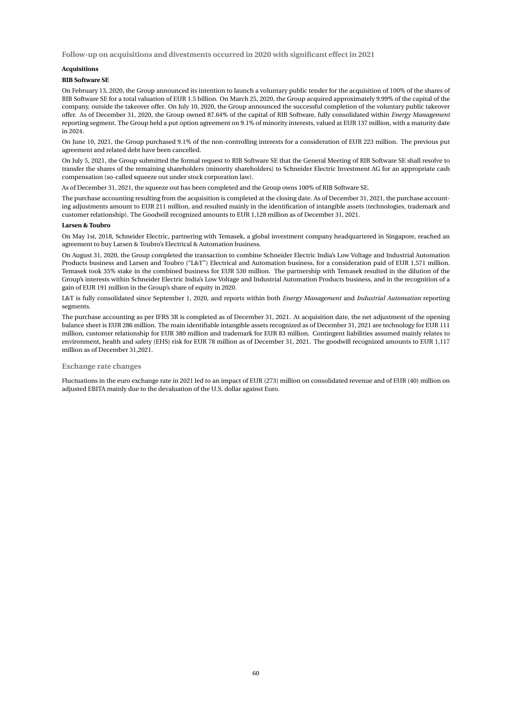**Follow-up on acquisitions and divestments occurred in 2020 with significant effect in 2021**

#### **Acquisitions**

#### **RIB Software SE**

On February 13, 2020, the Group announced its intention to launch a voluntary public tender for the acquisition of 100% of the shares of RIB Software SE for a total valuation of EUR 1.5 billion. On March 25, 2020, the Group acquired approximately 9.99% of the capital of the company, outside the takeover offer. On July 10, 2020, the Group announced the successful completion of the voluntary public takeover offer. As of December 31, 2020, the Group owned 87.64% of the capital of RIB Software, fully consolidated within *Energy Management* reporting segment. The Group held a put option agreement on 9.1% of minority interests, valued at EUR 137 million, with a maturity date in 2024.

On June 10, 2021, the Group purchased 9.1% of the non-controlling interests for a consideration of EUR 223 million. The previous put agreement and related debt have been cancelled.

On July 5, 2021, the Group submitted the formal request to RIB Software SE that the General Meeting of RIB Software SE shall resolve to transfer the shares of the remaining shareholders (minority shareholders) to Schneider Electric Investment AG for an appropriate cash compensation (so-called squeeze out under stock corporation law).

As of December 31, 2021, the squeeze out has been completed and the Group owns 100% of RIB Software SE.

The purchase accounting resulting from the acquisition is completed at the closing date. As of December 31, 2021, the purchase accounting adjustments amount to EUR 211 million, and resulted mainly in the identification of intangible assets (technologies, trademark and customer relationship). The Goodwill recognized amounts to EUR 1,128 million as of December 31, 2021.

#### **Larsen & Toubro**

On May 1st, 2018, Schneider Electric, partnering with Temasek, a global investment company headquartered in Singapore, reached an agreement to buy Larsen & Toubro's Electrical & Automation business.

On August 31, 2020, the Group completed the transaction to combine Schneider Electric India's Low Voltage and Industrial Automation Products business and Larsen and Toubro ("L&T") Electrical and Automation business, for a consideration paid of EUR 1,571 million. Temasek took 35% stake in the combined business for EUR 530 million. The partnership with Temasek resulted in the dilution of the Group's interests within Schneider Electric India's Low Voltage and Industrial Automation Products business, and in the recognition of a gain of EUR 191 million in the Group's share of equity in 2020.

L&T is fully consolidated since September 1, 2020, and reports within both *Energy Management* and *Industrial Automation* reporting segments.

The purchase accounting as per IFRS 3R is completed as of December 31, 2021. At acquisition date, the net adjustment of the opening balance sheet is EUR 286 million. The main identifiable intangible assets recognized as of December 31, 2021 are technology for EUR 111 million, customer relationship for EUR 380 million and trademark for EUR 83 million. Contingent liabilities assumed mainly relates to environment, health and safety (EHS) risk for EUR 78 million as of December 31, 2021. The goodwill recognized amounts to EUR 1,117 million as of December 31,2021.

#### **Exchange rate changes**

Fluctuations in the euro exchange rate in 2021 led to an impact of EUR (273) million on consolidated revenue and of EUR (40) million on adjusted EBITA mainly due to the devaluation of the U.S. dollar against Euro.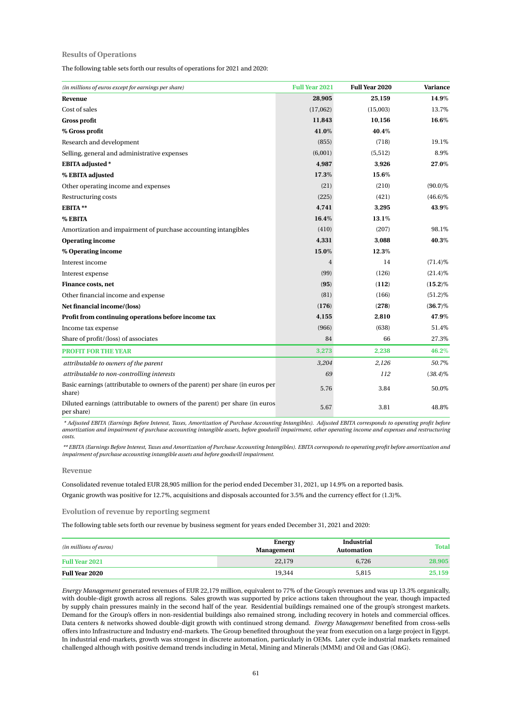#### **Results of Operations**

The following table sets forth our results of operations for 2021 and 2020:

| (in millions of euros except for earnings per share)                                      | <b>Full Year 2021</b> | Full Year 2020 | Variance   |
|-------------------------------------------------------------------------------------------|-----------------------|----------------|------------|
| Revenue                                                                                   | 28,905                | 25,159         | 14.9%      |
| Cost of sales                                                                             | (17,062)              | (15,003)       | 13.7%      |
| <b>Gross profit</b>                                                                       | 11,843                | 10,156         | 16.6%      |
| % Gross profit                                                                            | 41.0%                 | 40.4%          |            |
| Research and development                                                                  | (855)                 | (718)          | 19.1%      |
| Selling, general and administrative expenses                                              | (6,001)               | (5,512)        | 8.9%       |
| <b>EBITA</b> adjusted *                                                                   | 4,987                 | 3,926          | 27.0%      |
| % EBITA adjusted                                                                          | 17.3%                 | 15.6%          |            |
| Other operating income and expenses                                                       | (21)                  | (210)          | $(90.0)\%$ |
| Restructuring costs                                                                       | (225)                 | (421)          | $(46.6)\%$ |
| EBITA**                                                                                   | 4,741                 | 3,295          | 43.9%      |
| % EBITA                                                                                   | 16.4%                 | 13.1%          |            |
| Amortization and impairment of purchase accounting intangibles                            | (410)                 | (207)          | 98.1%      |
| <b>Operating income</b>                                                                   | 4,331                 | 3,088          | 40.3%      |
| % Operating income                                                                        | 15.0%                 | 12.3%          |            |
| Interest income                                                                           | 4                     | 14             | $(71.4)\%$ |
| Interest expense                                                                          | (99)                  | (126)          | $(21.4)\%$ |
| <b>Finance costs, net</b>                                                                 | (95)                  | (112)          | $(15.2)\%$ |
| Other financial income and expense                                                        | (81)                  | (166)          | $(51.2)\%$ |
| Net financial income/(loss)                                                               | (176)                 | (278)          | $(36.7)\%$ |
| Profit from continuing operations before income tax                                       | 4,155                 | 2,810          | 47.9%      |
| Income tax expense                                                                        | (966)                 | (638)          | 51.4%      |
| Share of profit/(loss) of associates                                                      | 84                    | 66             | 27.3%      |
| <b>PROFIT FOR THE YEAR</b>                                                                | 3,273                 | 2,238          | 46.2%      |
| attributable to owners of the parent                                                      | 3,204                 | 2,126          | 50.7%      |
| attributable to non-controlling interests                                                 | 69                    | 112            | $(38.4)\%$ |
| Basic earnings (attributable to owners of the parent) per share (in euros per<br>share)   | 5.76                  | 3.84           | 50.0%      |
| Diluted earnings (attributable to owners of the parent) per share (in euros<br>per share) | 5.67                  | 3.81           | 48.8%      |

*\* Adjusted EBITA (Earnings Before Interest, Taxes, Amortization of Purchase Accounting Intangibles). Adjusted EBITA corresponds to operating profit before amortization and impairment of purchase accounting intangible assets, before goodwill impairment, other operating income and expenses and restructuring costs.*

*\*\* EBITA (Earnings Before Interest, Taxes and Amortization of Purchase Accounting Intangibles). EBITA corresponds to operating profit before amortization and impairment of purchase accounting intangible assets and before goodwill impairment.*

#### **Revenue**

Consolidated revenue totaled EUR 28,905 million for the period ended December 31, 2021, up 14.9% on a reported basis. Organic growth was positive for 12.7%, acquisitions and disposals accounted for 3.5% and the currency effect for (1.3)%.

**Evolution of revenue by reporting segment**

The following table sets forth our revenue by business segment for years ended December 31, 2021 and 2020:

| (in millions of euros) | <b>Energy</b><br><b>Management</b> | Industrial<br><b>Automation</b> | Total  |
|------------------------|------------------------------------|---------------------------------|--------|
| <b>Full Year 2021</b>  | 22,179                             | 6,726                           | 28,905 |
| <b>Full Year 2020</b>  | 19.344                             | 5.815                           | 25,159 |

*Energy Management* generated revenues of EUR 22,179 million, equivalent to 77% of the Group's revenues and was up 13.3% organically, with double-digit growth across all regions. Sales growth was supported by price actions taken throughout the year, though impacted by supply chain pressures mainly in the second half of the year. Residential buildings remained one of the group's strongest markets. Demand for the Group's offers in non-residential buildings also remained strong, including recovery in hotels and commercial offices. Data centers & networks showed double-digit growth with continued strong demand. *Energy Management* benefited from cross-sells offers into Infrastructure and Industry end-markets. The Group benefited throughout the year from execution on a large project in Egypt. In industrial end-markets, growth was strongest in discrete automation, particularly in OEMs. Later cycle industrial markets remained challenged although with positive demand trends including in Metal, Mining and Minerals (MMM) and Oil and Gas (O&G).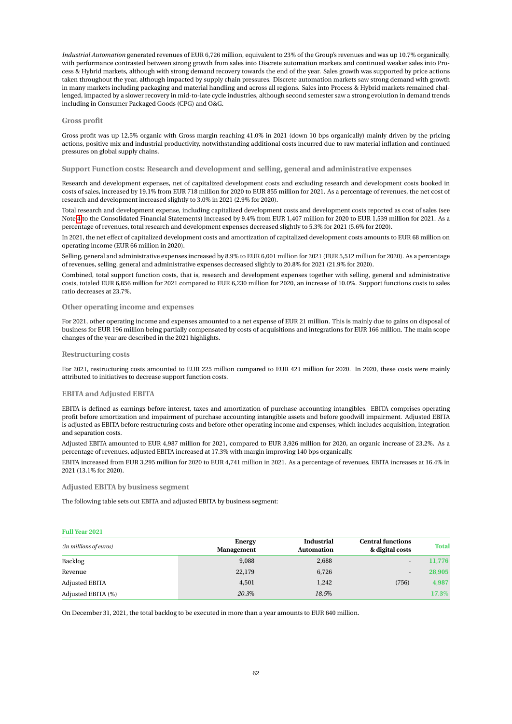*Industrial Automation* generated revenues of EUR 6,726 million, equivalent to 23% of the Group's revenues and was up 10.7% organically, with performance contrasted between strong growth from sales into Discrete automation markets and continued weaker sales into Process & Hybrid markets, although with strong demand recovery towards the end of the year. Sales growth was supported by price actions taken throughout the year, although impacted by supply chain pressures. Discrete automation markets saw strong demand with growth in many markets including packaging and material handling and across all regions. Sales into Process & Hybrid markets remained challenged, impacted by a slower recovery in mid-to-late cycle industries, although second semester saw a strong evolution in demand trends including in Consumer Packaged Goods (CPG) and O&G.

#### **Gross profit**

Gross profit was up 12.5% organic with Gross margin reaching 41.0% in 2021 (down 10 bps organically) mainly driven by the pricing actions, positive mix and industrial productivity, notwithstanding additional costs incurred due to raw material inflation and continued pressures on global supply chains.

#### **Support Function costs: Research and development and selling, general and administrative expenses**

Research and development expenses, net of capitalized development costs and excluding research and development costs booked in costs of sales, increased by 19.1% from EUR 718 million for 2020 to EUR 855 million for 2021. As a percentage of revenues, the net cost of research and development increased slightly to 3.0% in 2021 (2.9% for 2020).

Total research and development expense, including capitalized development costs and development costs reported as cost of sales (see Note [4](#page-22-0) to the Consolidated Financial Statements) increased by 9.4% from EUR 1,407 million for 2020 to EUR 1,539 million for 2021. As a percentage of revenues, total research and development expenses decreased slightly to 5.3% for 2021 (5.6% for 2020).

In 2021, the net effect of capitalized development costs and amortization of capitalized development costs amounts to EUR 68 million on operating income (EUR 66 million in 2020).

Selling, general and administrative expenses increased by 8.9% to EUR 6,001 million for 2021 (EUR 5,512 million for 2020). As a percentage of revenues, selling, general and administrative expenses decreased slightly to 20.8% for 2021 (21.9% for 2020).

Combined, total support function costs, that is, research and development expenses together with selling, general and administrative costs, totaled EUR 6,856 million for 2021 compared to EUR 6,230 million for 2020, an increase of 10.0%. Support functions costs to sales ratio decreases at 23.7%.

#### **Other operating income and expenses**

For 2021, other operating income and expenses amounted to a net expense of EUR 21 million. This is mainly due to gains on disposal of business for EUR 196 million being partially compensated by costs of acquisitions and integrations for EUR 166 million. The main scope changes of the year are described in the 2021 highlights.

#### **Restructuring costs**

For 2021, restructuring costs amounted to EUR 225 million compared to EUR 421 million for 2020. In 2020, these costs were mainly attributed to initiatives to decrease support function costs.

#### **EBITA and Adjusted EBITA**

EBITA is defined as earnings before interest, taxes and amortization of purchase accounting intangibles. EBITA comprises operating profit before amortization and impairment of purchase accounting intangible assets and before goodwill impairment. Adjusted EBITA is adjusted as EBITA before restructuring costs and before other operating income and expenses, which includes acquisition, integration and separation costs.

Adjusted EBITA amounted to EUR 4,987 million for 2021, compared to EUR 3,926 million for 2020, an organic increase of 23.2%. As a percentage of revenues, adjusted EBITA increased at 17.3% with margin improving 140 bps organically.

EBITA increased from EUR 3,295 million for 2020 to EUR 4,741 million in 2021. As a percentage of revenues, EBITA increases at 16.4% in 2021 (13.1% for 2020).

**Adjusted EBITA by business segment**

The following table sets out EBITA and adjusted EBITA by business segment:

#### **Full Year 2021**

| (in millions of euros) | Energy<br><b>Management</b> | <b>Industrial</b><br><b>Automation</b> | <b>Central functions</b><br>& digital costs | <b>Total</b> |
|------------------------|-----------------------------|----------------------------------------|---------------------------------------------|--------------|
| Backlog                | 9.088                       | 2,688                                  |                                             | 11,776       |
| Revenue                | 22,179                      | 6,726                                  |                                             | 28,905       |
| Adjusted EBITA         | 4,501                       | 1,242                                  | (756)                                       | 4,987        |
| Adjusted EBITA (%)     | 20.3%                       | 18.5%                                  |                                             | 17.3%        |

On December 31, 2021, the total backlog to be executed in more than a year amounts to EUR 640 million.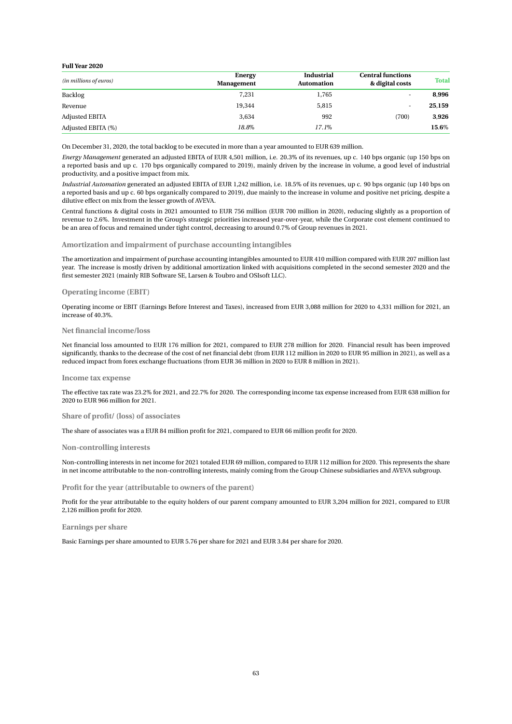#### **Full Year 2020**

| (in millions of euros) | Energy<br><b>Management</b> | <b>Industrial</b><br><b>Automation</b> | <b>Central functions</b><br>& digital costs | <b>Total</b> |
|------------------------|-----------------------------|----------------------------------------|---------------------------------------------|--------------|
| Backlog                | 7,231                       | 1,765                                  | ۰.                                          | 8.996        |
| Revenue                | 19,344                      | 5,815                                  |                                             | 25,159       |
| Adjusted EBITA         | 3.634                       | 992                                    | (700)                                       | 3,926        |
| Adjusted EBITA (%)     | 18.8%                       | 17.1%                                  |                                             | 15.6%        |

On December 31, 2020, the total backlog to be executed in more than a year amounted to EUR 639 million.

*Energy Management* generated an adjusted EBITA of EUR 4,501 million, i.e. 20.3% of its revenues, up c. 140 bps organic (up 150 bps on a reported basis and up c. 170 bps organically compared to 2019), mainly driven by the increase in volume, a good level of industrial productivity, and a positive impact from mix.

*Industrial Automation* generated an adjusted EBITA of EUR 1,242 million, i.e. 18.5% of its revenues, up c. 90 bps organic (up 140 bps on a reported basis and up c. 60 bps organically compared to 2019), due mainly to the increase in volume and positive net pricing, despite a dilutive effect on mix from the lesser growth of AVEVA.

Central functions & digital costs in 2021 amounted to EUR 756 million (EUR 700 million in 2020), reducing slightly as a proportion of revenue to 2.6%. Investment in the Group's strategic priorities increased year-over-year, while the Corporate cost element continued to be an area of focus and remained under tight control, decreasing to around 0.7% of Group revenues in 2021.

#### **Amortization and impairment of purchase accounting intangibles**

The amortization and impairment of purchase accounting intangibles amounted to EUR 410 million compared with EUR 207 million last year. The increase is mostly driven by additional amortization linked with acquisitions completed in the second semester 2020 and the first semester 2021 (mainly RIB Software SE, Larsen & Toubro and OSIsoft LLC).

#### **Operating income (EBIT)**

Operating income or EBIT (Earnings Before Interest and Taxes), increased from EUR 3,088 million for 2020 to 4,331 million for 2021, an increase of 40.3%.

#### **Net financial income/loss**

Net financial loss amounted to EUR 176 million for 2021, compared to EUR 278 million for 2020. Financial result has been improved significantly, thanks to the decrease of the cost of net financial debt (from EUR 112 million in 2020 to EUR 95 million in 2021), as well as a reduced impact from forex exchange fluctuations (from EUR 36 million in 2020 to EUR 8 million in 2021).

#### **Income tax expense**

The effective tax rate was 23.2% for 2021, and 22.7% for 2020. The corresponding income tax expense increased from EUR 638 million for 2020 to EUR 966 million for 2021.

#### **Share of profit/ (loss) of associates**

The share of associates was a EUR 84 million profit for 2021, compared to EUR 66 million profit for 2020.

#### **Non-controlling interests**

Non-controlling interests in net income for 2021 totaled EUR 69 million, compared to EUR 112 million for 2020. This represents the share in net income attributable to the non-controlling interests, mainly coming from the Group Chinese subsidiaries and AVEVA subgroup.

**Profit for the year (attributable to owners of the parent)**

Profit for the year attributable to the equity holders of our parent company amounted to EUR 3,204 million for 2021, compared to EUR 2,126 million profit for 2020.

**Earnings per share**

Basic Earnings per share amounted to EUR 5.76 per share for 2021 and EUR 3.84 per share for 2020.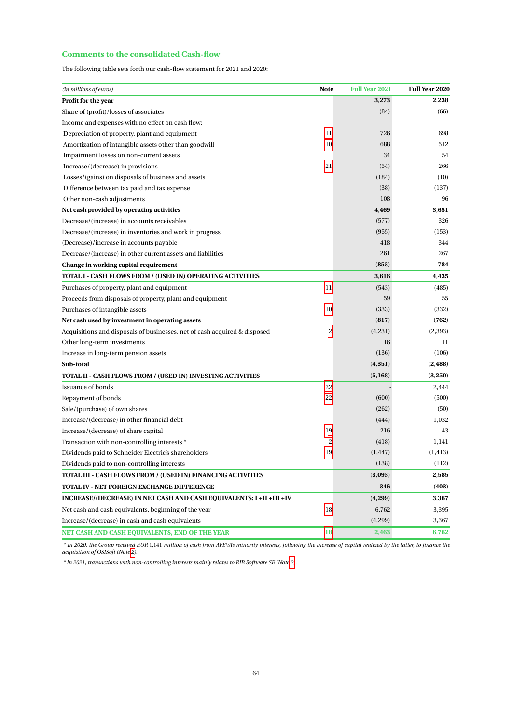## **Comments to the consolidated Cash-flow**

The following table sets forth our cash-flow statement for 2021 and 2020:

| (in millions of euros)                                                    | <b>Note</b> | <b>Full Year 2021</b> | <b>Full Year 2020</b> |
|---------------------------------------------------------------------------|-------------|-----------------------|-----------------------|
| Profit for the year                                                       |             | 3,273                 | 2,238                 |
| Share of (profit)/losses of associates                                    |             | (84)                  | (66)                  |
| Income and expenses with no effect on cash flow:                          |             |                       |                       |
| Depreciation of property, plant and equipment                             | 11          | 726                   | 698                   |
| Amortization of intangible assets other than goodwill                     | 10          | 688                   | 512                   |
| Impairment losses on non-current assets                                   |             | 34                    | 54                    |
| Increase/(decrease) in provisions                                         | 21          | (54)                  | 266                   |
| Losses/(gains) on disposals of business and assets                        |             | (184)                 | (10)                  |
| Difference between tax paid and tax expense                               |             | (38)                  | (137)                 |
| Other non-cash adjustments                                                |             | 108                   | 96                    |
| Net cash provided by operating activities                                 |             | 4,469                 | 3,651                 |
| Decrease/(increase) in accounts receivables                               |             | (577)                 | 326                   |
| Decrease/(increase) in inventories and work in progress                   |             | (955)                 | (153)                 |
| (Decrease)/increase in accounts payable                                   |             | 418                   | 344                   |
| Decrease/(increase) in other current assets and liabilities               |             | 261                   | 267                   |
| Change in working capital requirement                                     |             | (853)                 | 784                   |
| TOTAL I - CASH FLOWS FROM / (USED IN) OPERATING ACTIVITIES                |             | 3,616                 | 4,435                 |
| Purchases of property, plant and equipment                                | 11          | (543)                 | (485)                 |
| Proceeds from disposals of property, plant and equipment                  |             | 59                    | 55                    |
| Purchases of intangible assets                                            | 10          | (333)                 | (332)                 |
| Net cash used by investment in operating assets                           |             | (817)                 | (762)                 |
| Acquisitions and disposals of businesses, net of cash acquired & disposed | 2           | (4,231)               | (2,393)               |
| Other long-term investments                                               |             | 16                    | 11                    |
| Increase in long-term pension assets                                      |             | (136)                 | (106)                 |
| Sub-total                                                                 |             | (4, 351)              | (2, 488)              |
| TOTAL II - CASH FLOWS FROM / (USED IN) INVESTING ACTIVITIES               |             | (5,168)               | (3,250)               |
| <b>Issuance of bonds</b>                                                  | 22          |                       | 2,444                 |
| Repayment of bonds                                                        | 22          | (600)                 | (500)                 |
| Sale/(purchase) of own shares                                             |             | (262)                 | (50)                  |
| Increase/(decrease) in other financial debt                               |             | (444)                 | 1,032                 |
| Increase/(decrease) of share capital                                      | 19          | 216                   | 43                    |
| Transaction with non-controlling interests *                              | 2           | (418)                 | 1,141                 |
| Dividends paid to Schneider Electric's shareholders                       | 19          | (1, 447)              | (1, 413)              |
| Dividends paid to non-controlling interests                               |             | (138)                 | (112)                 |
| TOTAL III - CASH FLOWS FROM / (USED IN) FINANCING ACTIVITIES              |             | (3,093)               | 2,585                 |
| TOTAL IV - NET FOREIGN EXCHANGE DIFFERENCE                                |             | 346                   | (403)                 |
| INCREASE/(DECREASE) IN NET CASH AND CASH EQUIVALENTS: I +II +III +IV      |             | (4,299)               | 3,367                 |
| Net cash and cash equivalents, beginning of the year                      | 18          | 6,762                 | 3,395                 |
| Increase/(decrease) in cash and cash equivalents                          |             | (4,299)               | 3,367                 |
| NET CASH AND CASH EQUIVALENTS, END OF THE YEAR                            | 18          | 2,463                 | 6,762                 |

\* In 2020, the Group received EUR 1,141 million of cash from AVEVA's minority interests, following the increase of capital realized by the latter, to finance the<br>acquisition of OSISoft (Not[e 2\)](#page-19-0).

*\* In 2021, transactions with non-controlling interests mainly relates to RIB Software SE (Note [2\)](#page-19-0).*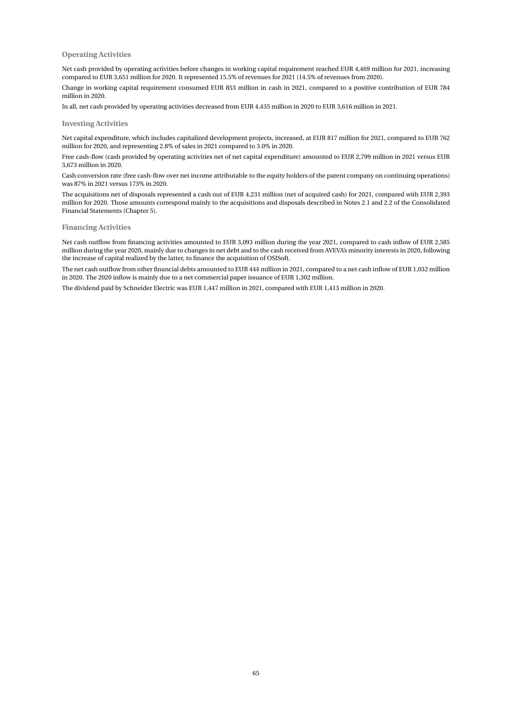#### **Operating Activities**

Net cash provided by operating activities before changes in working capital requirement reached EUR 4,469 million for 2021, increasing compared to EUR 3,651 million for 2020. It represented 15.5% of revenues for 2021 (14.5% of revenues from 2020).

Change in working capital requirement consumed EUR 853 million in cash in 2021, compared to a positive contribution of EUR 784 million in 2020.

In all, net cash provided by operating activities decreased from EUR 4,435 million in 2020 to EUR 3,616 million in 2021.

#### **Investing Activities**

Net capital expenditure, which includes capitalized development projects, increased, at EUR 817 million for 2021, compared to EUR 762 million for 2020, and representing 2.8% of sales in 2021 compared to 3.0% in 2020.

Free cash-flow (cash provided by operating activities net of net capital expenditure) amounted to EUR 2,799 million in 2021 versus EUR 3,673 million in 2020.

Cash conversion rate (free cash-flow over net income attributable to the equity holders of the parent company on continuing operations) was 87% in 2021 versus 173% in 2020.

The acquisitions net of disposals represented a cash out of EUR 4,231 million (net of acquired cash) for 2021, compared with EUR 2,393 million for 2020. Those amounts correspond mainly to the acquisitions and disposals described in Notes 2.1 and 2.2 of the Consolidated Financial Statements (Chapter 5).

#### **Financing Activities**

Net cash outflow from financing activities amounted to EUR 3,093 million during the year 2021, compared to cash inflow of EUR 2,585 million during the year 2020, mainly due to changes in net debt and to the cash received from AVEVA's minority interests in 2020, following the increase of capital realized by the latter, to finance the acquisition of OSISoft.

The net cash outflow from other financial debts amounted to EUR 444 million in 2021, compared to a net cash inflow of EUR 1,032 million in 2020. The 2020 inflow is mainly due to a net commercial paper issuance of EUR 1,302 million.

The dividend paid by Schneider Electric was EUR 1,447 million in 2021, compared with EUR 1,413 million in 2020.